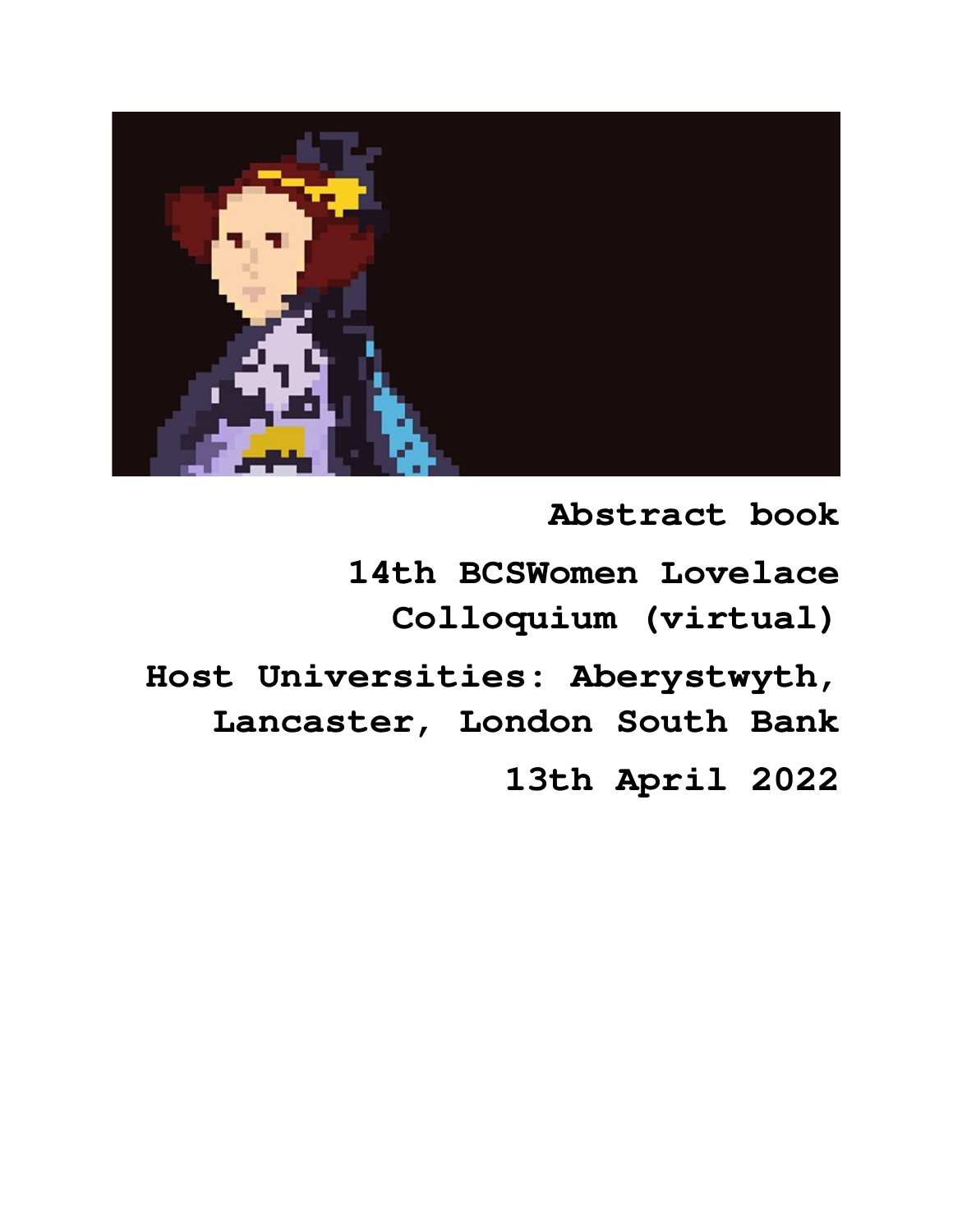

**Abstract book** 

**14th BCSWomen Lovelace Colloquium (virtual)**

**Host Universities: Aberystwyth, Lancaster, London South Bank**

**13th April 2022**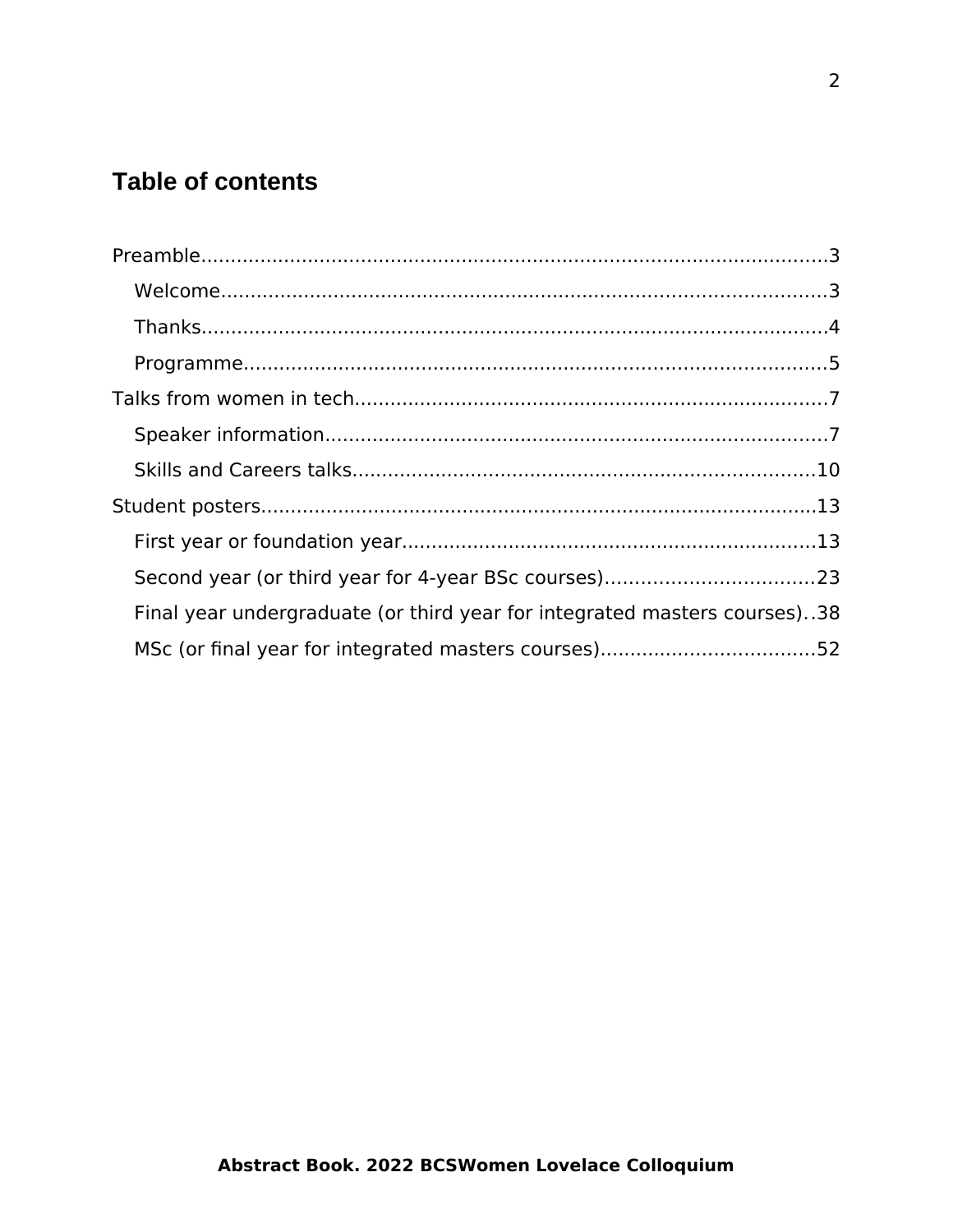#### **Table of contents**

| Final year undergraduate (or third year for integrated masters courses)38 |  |
|---------------------------------------------------------------------------|--|
|                                                                           |  |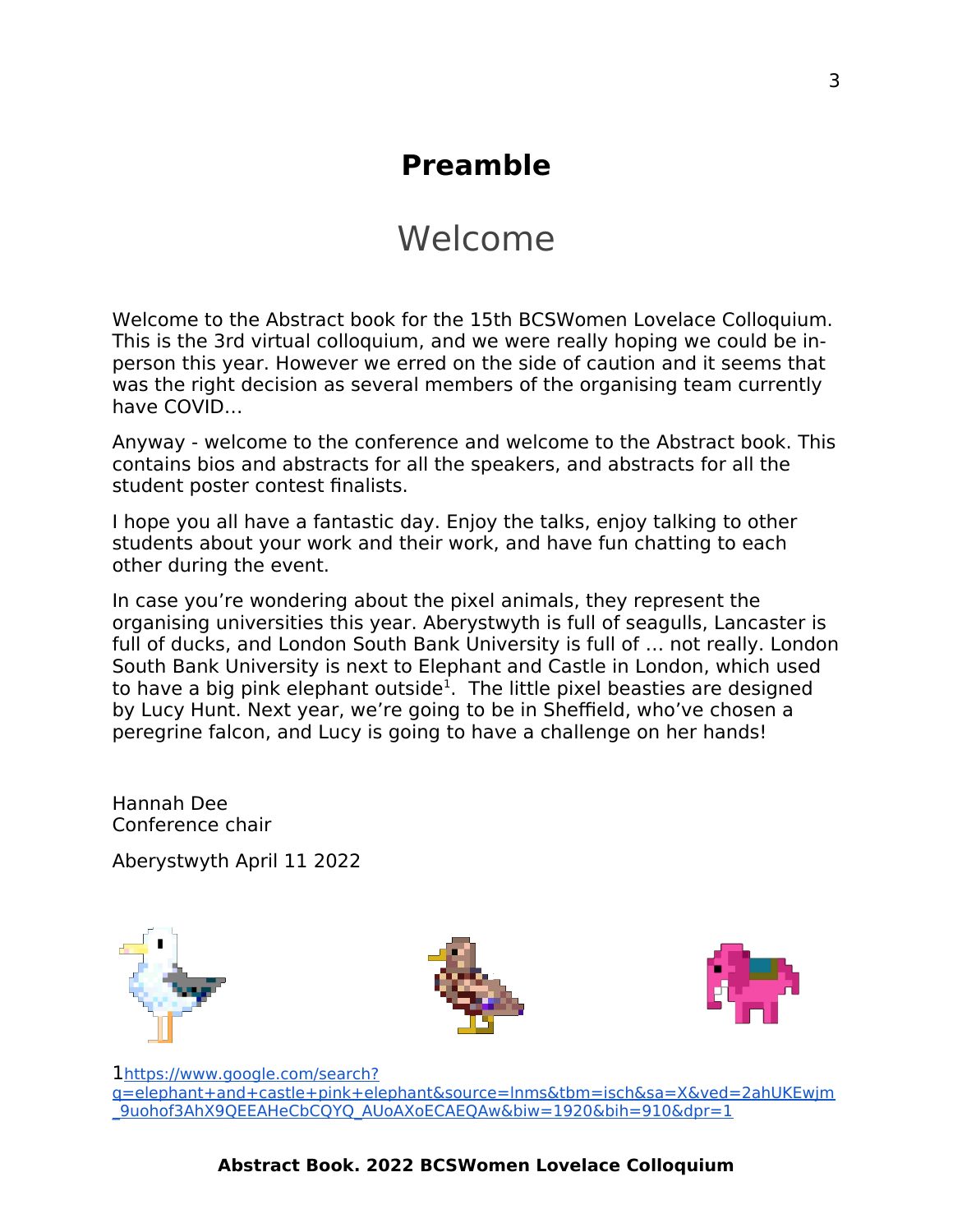## <span id="page-2-1"></span>**Preamble**

## <span id="page-2-0"></span>Welcome

Welcome to the Abstract book for the 15th BCSWomen Lovelace Colloquium. This is the 3rd virtual colloquium, and we were really hoping we could be inperson this year. However we erred on the side of caution and it seems that was the right decision as several members of the organising team currently have COVID…

Anyway - welcome to the conference and welcome to the Abstract book. This contains bios and abstracts for all the speakers, and abstracts for all the student poster contest finalists.

I hope you all have a fantastic day. Enjoy the talks, enjoy talking to other students about your work and their work, and have fun chatting to each other during the event.

In case you're wondering about the pixel animals, they represent the organising universities this year. Aberystwyth is full of seagulls, Lancaster is full of ducks, and London South Bank University is full of … not really. London South Bank University is next to Elephant and Castle in London, which used to have a big pink elephant outside<sup>[1](#page-2-2)</sup>. The little pixel beasties are designed by Lucy Hunt. Next year, we're going to be in Sheffield, who've chosen a peregrine falcon, and Lucy is going to have a challenge on her hands!

Hannah Dee Conference chair

Aberystwyth April 11 2022







<span id="page-2-2"></span>1 [https://www.google.com/search?](https://www.google.com/search?q=elephant+and+castle+pink+elephant&source=lnms&tbm=isch&sa=X&ved=2ahUKEwjm_9uohof3AhX9QEEAHeCbCQYQ_AUoAXoECAEQAw&biw=1920&bih=910&dpr=1) [q=elephant+and+castle+pink+elephant&source=lnms&tbm=isch&sa=X&ved=2ahUKEwjm](https://www.google.com/search?q=elephant+and+castle+pink+elephant&source=lnms&tbm=isch&sa=X&ved=2ahUKEwjm_9uohof3AhX9QEEAHeCbCQYQ_AUoAXoECAEQAw&biw=1920&bih=910&dpr=1) [\\_9uohof3AhX9QEEAHeCbCQYQ\\_AUoAXoECAEQAw&biw=1920&bih=910&dpr=1](https://www.google.com/search?q=elephant+and+castle+pink+elephant&source=lnms&tbm=isch&sa=X&ved=2ahUKEwjm_9uohof3AhX9QEEAHeCbCQYQ_AUoAXoECAEQAw&biw=1920&bih=910&dpr=1)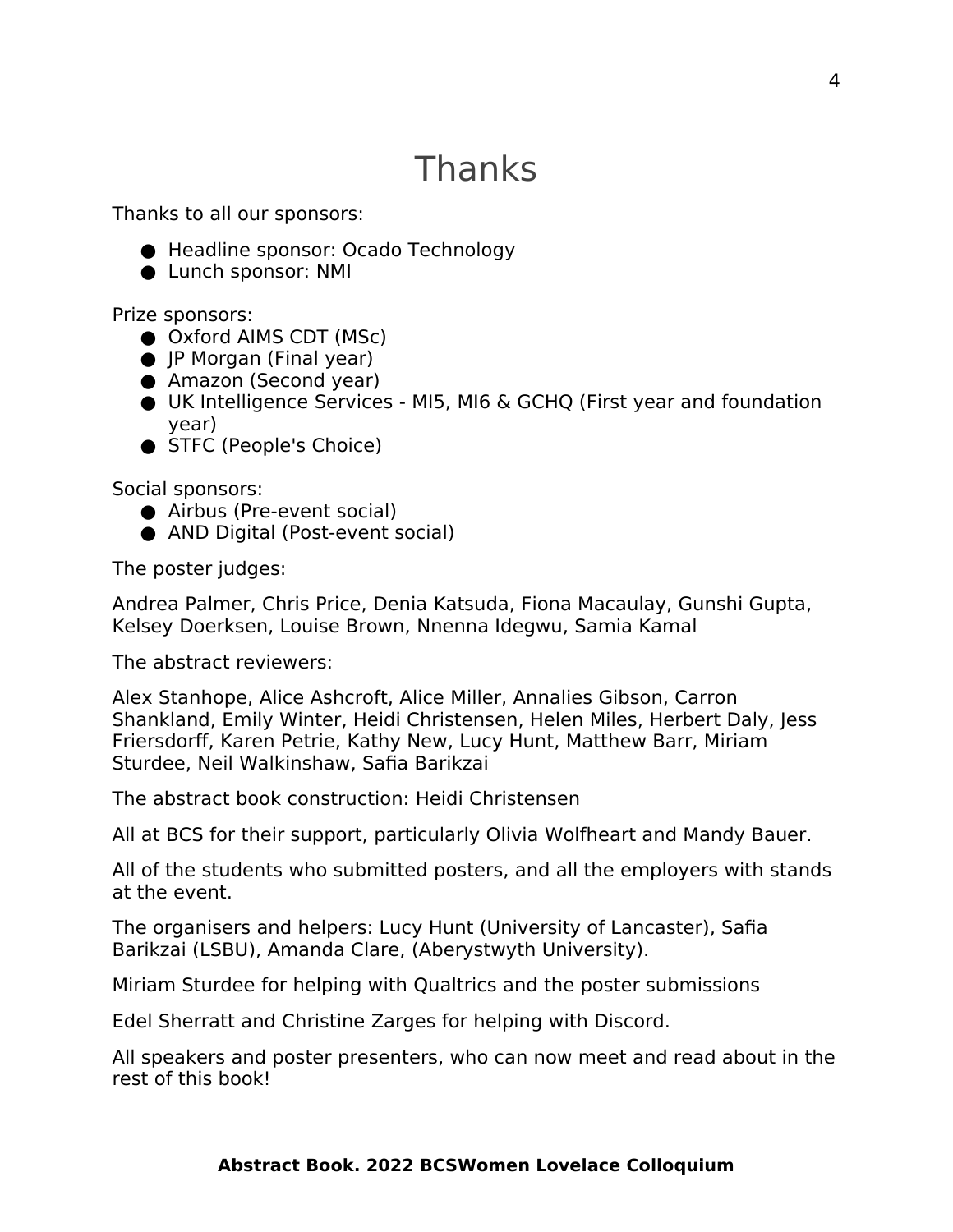# <span id="page-3-0"></span>Thanks

Thanks to all our sponsors:

- Headline sponsor: Ocado Technology
- Lunch sponsor: NMI

Prize sponsors:

- Oxford AIMS CDT (MSc)
- JP Morgan (Final year)
- Amazon (Second year)
- UK Intelligence Services MI5, MI6 & GCHQ (First year and foundation year)
- STFC (People's Choice)

Social sponsors:

- Airbus (Pre-event social)
- AND Digital (Post-event social)

The poster judges:

Andrea Palmer, Chris Price, Denia Katsuda, Fiona Macaulay, Gunshi Gupta, Kelsey Doerksen, Louise Brown, Nnenna Idegwu, Samia Kamal

The abstract reviewers:

Alex Stanhope, Alice Ashcroft, Alice Miller, Annalies Gibson, Carron Shankland, Emily Winter, Heidi Christensen, Helen Miles, Herbert Daly, Jess Friersdorff, Karen Petrie, Kathy New, Lucy Hunt, Matthew Barr, Miriam Sturdee, Neil Walkinshaw, Safia Barikzai

The abstract book construction: Heidi Christensen

All at BCS for their support, particularly Olivia Wolfheart and Mandy Bauer.

All of the students who submitted posters, and all the employers with stands at the event.

The organisers and helpers: Lucy Hunt (University of Lancaster), Safia Barikzai (LSBU), Amanda Clare, (Aberystwyth University).

Miriam Sturdee for helping with Qualtrics and the poster submissions

Edel Sherratt and Christine Zarges for helping with Discord.

All speakers and poster presenters, who can now meet and read about in the rest of this book!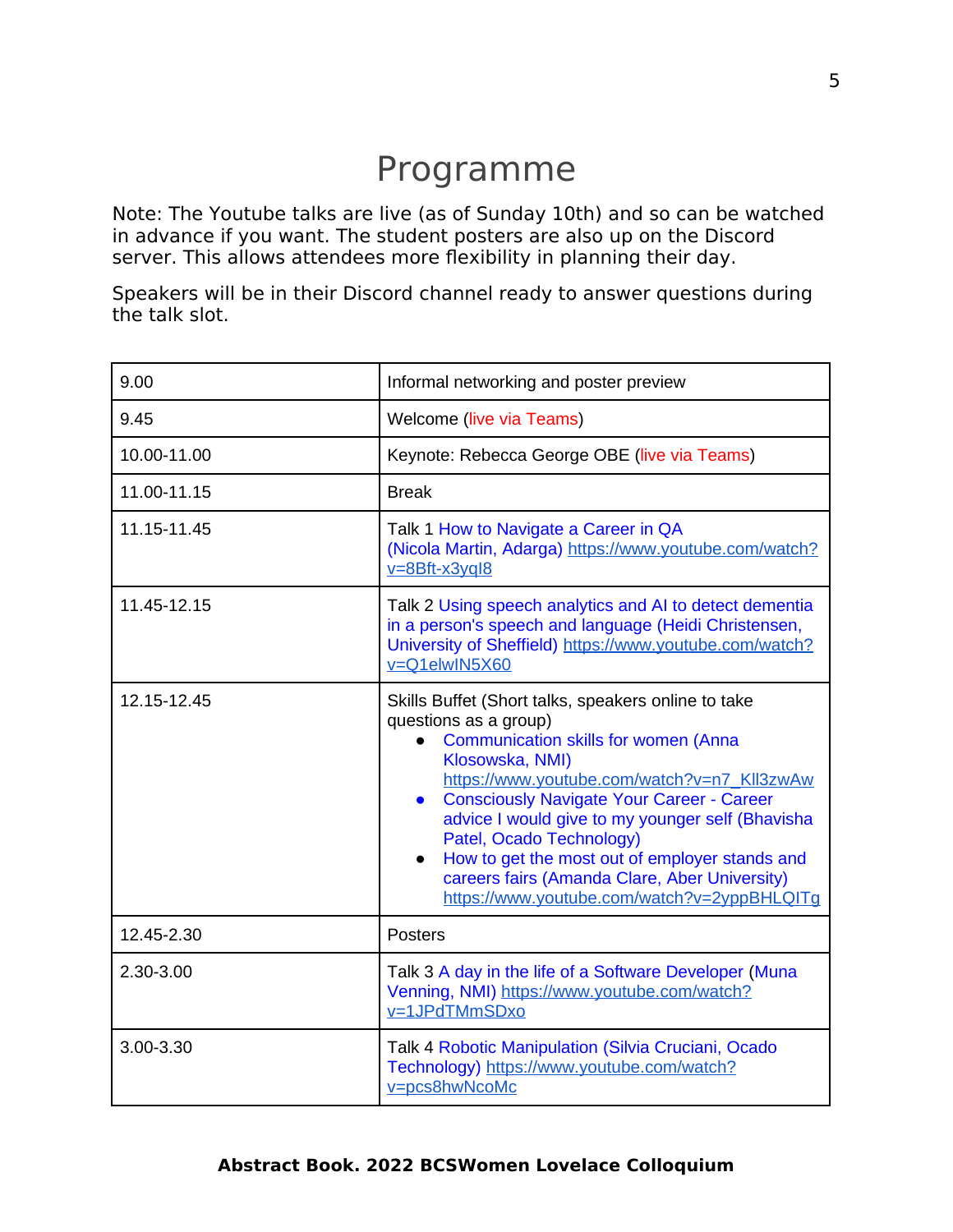## <span id="page-4-0"></span>Programme

Note: The Youtube talks are live (as of Sunday 10th) and so can be watched in advance if you want. The student posters are also up on the Discord server. This allows attendees more flexibility in planning their day.

Speakers will be in their Discord channel ready to answer questions during the talk slot.

| 9.00        | Informal networking and poster preview                                                                                                                                                                                                                                                                                                                                                                                                                                                           |
|-------------|--------------------------------------------------------------------------------------------------------------------------------------------------------------------------------------------------------------------------------------------------------------------------------------------------------------------------------------------------------------------------------------------------------------------------------------------------------------------------------------------------|
| 9.45        | <b>Welcome (live via Teams)</b>                                                                                                                                                                                                                                                                                                                                                                                                                                                                  |
| 10.00-11.00 | Keynote: Rebecca George OBE (live via Teams)                                                                                                                                                                                                                                                                                                                                                                                                                                                     |
| 11.00-11.15 | <b>Break</b>                                                                                                                                                                                                                                                                                                                                                                                                                                                                                     |
| 11.15-11.45 | Talk 1 How to Navigate a Career in QA<br>(Nicola Martin, Adarga) https://www.youtube.com/watch?<br>$v = 8Bft - x3yq/8$                                                                                                                                                                                                                                                                                                                                                                           |
| 11.45-12.15 | Talk 2 Using speech analytics and AI to detect dementia<br>in a person's speech and language (Heidi Christensen,<br>University of Sheffield) https://www.youtube.com/watch?<br>v=O1elwIN5X60                                                                                                                                                                                                                                                                                                     |
| 12.15-12.45 | Skills Buffet (Short talks, speakers online to take<br>questions as a group)<br><b>Communication skills for women (Anna</b><br>Klosowska, NMI)<br>https://www.youtube.com/watch?v=n7_Kll3zwAw<br><b>Consciously Navigate Your Career - Career</b><br>$\bullet$<br>advice I would give to my younger self (Bhavisha<br>Patel, Ocado Technology)<br>How to get the most out of employer stands and<br>careers fairs (Amanda Clare, Aber University)<br>https://www.youtube.com/watch?v=2yppBHLQITq |
| 12.45-2.30  | <b>Posters</b>                                                                                                                                                                                                                                                                                                                                                                                                                                                                                   |
| 2.30-3.00   | Talk 3 A day in the life of a Software Developer (Muna<br>Venning, NMI) https://www.youtube.com/watch?<br>v=1JPdTMmSDxo                                                                                                                                                                                                                                                                                                                                                                          |
| 3.00-3.30   | Talk 4 Robotic Manipulation (Silvia Cruciani, Ocado<br>Technology) https://www.youtube.com/watch?<br>v=pcs8hwNcoMc                                                                                                                                                                                                                                                                                                                                                                               |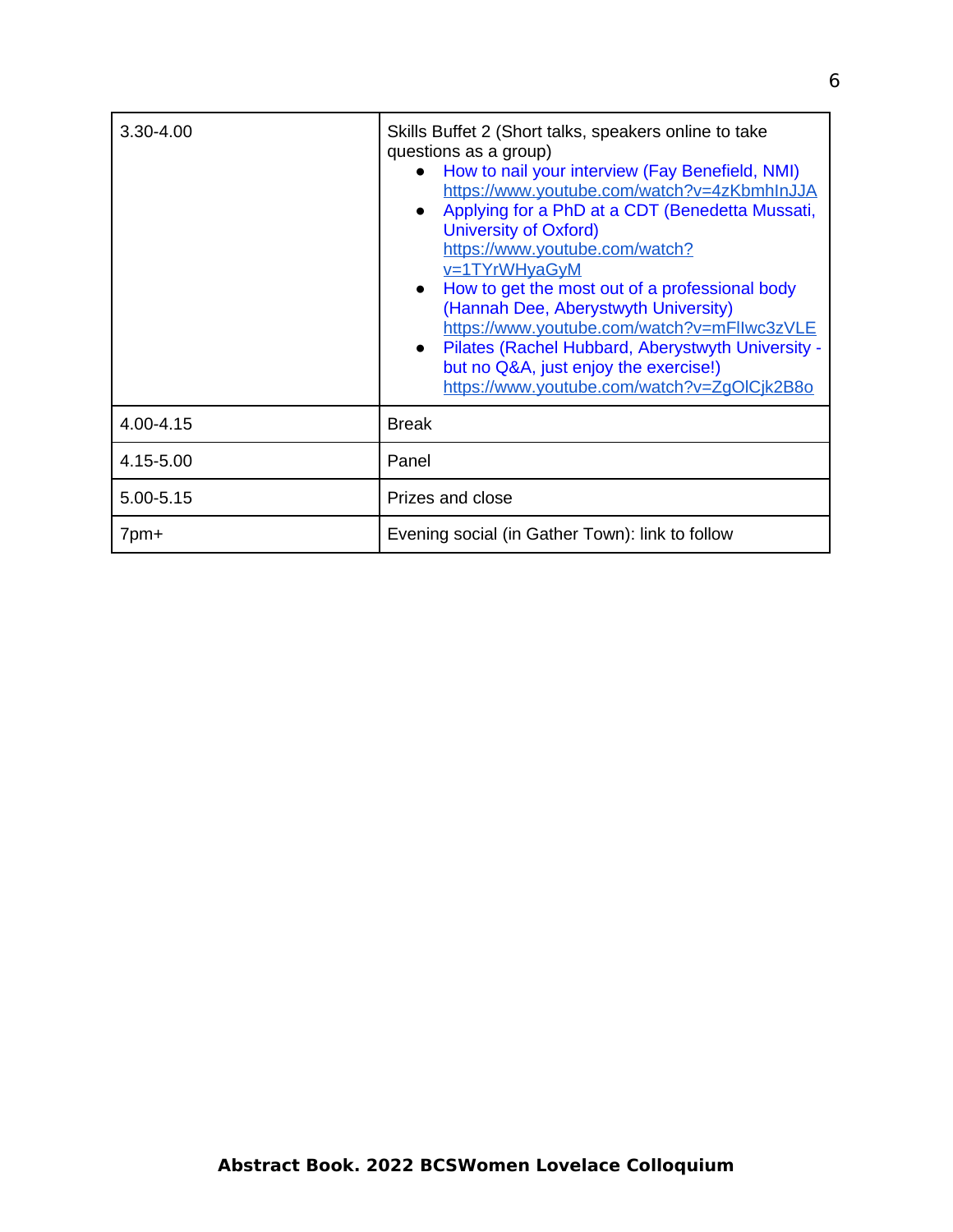| 3.30-4.00 | Skills Buffet 2 (Short talks, speakers online to take<br>questions as a group)<br>How to nail your interview (Fay Benefield, NMI)<br>https://www.youtube.com/watch?v=4zKbmhInJJA<br>Applying for a PhD at a CDT (Benedetta Mussati,<br>University of Oxford)<br>https://www.youtube.com/watch?<br>v=1TYrWHyaGyM<br>How to get the most out of a professional body<br>(Hannah Dee, Aberystwyth University)<br>https://www.youtube.com/watch?v=mFllwc3zVLE<br>Pilates (Rachel Hubbard, Aberystwyth University -<br>but no Q&A, just enjoy the exercise!)<br>https://www.youtube.com/watch?v=ZqOlCjk2B8o |
|-----------|-------------------------------------------------------------------------------------------------------------------------------------------------------------------------------------------------------------------------------------------------------------------------------------------------------------------------------------------------------------------------------------------------------------------------------------------------------------------------------------------------------------------------------------------------------------------------------------------------------|
| 4.00-4.15 | <b>Break</b>                                                                                                                                                                                                                                                                                                                                                                                                                                                                                                                                                                                          |
| 4.15-5.00 | Panel                                                                                                                                                                                                                                                                                                                                                                                                                                                                                                                                                                                                 |
| 5.00-5.15 | Prizes and close                                                                                                                                                                                                                                                                                                                                                                                                                                                                                                                                                                                      |
| 7pm+      | Evening social (in Gather Town): link to follow                                                                                                                                                                                                                                                                                                                                                                                                                                                                                                                                                       |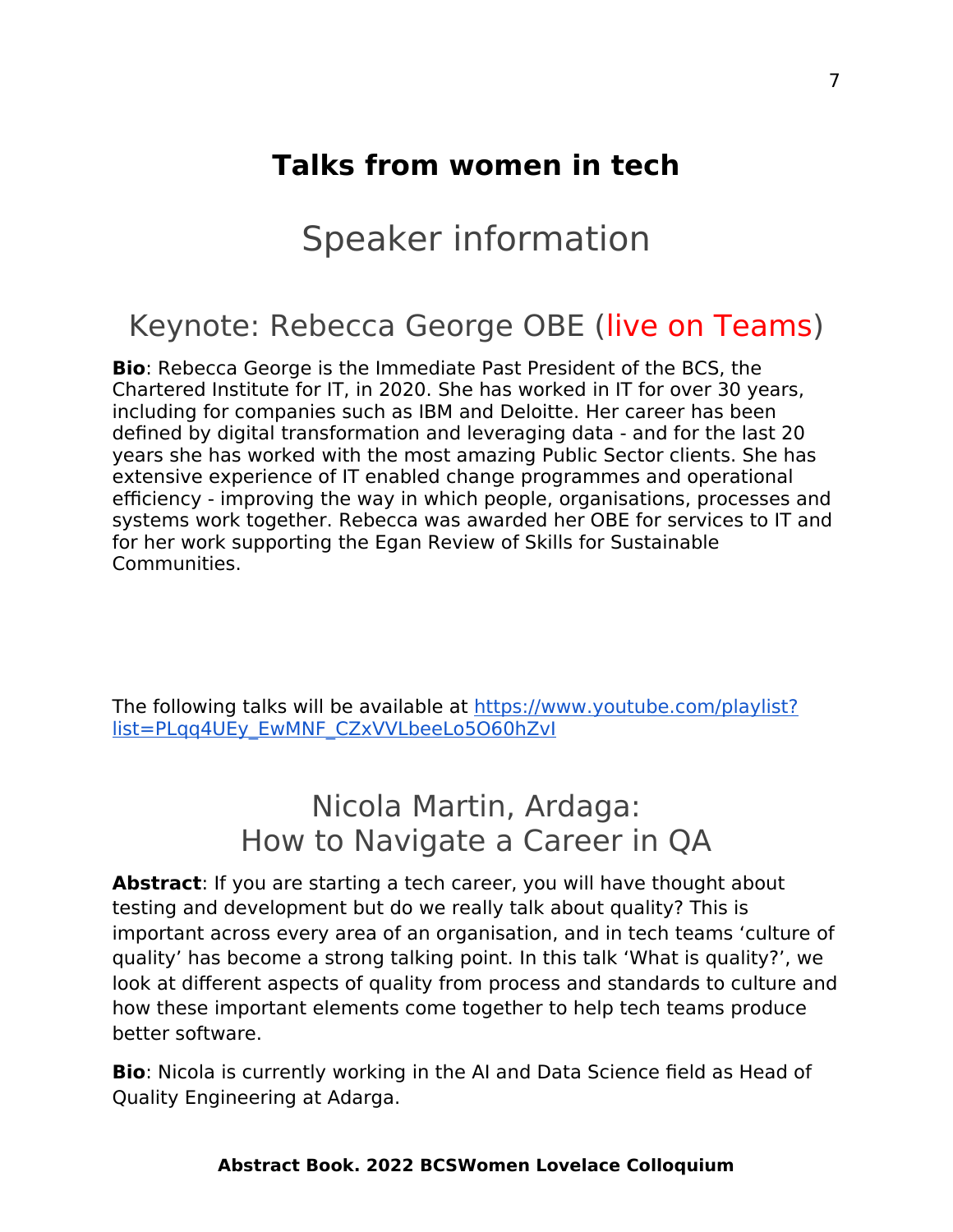## <span id="page-6-1"></span>**Talks from women in tech**

## <span id="page-6-0"></span>Speaker information

### Keynote: Rebecca George OBE (live on Teams)

**Bio**: Rebecca George is the Immediate Past President of the BCS, the Chartered Institute for IT, in 2020. She has worked in IT for over 30 years, including for companies such as IBM and Deloitte. Her career has been defined by digital transformation and leveraging data - and for the last 20 years she has worked with the most amazing Public Sector clients. She has extensive experience of IT enabled change programmes and operational efficiency - improving the way in which people, organisations, processes and systems work together. Rebecca was awarded her OBE for services to IT and for her work supporting the Egan Review of Skills for Sustainable Communities.

The following talks will be available at [https://www.youtube.com/playlist?](https://www.youtube.com/playlist?list=PLqq4UEy_EwMNF_CZxVVLbeeLo5O60hZvI) [list=PLqq4UEy\\_EwMNF\\_CZxVVLbeeLo5O60hZvI](https://www.youtube.com/playlist?list=PLqq4UEy_EwMNF_CZxVVLbeeLo5O60hZvI)

## Nicola Martin, Ardaga: How to Navigate a Career in QA

**Abstract**: If you are starting a tech career, you will have thought about testing and development but do we really talk about quality? This is important across every area of an organisation, and in tech teams 'culture of quality' has become a strong talking point. In this talk 'What is quality?', we look at different aspects of quality from process and standards to culture and how these important elements come together to help tech teams produce better software.

**Bio**: Nicola is currently working in the AI and Data Science field as Head of Quality Engineering at Adarga.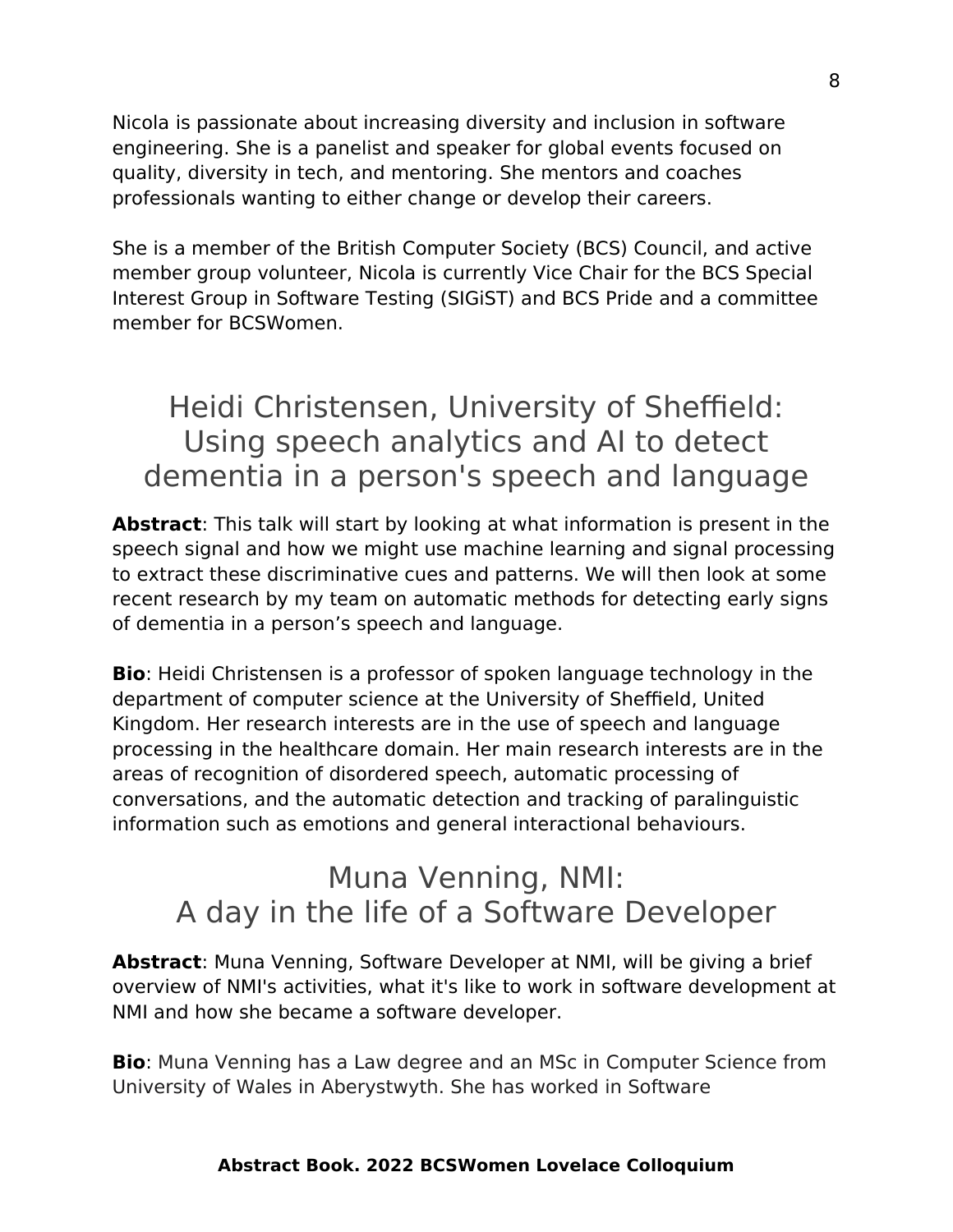Nicola is passionate about increasing diversity and inclusion in software engineering. She is a panelist and speaker for global events focused on quality, diversity in tech, and mentoring. She mentors and coaches professionals wanting to either change or develop their careers.

She is a member of the British Computer Society (BCS) Council, and active member group volunteer, Nicola is currently Vice Chair for the BCS Special Interest Group in Software Testing (SIGiST) and BCS Pride and a committee member for BCSWomen.

## Heidi Christensen, University of Sheffield: Using speech analytics and AI to detect dementia in a person's speech and language

**Abstract**: This talk will start by looking at what information is present in the speech signal and how we might use machine learning and signal processing to extract these discriminative cues and patterns. We will then look at some recent research by my team on automatic methods for detecting early signs of dementia in a person's speech and language.

**Bio**: Heidi Christensen is a professor of spoken language technology in the department of computer science at the University of Sheffield, United Kingdom. Her research interests are in the use of speech and language processing in the healthcare domain. Her main research interests are in the areas of recognition of disordered speech, automatic processing of conversations, and the automatic detection and tracking of paralinguistic information such as emotions and general interactional behaviours.

## Muna Venning, NMI: A day in the life of a Software Developer

**Abstract**: Muna Venning, Software Developer at NMI, will be giving a brief overview of NMI's activities, what it's like to work in software development at NMI and how she became a software developer.

**Bio**: Muna Venning has a Law degree and an MSc in Computer Science from University of Wales in Aberystwyth. She has worked in Software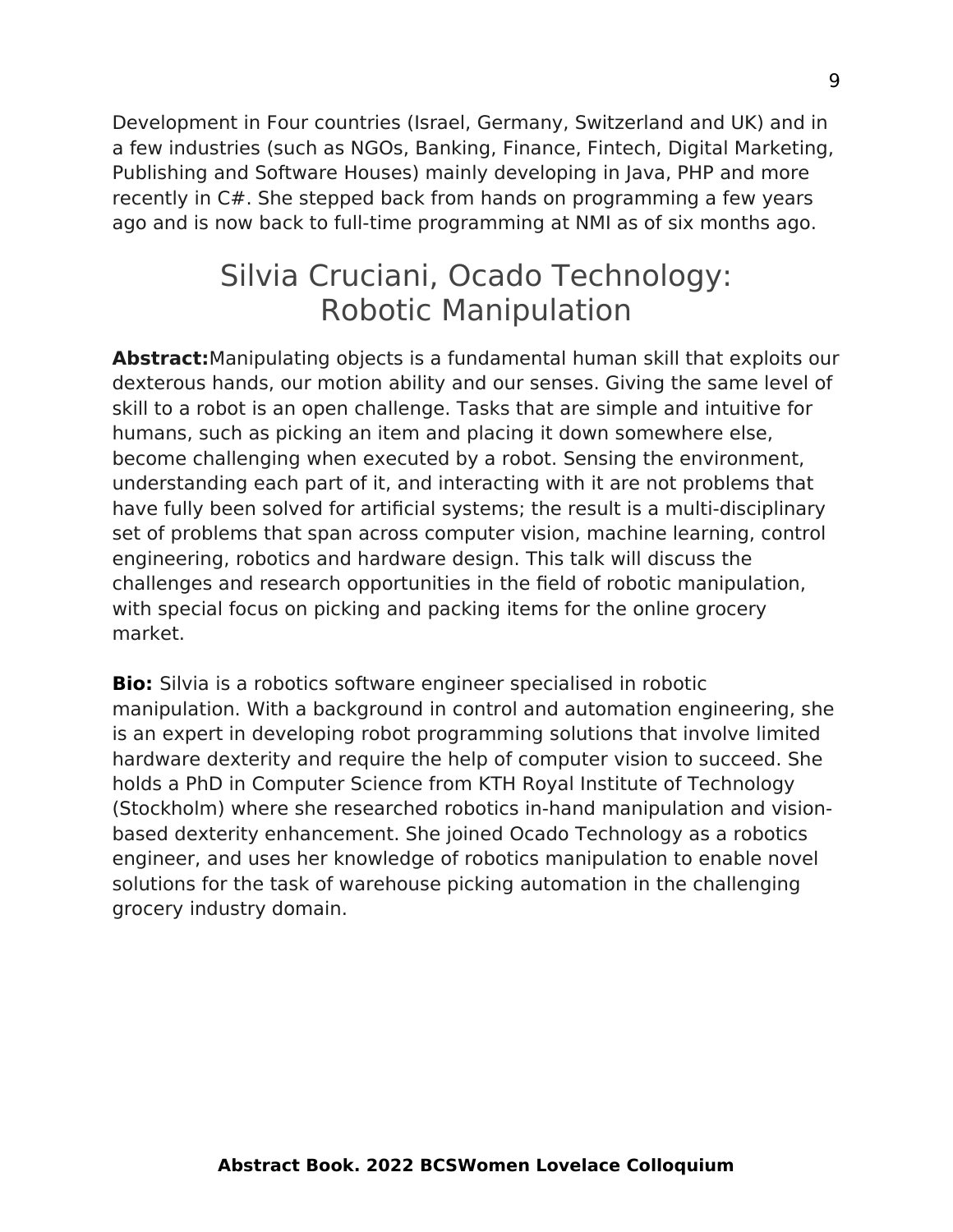Development in Four countries (Israel, Germany, Switzerland and UK) and in a few industries (such as NGOs, Banking, Finance, Fintech, Digital Marketing, Publishing and Software Houses) mainly developing in Java, PHP and more recently in C#. She stepped back from hands on programming a few years ago and is now back to full-time programming at NMI as of six months ago.

## Silvia Cruciani, Ocado Technology: Robotic Manipulation

**Abstract:**Manipulating objects is a fundamental human skill that exploits our dexterous hands, our motion ability and our senses. Giving the same level of skill to a robot is an open challenge. Tasks that are simple and intuitive for humans, such as picking an item and placing it down somewhere else, become challenging when executed by a robot. Sensing the environment, understanding each part of it, and interacting with it are not problems that have fully been solved for artificial systems; the result is a multi-disciplinary set of problems that span across computer vision, machine learning, control engineering, robotics and hardware design. This talk will discuss the challenges and research opportunities in the field of robotic manipulation, with special focus on picking and packing items for the online grocery market.

**Bio:** Silvia is a robotics software engineer specialised in robotic manipulation. With a background in control and automation engineering, she is an expert in developing robot programming solutions that involve limited hardware dexterity and require the help of computer vision to succeed. She holds a PhD in Computer Science from KTH Royal Institute of Technology (Stockholm) where she researched robotics in-hand manipulation and visionbased dexterity enhancement. She joined Ocado Technology as a robotics engineer, and uses her knowledge of robotics manipulation to enable novel solutions for the task of warehouse picking automation in the challenging grocery industry domain.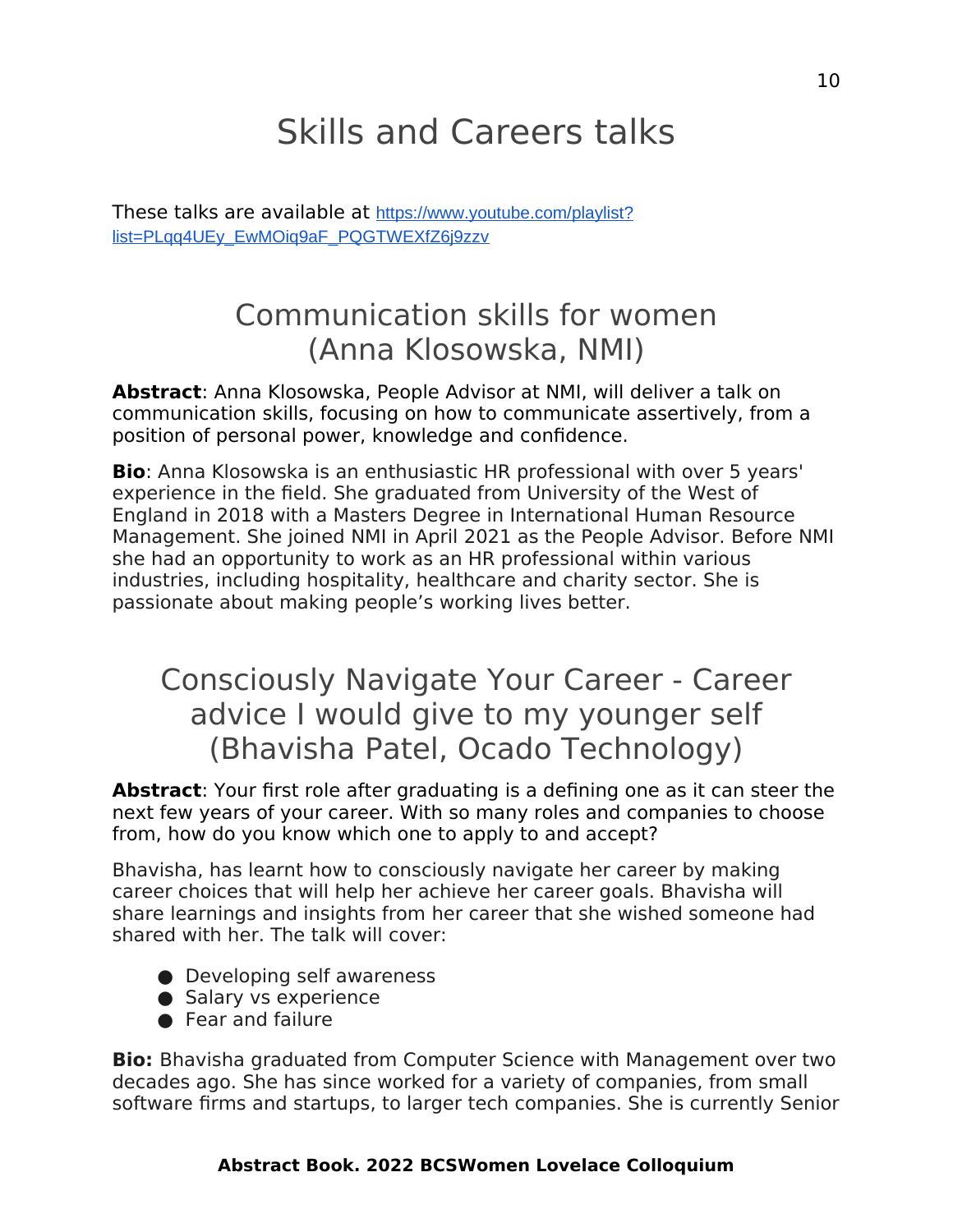# <span id="page-9-0"></span>Skills and Careers talks

These talks are available at [https://www.youtube.com/playlist?](https://www.youtube.com/playlist?list=PLqq4UEy_EwMOiq9aF_PQGTWEXfZ6j9zzv) [list=PLqq4UEy\\_EwMOiq9aF\\_PQGTWEXfZ6j9zzv](https://www.youtube.com/playlist?list=PLqq4UEy_EwMOiq9aF_PQGTWEXfZ6j9zzv)

## Communication skills for women (Anna Klosowska, NMI)

**Abstract**: Anna Klosowska, People Advisor at NMI, will deliver a talk on communication skills, focusing on how to communicate assertively, from a position of personal power, knowledge and confidence.

**Bio**: Anna Klosowska is an enthusiastic HR professional with over 5 years' experience in the field. She graduated from University of the West of England in 2018 with a Masters Degree in International Human Resource Management. She joined NMI in April 2021 as the People Advisor. Before NMI she had an opportunity to work as an HR professional within various industries, including hospitality, healthcare and charity sector. She is passionate about making people's working lives better.

## Consciously Navigate Your Career - Career advice I would give to my younger self (Bhavisha Patel, Ocado Technology)

**Abstract**: Your first role after graduating is a defining one as it can steer the next few years of your career. With so many roles and companies to choose from, how do you know which one to apply to and accept?

Bhavisha, has learnt how to consciously navigate her career by making career choices that will help her achieve her career goals. Bhavisha will share learnings and insights from her career that she wished someone had shared with her. The talk will cover:

- Developing self awareness
- Salary vs experience
- Fear and failure

**Bio:** Bhavisha graduated from Computer Science with Management over two decades ago. She has since worked for a variety of companies, from small software firms and startups, to larger tech companies. She is currently Senior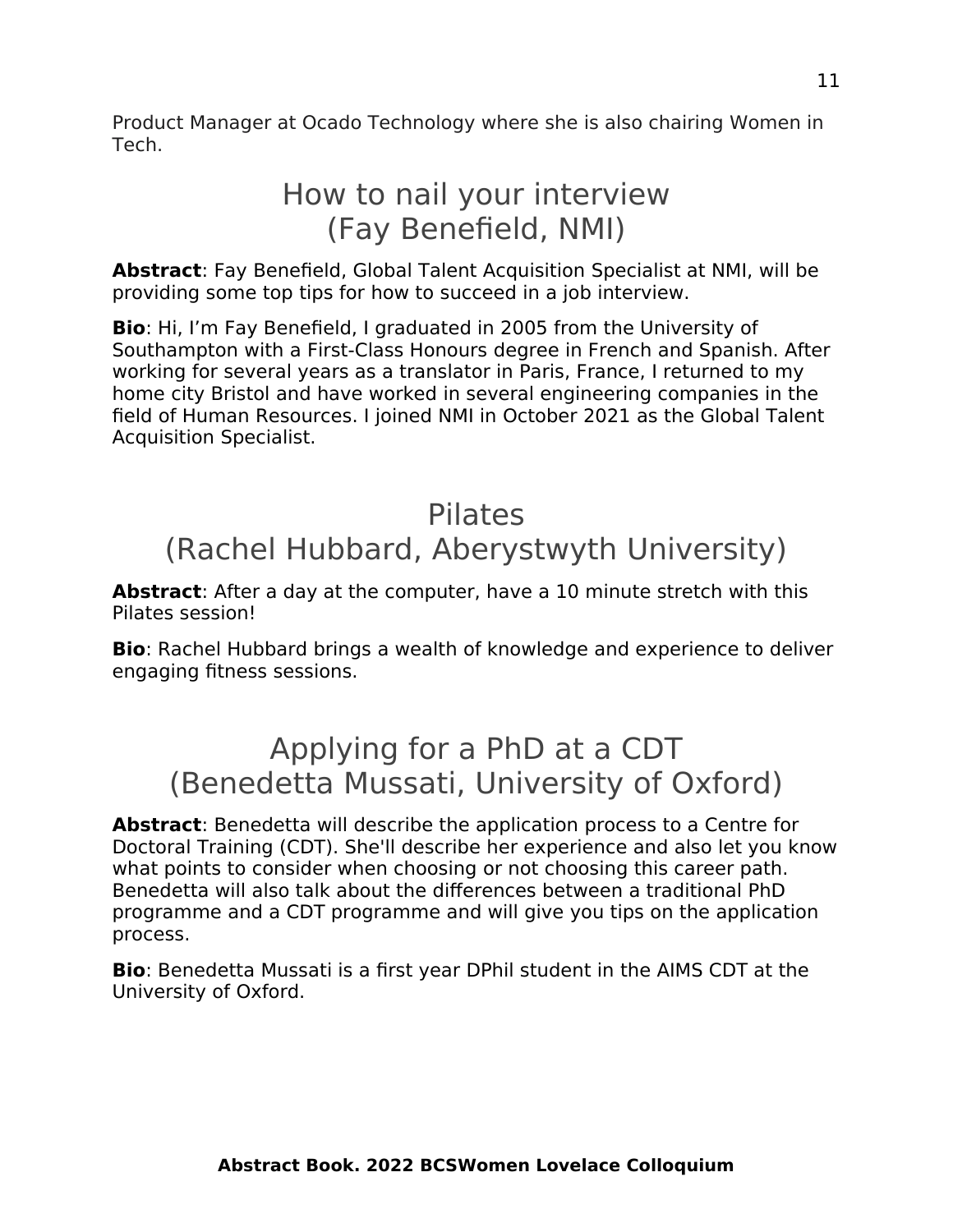Product Manager at Ocado Technology where she is also chairing Women in Tech.

## How to nail your interview (Fay Benefield, NMI)

**Abstract**: Fay Benefield, Global Talent Acquisition Specialist at NMI, will be providing some top tips for how to succeed in a job interview.

**Bio**: Hi, I'm Fay Benefield, I graduated in 2005 from the University of Southampton with a First-Class Honours degree in French and Spanish. After working for several years as a translator in Paris, France, I returned to my home city Bristol and have worked in several engineering companies in the field of Human Resources. I joined NMI in October 2021 as the Global Talent Acquisition Specialist.

## Pilates (Rachel Hubbard, Aberystwyth University)

**Abstract**: After a day at the computer, have a 10 minute stretch with this Pilates session!

**Bio**: Rachel Hubbard brings a wealth of knowledge and experience to deliver engaging fitness sessions.

## Applying for a PhD at a CDT (Benedetta Mussati, University of Oxford)

**Abstract**: Benedetta will describe the application process to a Centre for Doctoral Training (CDT). She'll describe her experience and also let you know what points to consider when choosing or not choosing this career path. Benedetta will also talk about the differences between a traditional PhD programme and a CDT programme and will give you tips on the application process.

**Bio**: Benedetta Mussati is a first year DPhil student in the AIMS CDT at the University of Oxford.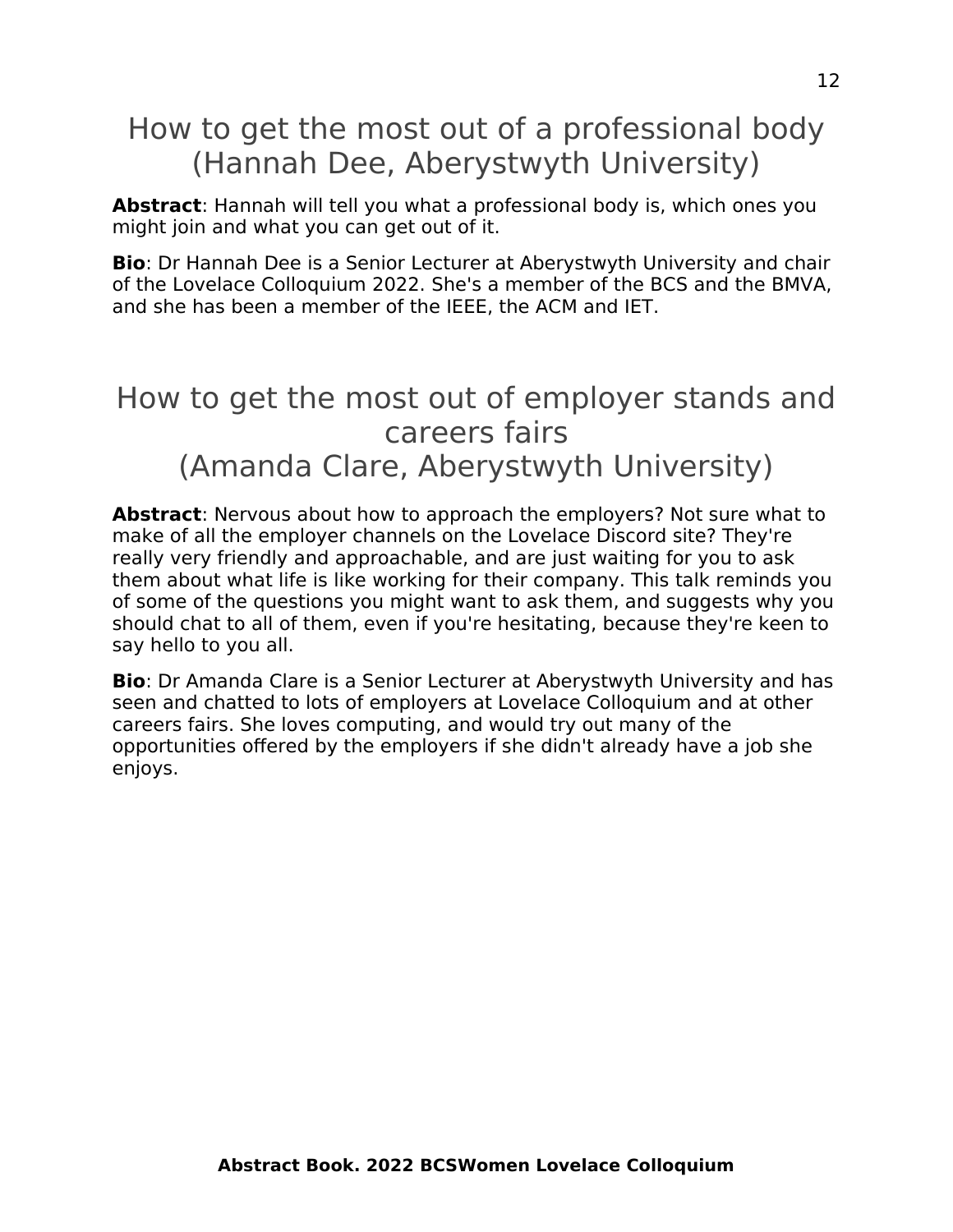## How to get the most out of a professional body (Hannah Dee, Aberystwyth University)

**Abstract**: Hannah will tell you what a professional body is, which ones you might join and what you can get out of it.

**Bio**: Dr Hannah Dee is a Senior Lecturer at Aberystwyth University and chair of the Lovelace Colloquium 2022. She's a member of the BCS and the BMVA, and she has been a member of the IEEE, the ACM and IET.

## How to get the most out of employer stands and careers fairs (Amanda Clare, Aberystwyth University)

**Abstract**: Nervous about how to approach the employers? Not sure what to make of all the employer channels on the Lovelace Discord site? They're really very friendly and approachable, and are just waiting for you to ask them about what life is like working for their company. This talk reminds you of some of the questions you might want to ask them, and suggests why you should chat to all of them, even if you're hesitating, because they're keen to say hello to you all.

**Bio**: Dr Amanda Clare is a Senior Lecturer at Aberystwyth University and has seen and chatted to lots of employers at Lovelace Colloquium and at other careers fairs. She loves computing, and would try out many of the opportunities offered by the employers if she didn't already have a job she enjoys.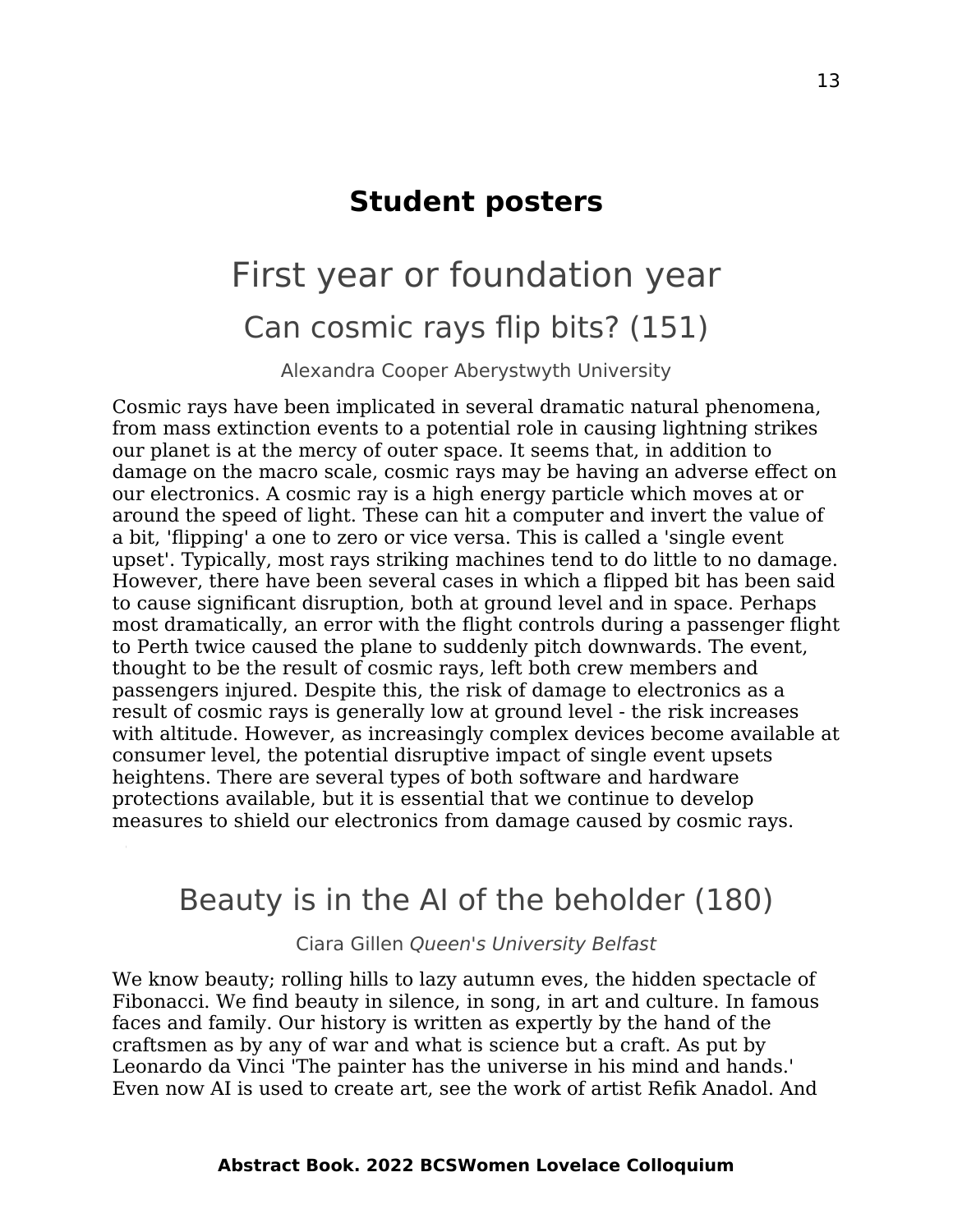### <span id="page-12-1"></span>**Student posters**

# <span id="page-12-0"></span>First year or foundation year Can cosmic rays flip bits? (151)

Alexandra Cooper Aberystwyth University

Cosmic rays have been implicated in several dramatic natural phenomena, from mass extinction events to a potential role in causing lightning strikes our planet is at the mercy of outer space. It seems that, in addition to damage on the macro scale, cosmic rays may be having an adverse effect on our electronics. A cosmic ray is a high energy particle which moves at or around the speed of light. These can hit a computer and invert the value of a bit, 'flipping' a one to zero or vice versa. This is called a 'single event upset'. Typically, most rays striking machines tend to do little to no damage. However, there have been several cases in which a flipped bit has been said to cause significant disruption, both at ground level and in space. Perhaps most dramatically, an error with the flight controls during a passenger flight to Perth twice caused the plane to suddenly pitch downwards. The event, thought to be the result of cosmic rays, left both crew members and passengers injured. Despite this, the risk of damage to electronics as a result of cosmic rays is generally low at ground level - the risk increases with altitude. However, as increasingly complex devices become available at consumer level, the potential disruptive impact of single event upsets heightens. There are several types of both software and hardware protections available, but it is essential that we continue to develop measures to shield our electronics from damage caused by cosmic rays.

### Beauty is in the AI of the beholder (180)

Ciara Gillen Queen's University Belfast

We know beauty; rolling hills to lazy autumn eves, the hidden spectacle of Fibonacci. We find beauty in silence, in song, in art and culture. In famous faces and family. Our history is written as expertly by the hand of the craftsmen as by any of war and what is science but a craft. As put by Leonardo da Vinci 'The painter has the universe in his mind and hands.' Even now AI is used to create art, see the work of artist Refik Anadol. And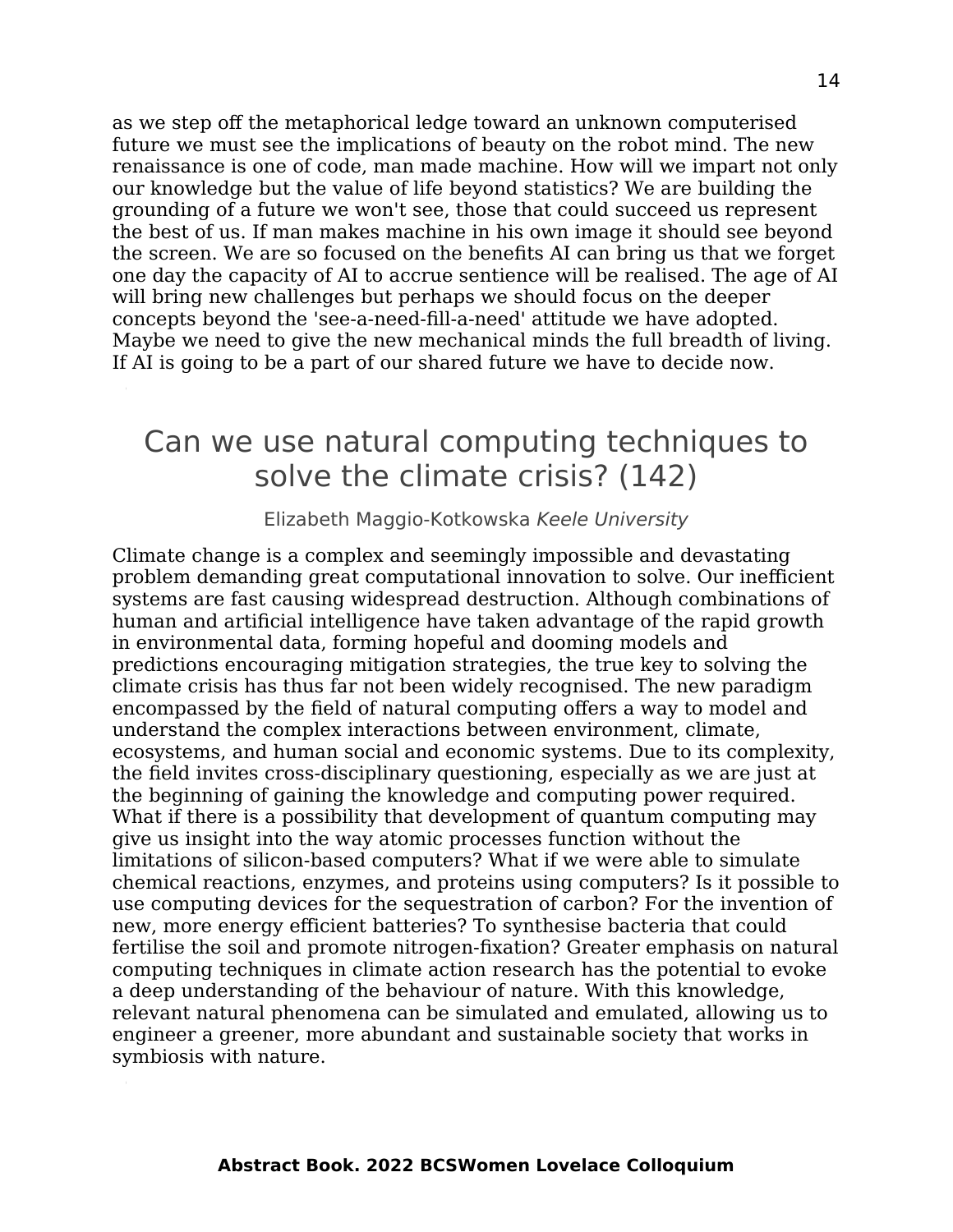as we step off the metaphorical ledge toward an unknown computerised future we must see the implications of beauty on the robot mind. The new renaissance is one of code, man made machine. How will we impart not only our knowledge but the value of life beyond statistics? We are building the grounding of a future we won't see, those that could succeed us represent the best of us. If man makes machine in his own image it should see beyond the screen. We are so focused on the benefits AI can bring us that we forget one day the capacity of AI to accrue sentience will be realised. The age of AI will bring new challenges but perhaps we should focus on the deeper concepts beyond the 'see-a-need-fill-a-need' attitude we have adopted. Maybe we need to give the new mechanical minds the full breadth of living. If AI is going to be a part of our shared future we have to decide now.

### Can we use natural computing techniques to solve the climate crisis? (142)

Elizabeth Maggio-Kotkowska Keele University

Climate change is a complex and seemingly impossible and devastating problem demanding great computational innovation to solve. Our inefficient systems are fast causing widespread destruction. Although combinations of human and artificial intelligence have taken advantage of the rapid growth in environmental data, forming hopeful and dooming models and predictions encouraging mitigation strategies, the true key to solving the climate crisis has thus far not been widely recognised. The new paradigm encompassed by the field of natural computing offers a way to model and understand the complex interactions between environment, climate, ecosystems, and human social and economic systems. Due to its complexity, the field invites cross-disciplinary questioning, especially as we are just at the beginning of gaining the knowledge and computing power required. What if there is a possibility that development of quantum computing may give us insight into the way atomic processes function without the limitations of silicon-based computers? What if we were able to simulate chemical reactions, enzymes, and proteins using computers? Is it possible to use computing devices for the sequestration of carbon? For the invention of new, more energy efficient batteries? To synthesise bacteria that could fertilise the soil and promote nitrogen-fixation? Greater emphasis on natural computing techniques in climate action research has the potential to evoke a deep understanding of the behaviour of nature. With this knowledge, relevant natural phenomena can be simulated and emulated, allowing us to engineer a greener, more abundant and sustainable society that works in symbiosis with nature.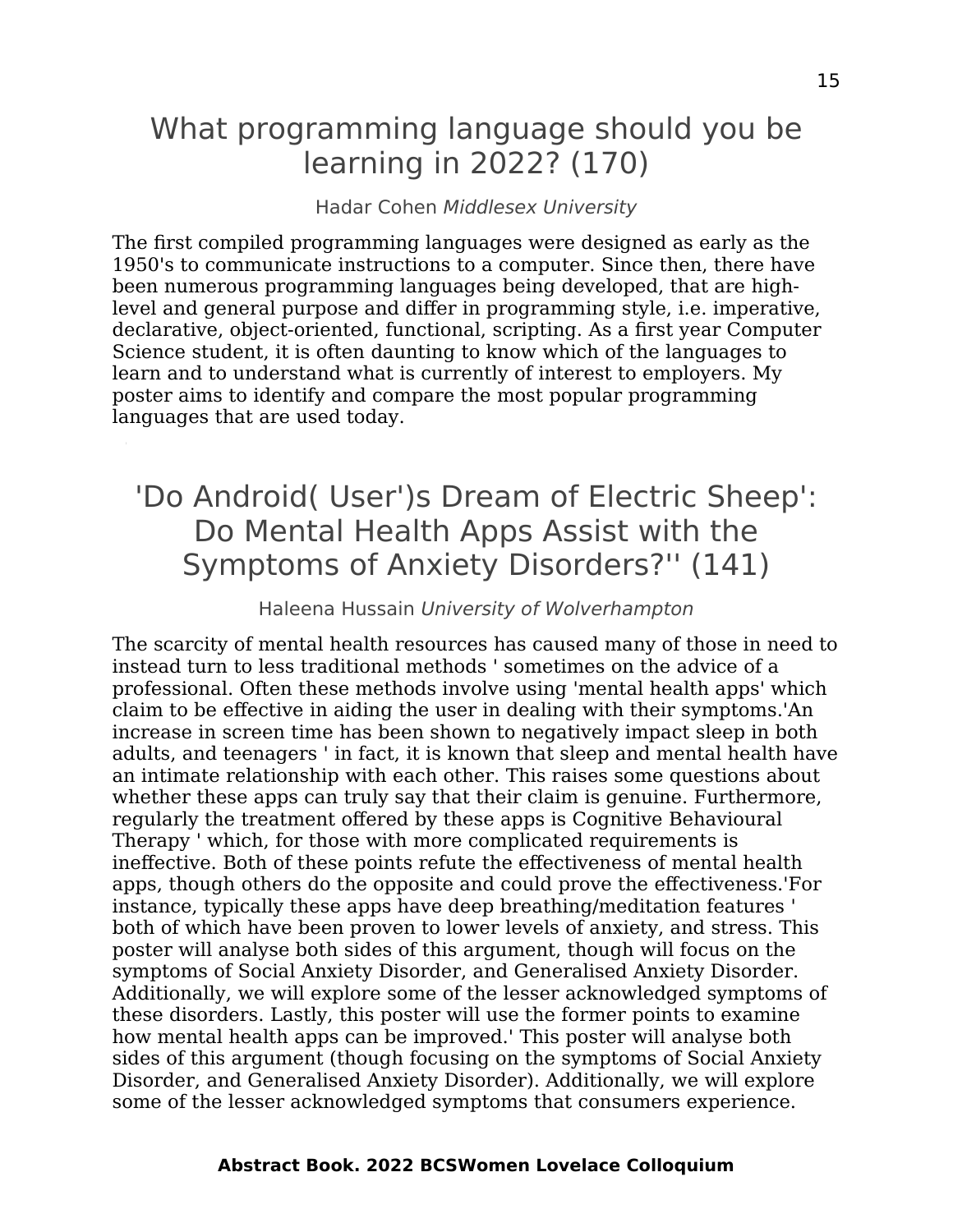### What programming language should you be learning in 2022? (170)

#### Hadar Cohen Middlesex University

The first compiled programming languages were designed as early as the 1950's to communicate instructions to a computer. Since then, there have been numerous programming languages being developed, that are highlevel and general purpose and differ in programming style, i.e. imperative, declarative, object-oriented, functional, scripting. As a first year Computer Science student, it is often daunting to know which of the languages to learn and to understand what is currently of interest to employers. My poster aims to identify and compare the most popular programming languages that are used today.

### 'Do Android( User')s Dream of Electric Sheep': Do Mental Health Apps Assist with the Symptoms of Anxiety Disorders?'' (141)

#### Haleena Hussain University of Wolverhampton

The scarcity of mental health resources has caused many of those in need to instead turn to less traditional methods ' sometimes on the advice of a professional. Often these methods involve using 'mental health apps' which claim to be effective in aiding the user in dealing with their symptoms.'An increase in screen time has been shown to negatively impact sleep in both adults, and teenagers ' in fact, it is known that sleep and mental health have an intimate relationship with each other. This raises some questions about whether these apps can truly say that their claim is genuine. Furthermore, regularly the treatment offered by these apps is Cognitive Behavioural Therapy ' which, for those with more complicated requirements is ineffective. Both of these points refute the effectiveness of mental health apps, though others do the opposite and could prove the effectiveness.'For instance, typically these apps have deep breathing/meditation features ' both of which have been proven to lower levels of anxiety, and stress. This poster will analyse both sides of this argument, though will focus on the symptoms of Social Anxiety Disorder, and Generalised Anxiety Disorder. Additionally, we will explore some of the lesser acknowledged symptoms of these disorders. Lastly, this poster will use the former points to examine how mental health apps can be improved.' This poster will analyse both sides of this argument (though focusing on the symptoms of Social Anxiety Disorder, and Generalised Anxiety Disorder). Additionally, we will explore some of the lesser acknowledged symptoms that consumers experience.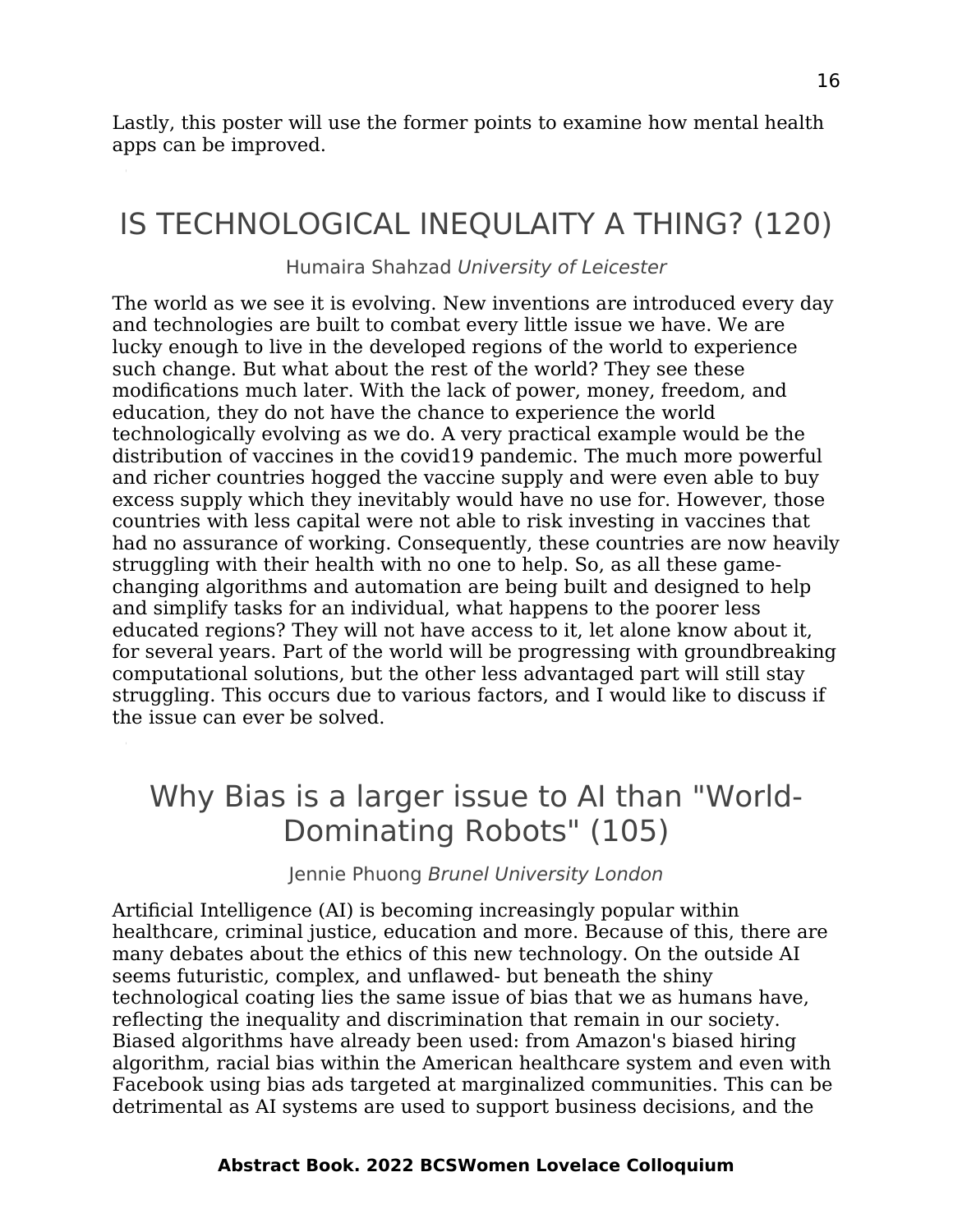Lastly, this poster will use the former points to examine how mental health apps can be improved.

## IS TECHNOLOGICAL INEQULAITY A THING? (120)

Humaira Shahzad University of Leicester

The world as we see it is evolving. New inventions are introduced every day and technologies are built to combat every little issue we have. We are lucky enough to live in the developed regions of the world to experience such change. But what about the rest of the world? They see these modifications much later. With the lack of power, money, freedom, and education, they do not have the chance to experience the world technologically evolving as we do. A very practical example would be the distribution of vaccines in the covid19 pandemic. The much more powerful and richer countries hogged the vaccine supply and were even able to buy excess supply which they inevitably would have no use for. However, those countries with less capital were not able to risk investing in vaccines that had no assurance of working. Consequently, these countries are now heavily struggling with their health with no one to help. So, as all these gamechanging algorithms and automation are being built and designed to help and simplify tasks for an individual, what happens to the poorer less educated regions? They will not have access to it, let alone know about it, for several years. Part of the world will be progressing with groundbreaking computational solutions, but the other less advantaged part will still stay struggling. This occurs due to various factors, and I would like to discuss if the issue can ever be solved.

## Why Bias is a larger issue to AI than "World-Dominating Robots" (105)

Jennie Phuong Brunel University London

Artificial Intelligence (AI) is becoming increasingly popular within healthcare, criminal justice, education and more. Because of this, there are many debates about the ethics of this new technology. On the outside AI seems futuristic, complex, and unflawed- but beneath the shiny technological coating lies the same issue of bias that we as humans have, reflecting the inequality and discrimination that remain in our society. Biased algorithms have already been used: from Amazon's biased hiring algorithm, racial bias within the American healthcare system and even with Facebook using bias ads targeted at marginalized communities. This can be detrimental as AI systems are used to support business decisions, and the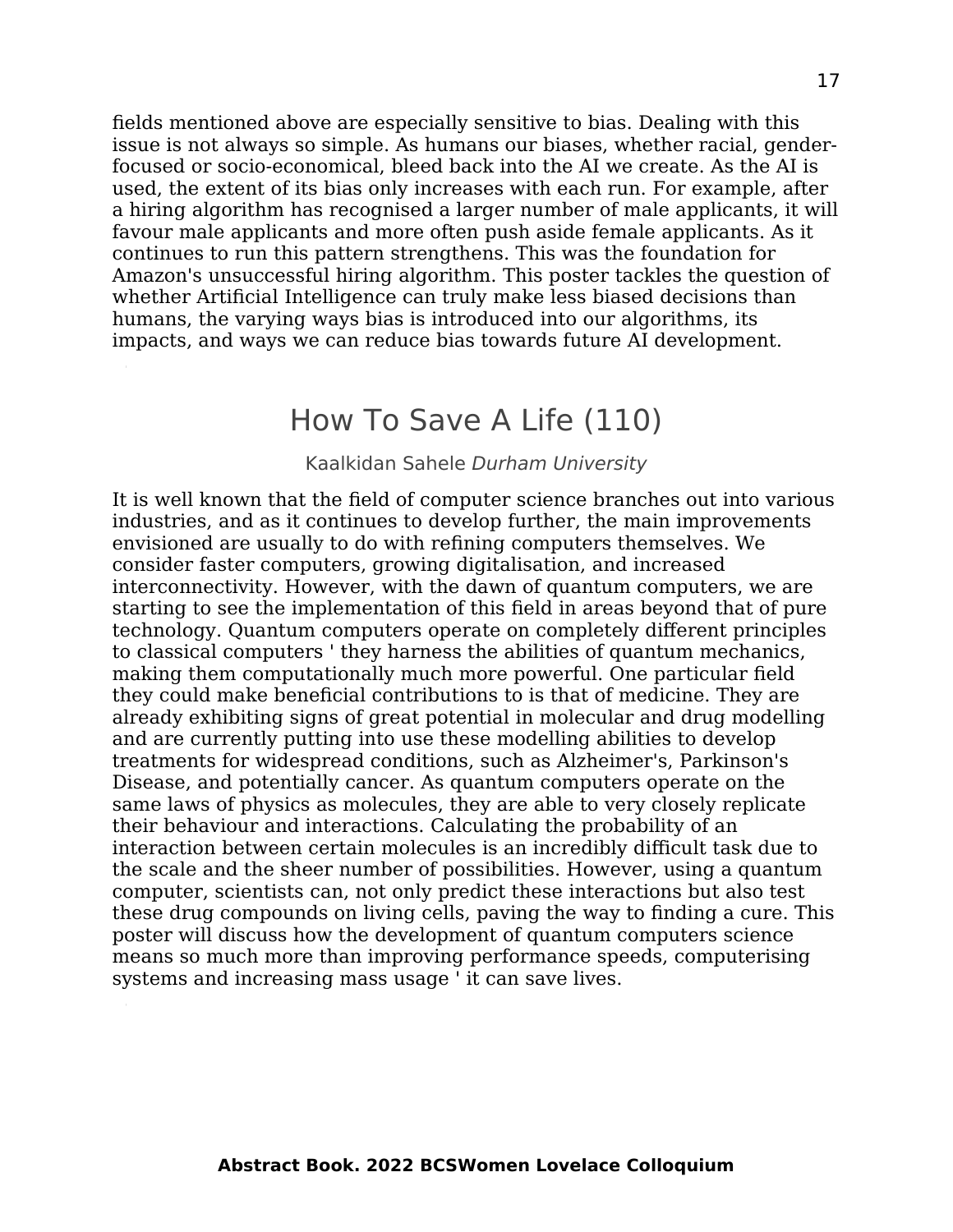fields mentioned above are especially sensitive to bias. Dealing with this issue is not always so simple. As humans our biases, whether racial, genderfocused or socio-economical, bleed back into the AI we create. As the AI is used, the extent of its bias only increases with each run. For example, after a hiring algorithm has recognised a larger number of male applicants, it will favour male applicants and more often push aside female applicants. As it continues to run this pattern strengthens. This was the foundation for Amazon's unsuccessful hiring algorithm. This poster tackles the question of whether Artificial Intelligence can truly make less biased decisions than humans, the varying ways bias is introduced into our algorithms, its impacts, and ways we can reduce bias towards future AI development.

#### How To Save A Life (110)

#### Kaalkidan Sahele Durham University

It is well known that the field of computer science branches out into various industries, and as it continues to develop further, the main improvements envisioned are usually to do with refining computers themselves. We consider faster computers, growing digitalisation, and increased interconnectivity. However, with the dawn of quantum computers, we are starting to see the implementation of this field in areas beyond that of pure technology. Quantum computers operate on completely different principles to classical computers ' they harness the abilities of quantum mechanics, making them computationally much more powerful. One particular field they could make beneficial contributions to is that of medicine. They are already exhibiting signs of great potential in molecular and drug modelling and are currently putting into use these modelling abilities to develop treatments for widespread conditions, such as Alzheimer's, Parkinson's Disease, and potentially cancer. As quantum computers operate on the same laws of physics as molecules, they are able to very closely replicate their behaviour and interactions. Calculating the probability of an interaction between certain molecules is an incredibly difficult task due to the scale and the sheer number of possibilities. However, using a quantum computer, scientists can, not only predict these interactions but also test these drug compounds on living cells, paving the way to finding a cure. This poster will discuss how the development of quantum computers science means so much more than improving performance speeds, computerising systems and increasing mass usage ' it can save lives.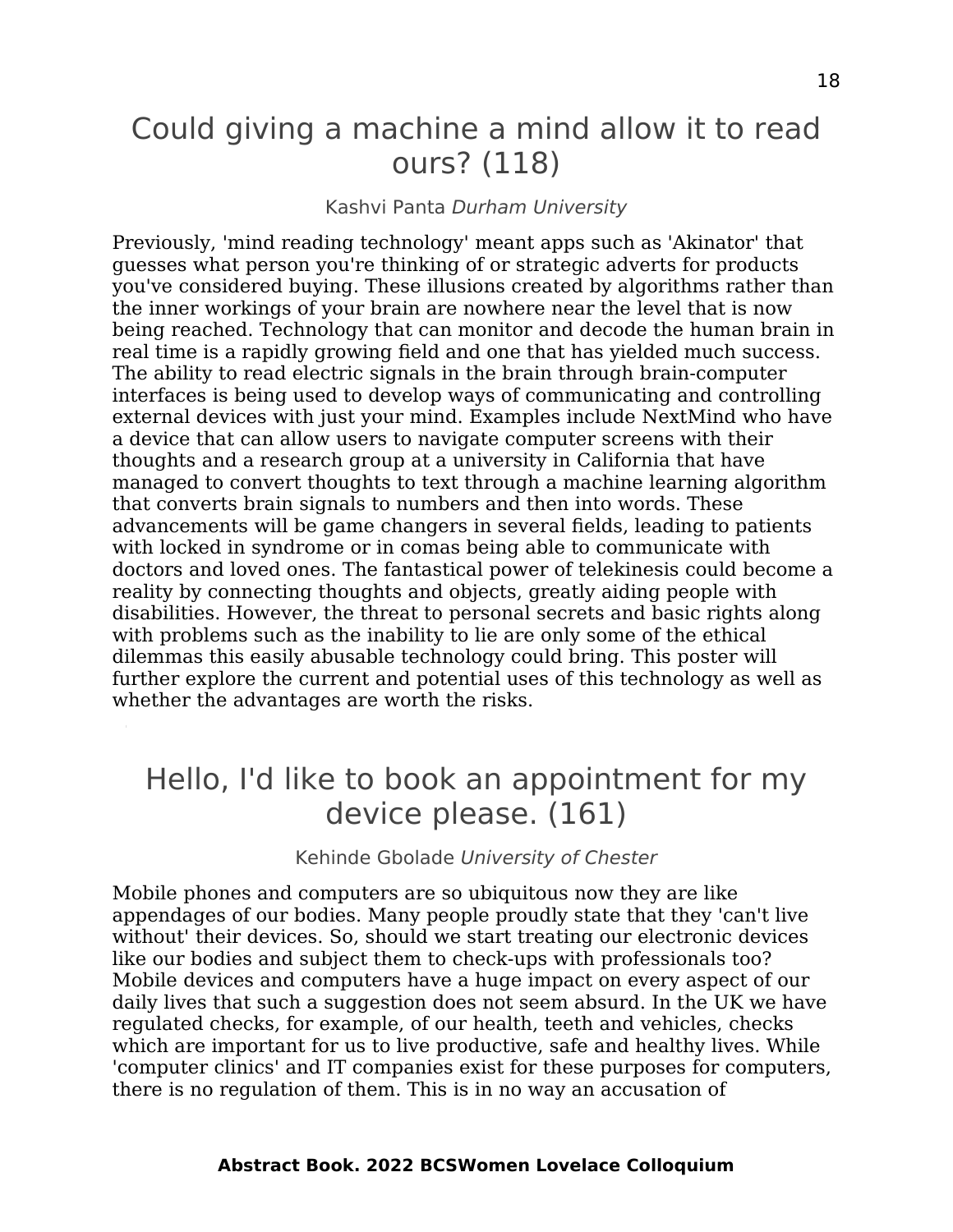### Could giving a machine a mind allow it to read ours? (118)

#### Kashvi Panta Durham University

Previously, 'mind reading technology' meant apps such as 'Akinator' that guesses what person you're thinking of or strategic adverts for products you've considered buying. These illusions created by algorithms rather than the inner workings of your brain are nowhere near the level that is now being reached. Technology that can monitor and decode the human brain in real time is a rapidly growing field and one that has yielded much success. The ability to read electric signals in the brain through brain-computer interfaces is being used to develop ways of communicating and controlling external devices with just your mind. Examples include NextMind who have a device that can allow users to navigate computer screens with their thoughts and a research group at a university in California that have managed to convert thoughts to text through a machine learning algorithm that converts brain signals to numbers and then into words. These advancements will be game changers in several fields, leading to patients with locked in syndrome or in comas being able to communicate with doctors and loved ones. The fantastical power of telekinesis could become a reality by connecting thoughts and objects, greatly aiding people with disabilities. However, the threat to personal secrets and basic rights along with problems such as the inability to lie are only some of the ethical dilemmas this easily abusable technology could bring. This poster will further explore the current and potential uses of this technology as well as whether the advantages are worth the risks.

### Hello, I'd like to book an appointment for my device please. (161)

Kehinde Gbolade University of Chester

Mobile phones and computers are so ubiquitous now they are like appendages of our bodies. Many people proudly state that they 'can't live without' their devices. So, should we start treating our electronic devices like our bodies and subject them to check-ups with professionals too? Mobile devices and computers have a huge impact on every aspect of our daily lives that such a suggestion does not seem absurd. In the UK we have regulated checks, for example, of our health, teeth and vehicles, checks which are important for us to live productive, safe and healthy lives. While 'computer clinics' and IT companies exist for these purposes for computers, there is no regulation of them. This is in no way an accusation of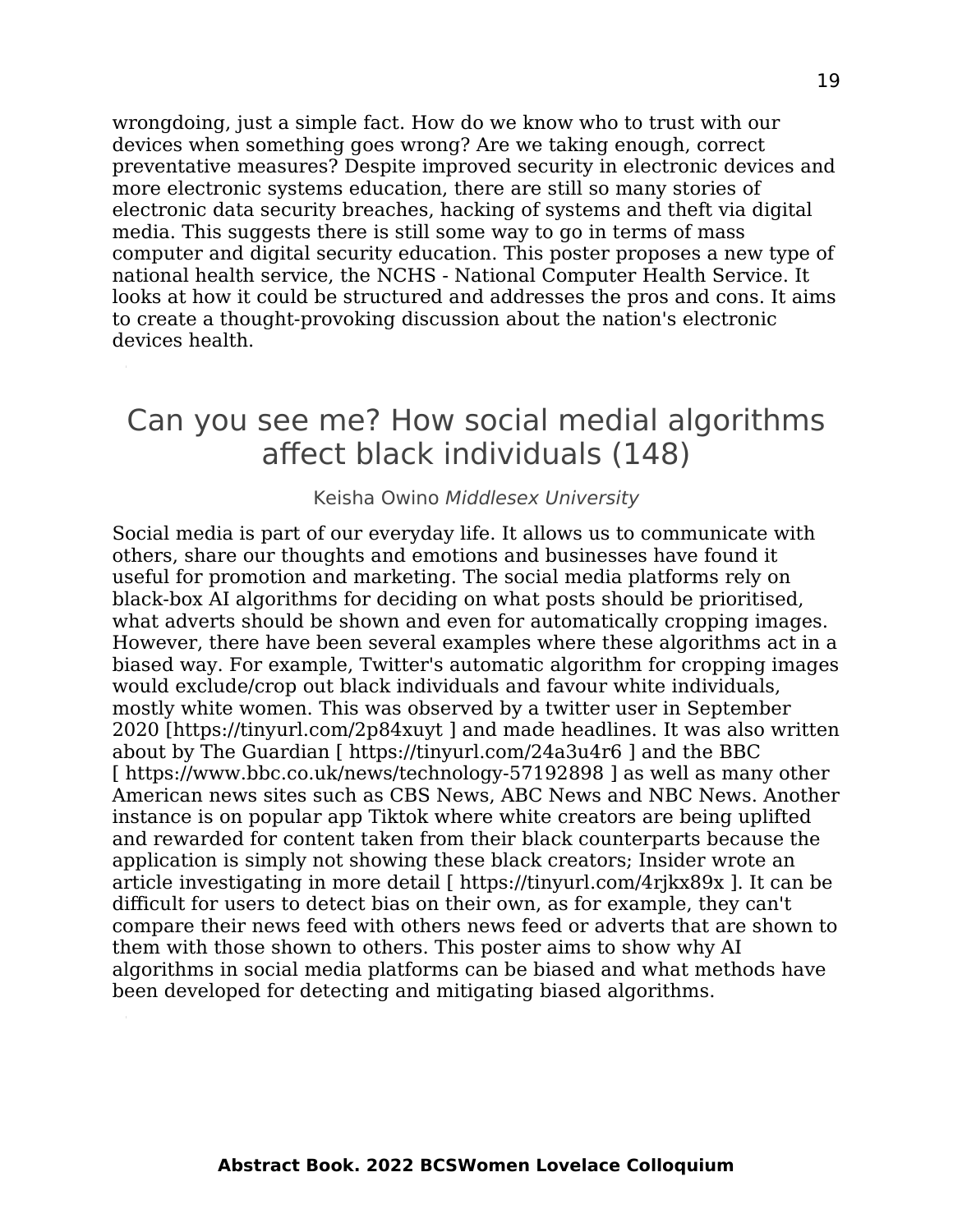wrongdoing, just a simple fact. How do we know who to trust with our devices when something goes wrong? Are we taking enough, correct preventative measures? Despite improved security in electronic devices and more electronic systems education, there are still so many stories of electronic data security breaches, hacking of systems and theft via digital media. This suggests there is still some way to go in terms of mass computer and digital security education. This poster proposes a new type of national health service, the NCHS - National Computer Health Service. It looks at how it could be structured and addresses the pros and cons. It aims to create a thought-provoking discussion about the nation's electronic devices health.

### Can you see me? How social medial algorithms affect black individuals (148)

#### Keisha Owino Middlesex University

Social media is part of our everyday life. It allows us to communicate with others, share our thoughts and emotions and businesses have found it useful for promotion and marketing. The social media platforms rely on black-box AI algorithms for deciding on what posts should be prioritised, what adverts should be shown and even for automatically cropping images. However, there have been several examples where these algorithms act in a biased way. For example, Twitter's automatic algorithm for cropping images would exclude/crop out black individuals and favour white individuals, mostly white women. This was observed by a twitter user in September 2020 [https://tinyurl.com/2p84xuyt ] and made headlines. It was also written about by The Guardian [ https://tinyurl.com/24a3u4r6 ] and the BBC [ https://www.bbc.co.uk/news/technology-57192898 ] as well as many other American news sites such as CBS News, ABC News and NBC News. Another instance is on popular app Tiktok where white creators are being uplifted and rewarded for content taken from their black counterparts because the application is simply not showing these black creators; Insider wrote an article investigating in more detail [ https://tinyurl.com/4rjkx89x ]. It can be difficult for users to detect bias on their own, as for example, they can't compare their news feed with others news feed or adverts that are shown to them with those shown to others. This poster aims to show why AI algorithms in social media platforms can be biased and what methods have been developed for detecting and mitigating biased algorithms.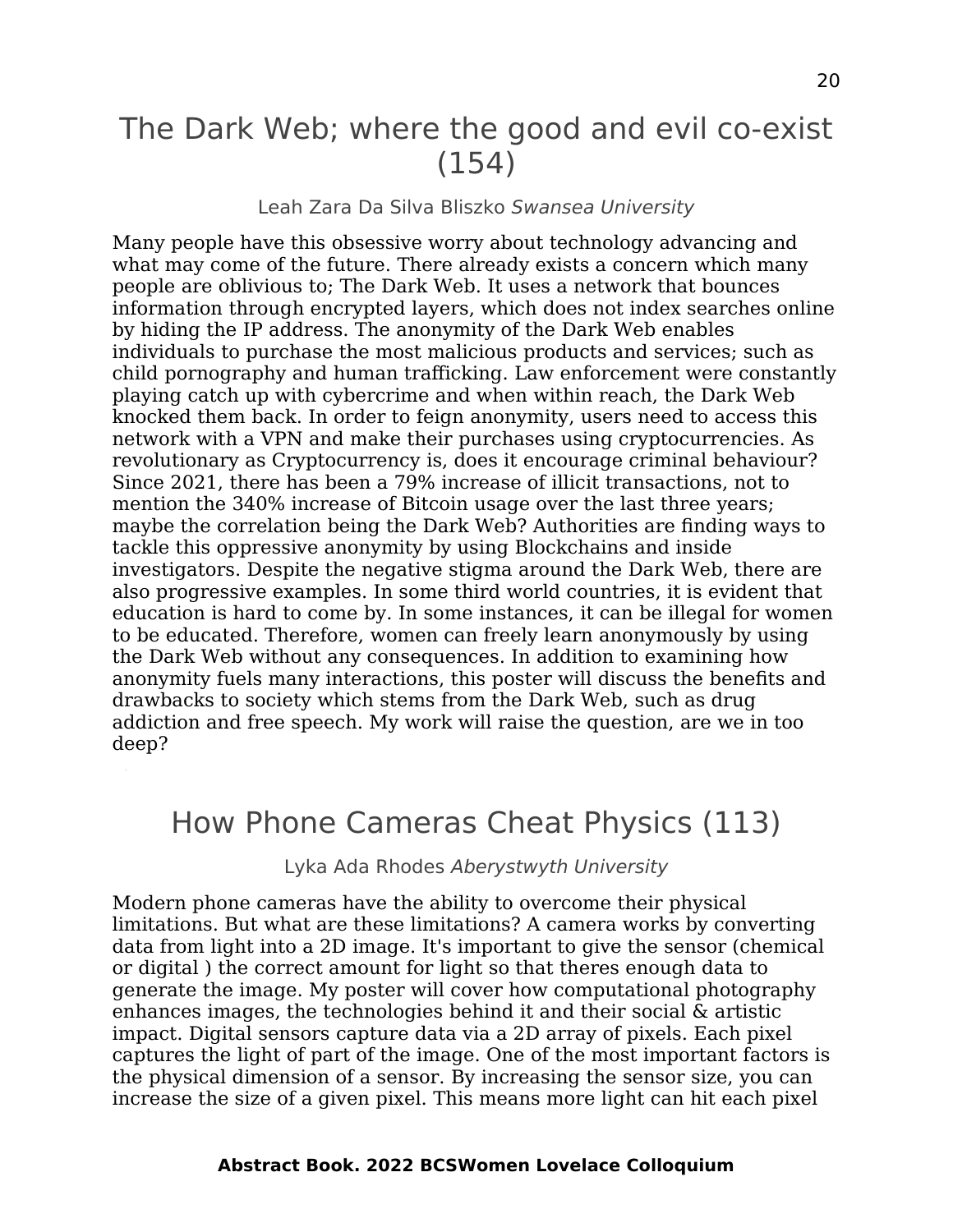### The Dark Web; where the good and evil co-exist (154)

#### Leah Zara Da Silva Bliszko Swansea University

Many people have this obsessive worry about technology advancing and what may come of the future. There already exists a concern which many people are oblivious to; The Dark Web. It uses a network that bounces information through encrypted layers, which does not index searches online by hiding the IP address. The anonymity of the Dark Web enables individuals to purchase the most malicious products and services; such as child pornography and human trafficking. Law enforcement were constantly playing catch up with cybercrime and when within reach, the Dark Web knocked them back. In order to feign anonymity, users need to access this network with a VPN and make their purchases using cryptocurrencies. As revolutionary as Cryptocurrency is, does it encourage criminal behaviour? Since 2021, there has been a 79% increase of illicit transactions, not to mention the 340% increase of Bitcoin usage over the last three years; maybe the correlation being the Dark Web? Authorities are finding ways to tackle this oppressive anonymity by using Blockchains and inside investigators. Despite the negative stigma around the Dark Web, there are also progressive examples. In some third world countries, it is evident that education is hard to come by. In some instances, it can be illegal for women to be educated. Therefore, women can freely learn anonymously by using the Dark Web without any consequences. In addition to examining how anonymity fuels many interactions, this poster will discuss the benefits and drawbacks to society which stems from the Dark Web, such as drug addiction and free speech. My work will raise the question, are we in too deep?

### How Phone Cameras Cheat Physics (113)

#### Lyka Ada Rhodes Aberystwyth University

Modern phone cameras have the ability to overcome their physical limitations. But what are these limitations? A camera works by converting data from light into a 2D image. It's important to give the sensor (chemical or digital ) the correct amount for light so that theres enough data to generate the image. My poster will cover how computational photography enhances images, the technologies behind it and their social & artistic impact. Digital sensors capture data via a 2D array of pixels. Each pixel captures the light of part of the image. One of the most important factors is the physical dimension of a sensor. By increasing the sensor size, you can increase the size of a given pixel. This means more light can hit each pixel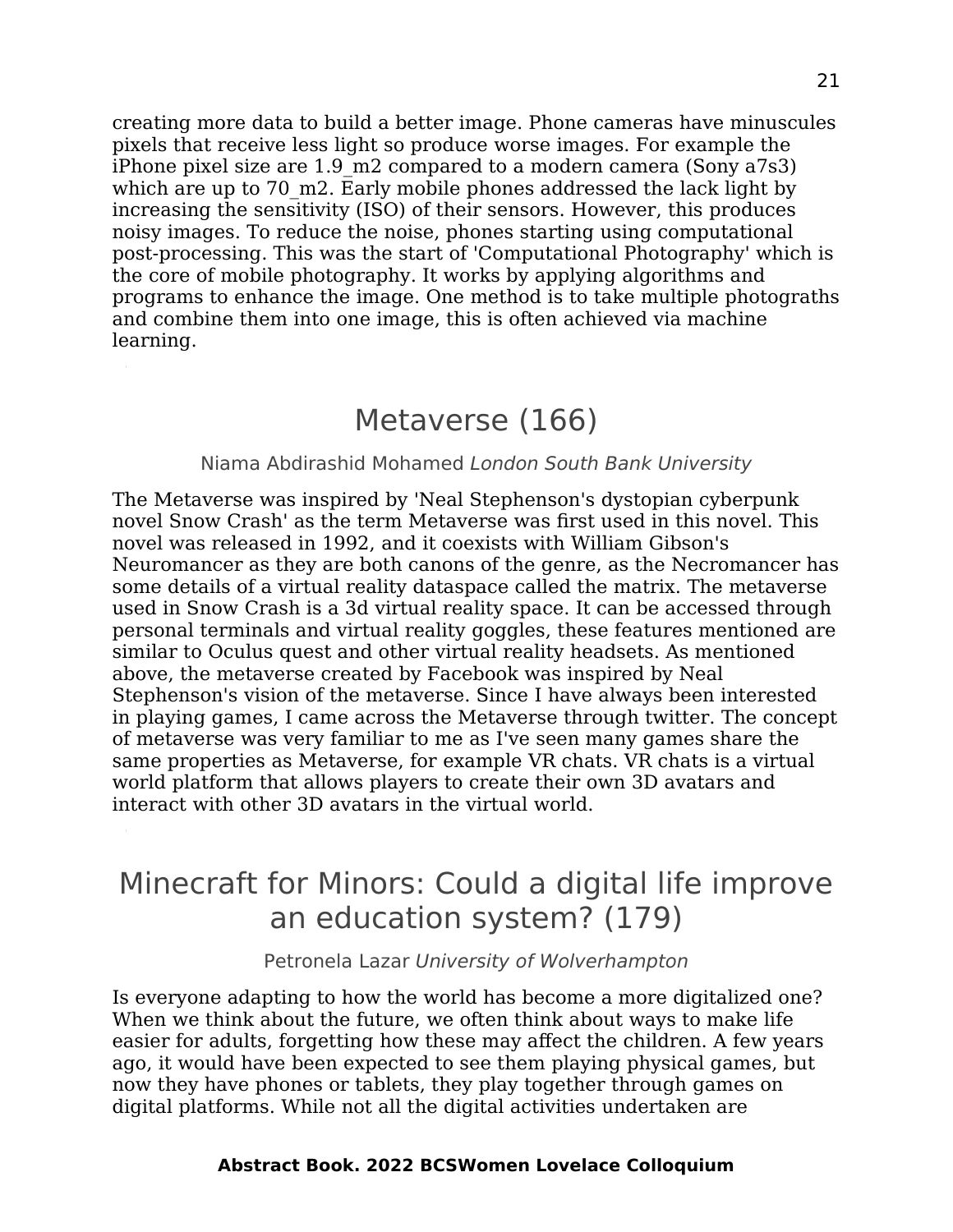creating more data to build a better image. Phone cameras have minuscules pixels that receive less light so produce worse images. For example the iPhone pixel size are 1.9\_m2 compared to a modern camera (Sony a7s3) which are up to 70 m2. Early mobile phones addressed the lack light by increasing the sensitivity (ISO) of their sensors. However, this produces noisy images. To reduce the noise, phones starting using computational post-processing. This was the start of 'Computational Photography' which is the core of mobile photography. It works by applying algorithms and programs to enhance the image. One method is to take multiple photograths and combine them into one image, this is often achieved via machine learning.

### Metaverse (166)

#### Niama Abdirashid Mohamed London South Bank University

The Metaverse was inspired by 'Neal Stephenson's dystopian cyberpunk novel Snow Crash' as the term Metaverse was first used in this novel. This novel was released in 1992, and it coexists with William Gibson's Neuromancer as they are both canons of the genre, as the Necromancer has some details of a virtual reality dataspace called the matrix. The metaverse used in Snow Crash is a 3d virtual reality space. It can be accessed through personal terminals and virtual reality goggles, these features mentioned are similar to Oculus quest and other virtual reality headsets. As mentioned above, the metaverse created by Facebook was inspired by Neal Stephenson's vision of the metaverse. Since I have always been interested in playing games, I came across the Metaverse through twitter. The concept of metaverse was very familiar to me as I've seen many games share the same properties as Metaverse, for example VR chats. VR chats is a virtual world platform that allows players to create their own 3D avatars and interact with other 3D avatars in the virtual world.

## Minecraft for Minors: Could a digital life improve an education system? (179)

Petronela Lazar University of Wolverhampton

Is everyone adapting to how the world has become a more digitalized one? When we think about the future, we often think about ways to make life easier for adults, forgetting how these may affect the children. A few years ago, it would have been expected to see them playing physical games, but now they have phones or tablets, they play together through games on digital platforms. While not all the digital activities undertaken are

#### **Abstract Book. 2022 BCSWomen Lovelace Colloquium**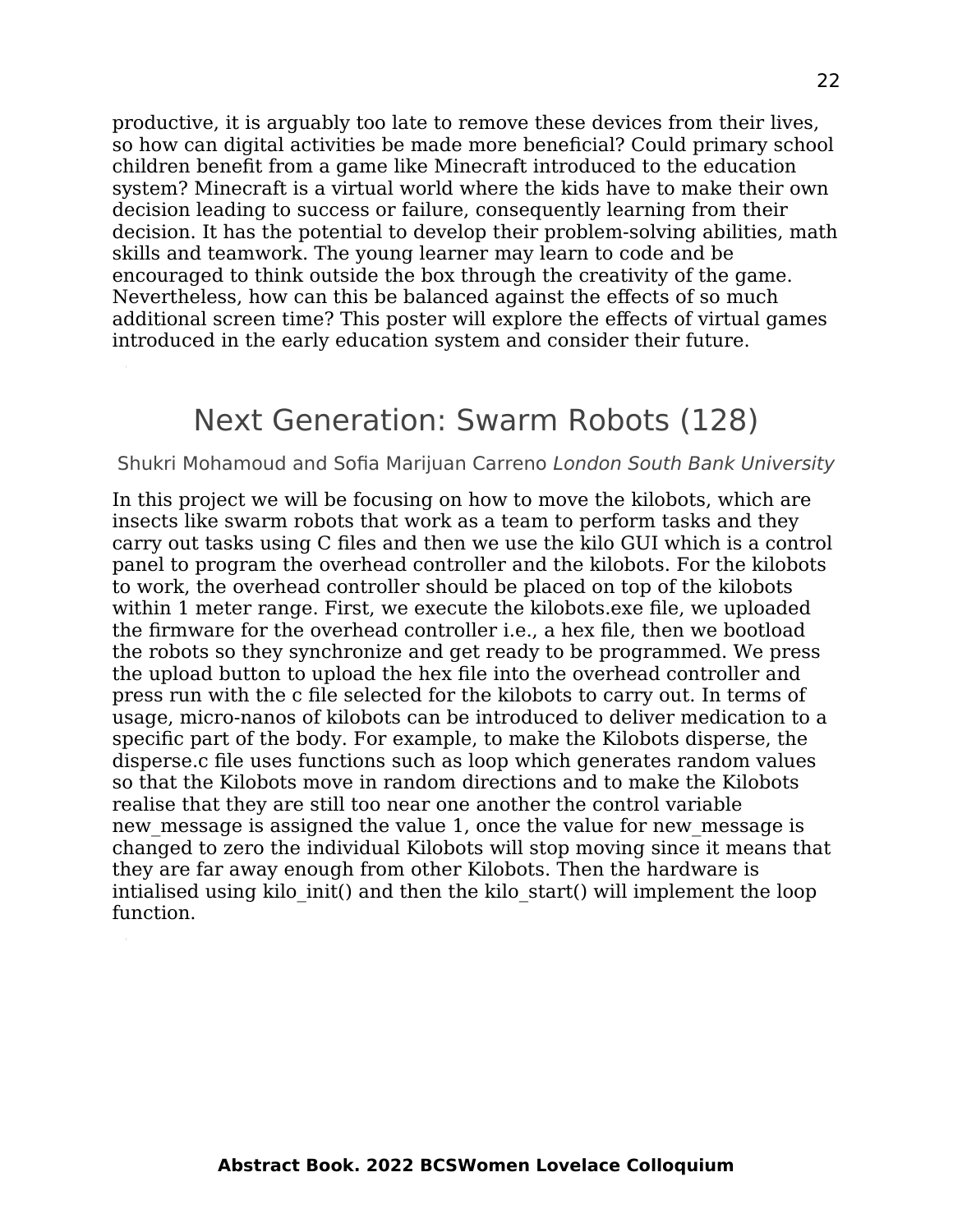productive, it is arguably too late to remove these devices from their lives, so how can digital activities be made more beneficial? Could primary school children benefit from a game like Minecraft introduced to the education system? Minecraft is a virtual world where the kids have to make their own decision leading to success or failure, consequently learning from their decision. It has the potential to develop their problem-solving abilities, math skills and teamwork. The young learner may learn to code and be encouraged to think outside the box through the creativity of the game. Nevertheless, how can this be balanced against the effects of so much additional screen time? This poster will explore the effects of virtual games introduced in the early education system and consider their future.

#### Next Generation: Swarm Robots (128)

#### Shukri Mohamoud and Sofia Marijuan Carreno London South Bank University

In this project we will be focusing on how to move the kilobots, which are insects like swarm robots that work as a team to perform tasks and they carry out tasks using C files and then we use the kilo GUI which is a control panel to program the overhead controller and the kilobots. For the kilobots to work, the overhead controller should be placed on top of the kilobots within 1 meter range. First, we execute the kilobots.exe file, we uploaded the firmware for the overhead controller i.e., a hex file, then we bootload the robots so they synchronize and get ready to be programmed. We press the upload button to upload the hex file into the overhead controller and press run with the c file selected for the kilobots to carry out. In terms of usage, micro-nanos of kilobots can be introduced to deliver medication to a specific part of the body. For example, to make the Kilobots disperse, the disperse.c file uses functions such as loop which generates random values so that the Kilobots move in random directions and to make the Kilobots realise that they are still too near one another the control variable new message is assigned the value 1, once the value for new message is changed to zero the individual Kilobots will stop moving since it means that they are far away enough from other Kilobots. Then the hardware is intialised using kilo init() and then the kilo start() will implement the loop function.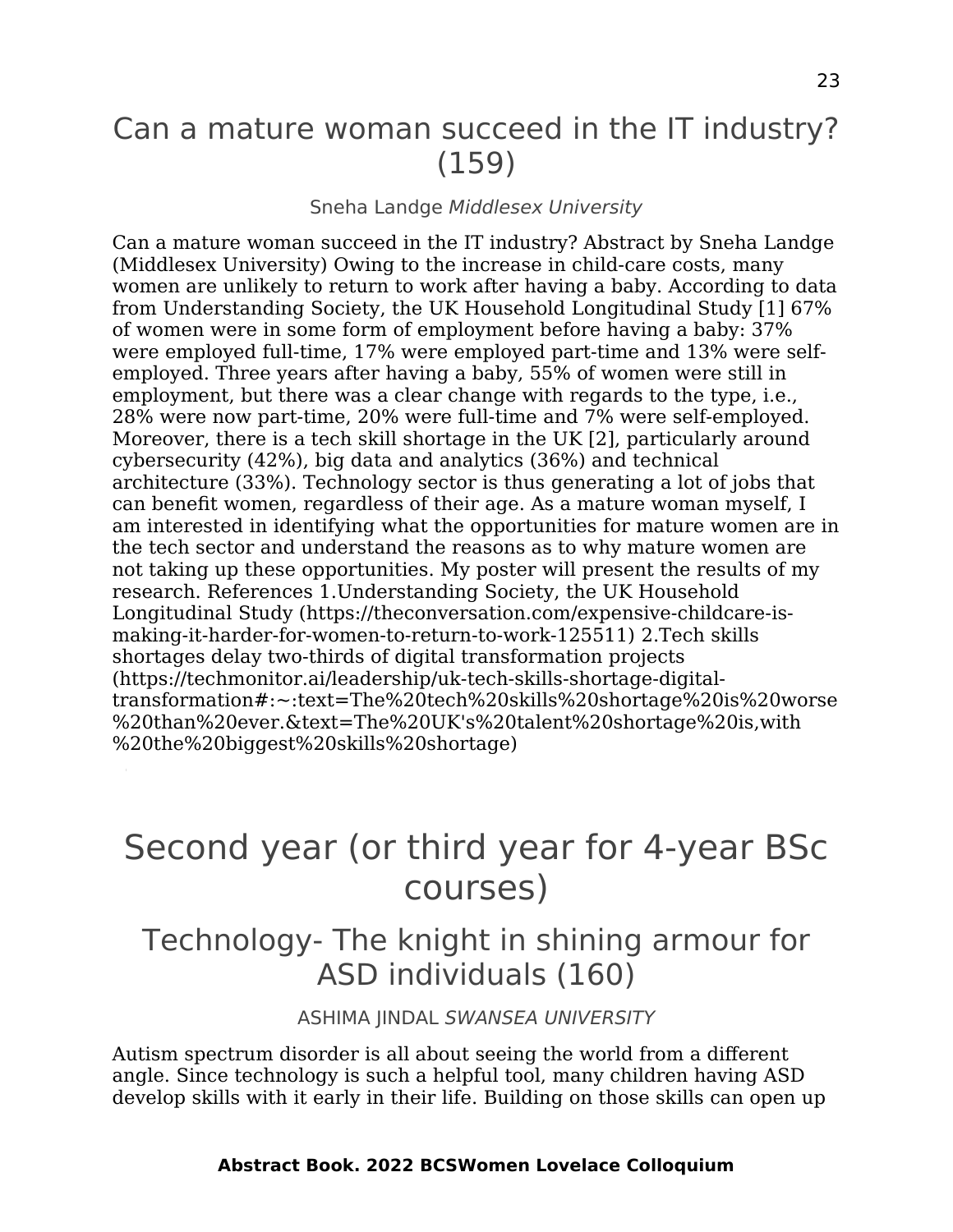### Can a mature woman succeed in the IT industry? (159)

#### Sneha Landge Middlesex University

Can a mature woman succeed in the IT industry? Abstract by Sneha Landge (Middlesex University) Owing to the increase in child-care costs, many women are unlikely to return to work after having a baby. According to data from Understanding Society, the UK Household Longitudinal Study [1] 67% of women were in some form of employment before having a baby: 37% were employed full-time, 17% were employed part-time and 13% were selfemployed. Three years after having a baby, 55% of women were still in employment, but there was a clear change with regards to the type, i.e., 28% were now part-time, 20% were full-time and 7% were self-employed. Moreover, there is a tech skill shortage in the UK [2], particularly around cybersecurity (42%), big data and analytics (36%) and technical architecture (33%). Technology sector is thus generating a lot of jobs that can benefit women, regardless of their age. As a mature woman myself, I am interested in identifying what the opportunities for mature women are in the tech sector and understand the reasons as to why mature women are not taking up these opportunities. My poster will present the results of my research. References 1.Understanding Society, the UK Household Longitudinal Study (https://theconversation.com/expensive-childcare-ismaking-it-harder-for-women-to-return-to-work-125511) 2.Tech skills shortages delay two-thirds of digital transformation projects (https://techmonitor.ai/leadership/uk-tech-skills-shortage-digitaltransformation#:~:text=The%20tech%20skills%20shortage%20is%20worse %20than%20ever.&text=The%20UK's%20talent%20shortage%20is,with %20the%20biggest%20skills%20shortage)

## <span id="page-22-0"></span>Second year (or third year for 4-year BSc courses)

### Technology- The knight in shining armour for ASD individuals (160)

ASHIMA JINDAL SWANSEA UNIVERSITY

Autism spectrum disorder is all about seeing the world from a different angle. Since technology is such a helpful tool, many children having ASD develop skills with it early in their life. Building on those skills can open up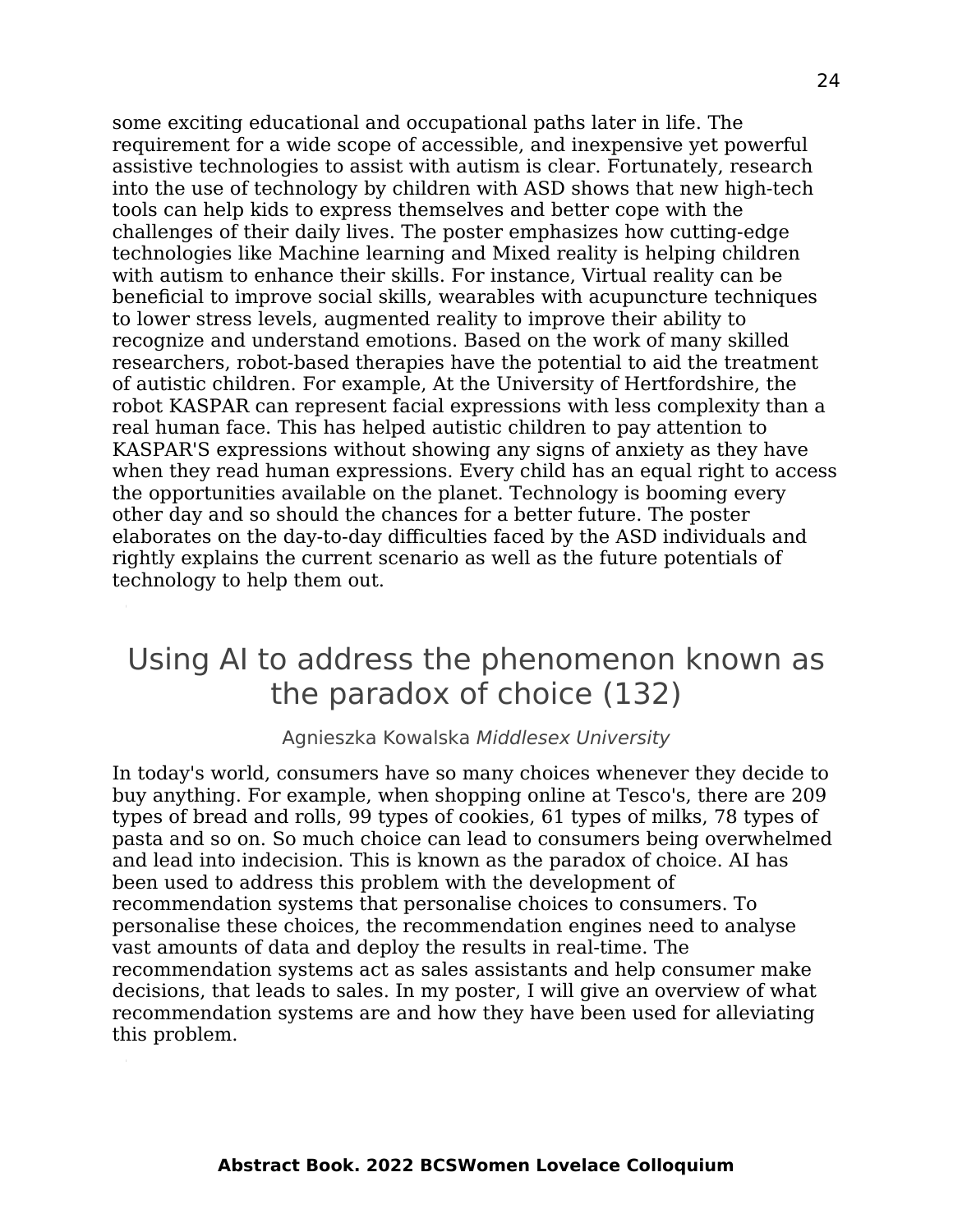some exciting educational and occupational paths later in life. The requirement for a wide scope of accessible, and inexpensive yet powerful assistive technologies to assist with autism is clear. Fortunately, research into the use of technology by children with ASD shows that new high-tech tools can help kids to express themselves and better cope with the challenges of their daily lives. The poster emphasizes how cutting-edge technologies like Machine learning and Mixed reality is helping children with autism to enhance their skills. For instance, Virtual reality can be beneficial to improve social skills, wearables with acupuncture techniques to lower stress levels, augmented reality to improve their ability to recognize and understand emotions. Based on the work of many skilled researchers, robot-based therapies have the potential to aid the treatment of autistic children. For example, At the University of Hertfordshire, the robot KASPAR can represent facial expressions with less complexity than a real human face. This has helped autistic children to pay attention to KASPAR'S expressions without showing any signs of anxiety as they have when they read human expressions. Every child has an equal right to access the opportunities available on the planet. Technology is booming every other day and so should the chances for a better future. The poster elaborates on the day-to-day difficulties faced by the ASD individuals and rightly explains the current scenario as well as the future potentials of technology to help them out.

### Using AI to address the phenomenon known as the paradox of choice (132)

#### Agnieszka Kowalska Middlesex University

In today's world, consumers have so many choices whenever they decide to buy anything. For example, when shopping online at Tesco's, there are 209 types of bread and rolls, 99 types of cookies, 61 types of milks, 78 types of pasta and so on. So much choice can lead to consumers being overwhelmed and lead into indecision. This is known as the paradox of choice. AI has been used to address this problem with the development of recommendation systems that personalise choices to consumers. To personalise these choices, the recommendation engines need to analyse vast amounts of data and deploy the results in real-time. The recommendation systems act as sales assistants and help consumer make decisions, that leads to sales. In my poster, I will give an overview of what recommendation systems are and how they have been used for alleviating this problem.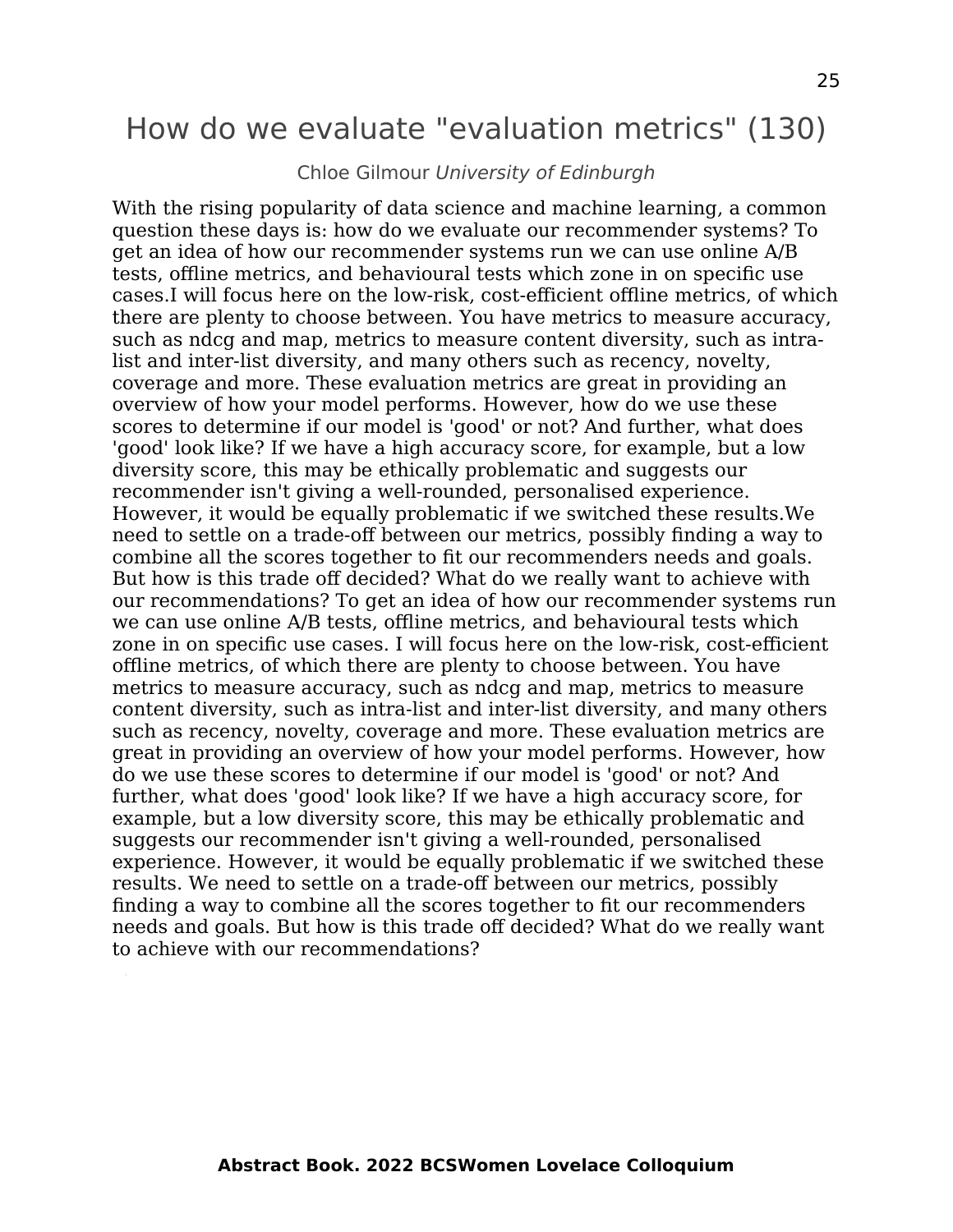### How do we evaluate "evaluation metrics" (130)

#### Chloe Gilmour University of Edinburgh

With the rising popularity of data science and machine learning, a common question these days is: how do we evaluate our recommender systems? To get an idea of how our recommender systems run we can use online A/B tests, offline metrics, and behavioural tests which zone in on specific use cases.I will focus here on the low-risk, cost-efficient offline metrics, of which there are plenty to choose between. You have metrics to measure accuracy, such as ndcg and map, metrics to measure content diversity, such as intralist and inter-list diversity, and many others such as recency, novelty, coverage and more. These evaluation metrics are great in providing an overview of how your model performs. However, how do we use these scores to determine if our model is 'good' or not? And further, what does 'good' look like? If we have a high accuracy score, for example, but a low diversity score, this may be ethically problematic and suggests our recommender isn't giving a well-rounded, personalised experience. However, it would be equally problematic if we switched these results.We need to settle on a trade-off between our metrics, possibly finding a way to combine all the scores together to fit our recommenders needs and goals. But how is this trade off decided? What do we really want to achieve with our recommendations? To get an idea of how our recommender systems run we can use online A/B tests, offline metrics, and behavioural tests which zone in on specific use cases. I will focus here on the low-risk, cost-efficient offline metrics, of which there are plenty to choose between. You have metrics to measure accuracy, such as ndcg and map, metrics to measure content diversity, such as intra-list and inter-list diversity, and many others such as recency, novelty, coverage and more. These evaluation metrics are great in providing an overview of how your model performs. However, how do we use these scores to determine if our model is 'good' or not? And further, what does 'good' look like? If we have a high accuracy score, for example, but a low diversity score, this may be ethically problematic and suggests our recommender isn't giving a well-rounded, personalised experience. However, it would be equally problematic if we switched these results. We need to settle on a trade-off between our metrics, possibly finding a way to combine all the scores together to fit our recommenders needs and goals. But how is this trade off decided? What do we really want to achieve with our recommendations?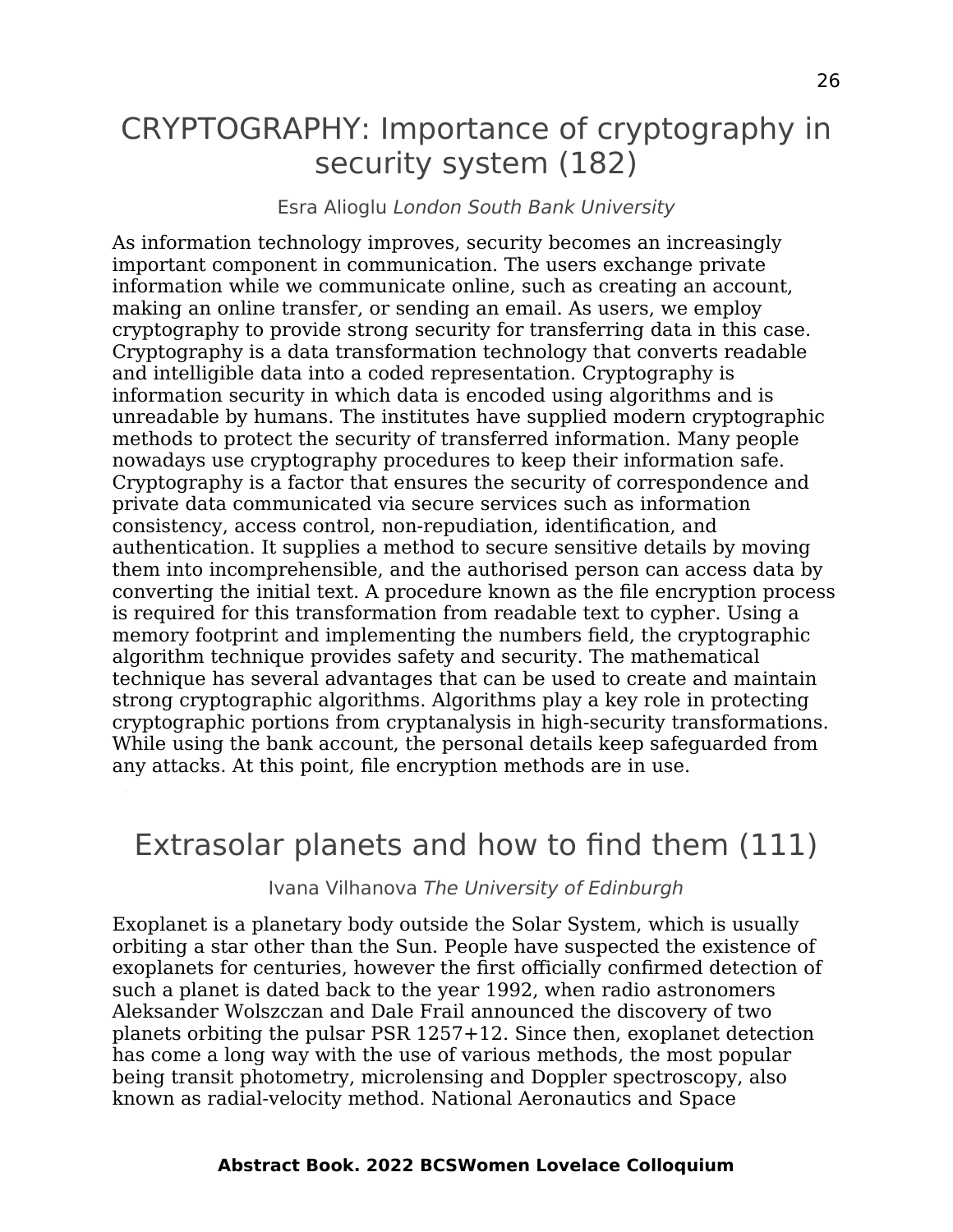## CRYPTOGRAPHY: Importance of cryptography in security system (182)

#### Esra Alioglu London South Bank University

As information technology improves, security becomes an increasingly important component in communication. The users exchange private information while we communicate online, such as creating an account, making an online transfer, or sending an email. As users, we employ cryptography to provide strong security for transferring data in this case. Cryptography is a data transformation technology that converts readable and intelligible data into a coded representation. Cryptography is information security in which data is encoded using algorithms and is unreadable by humans. The institutes have supplied modern cryptographic methods to protect the security of transferred information. Many people nowadays use cryptography procedures to keep their information safe. Cryptography is a factor that ensures the security of correspondence and private data communicated via secure services such as information consistency, access control, non-repudiation, identification, and authentication. It supplies a method to secure sensitive details by moving them into incomprehensible, and the authorised person can access data by converting the initial text. A procedure known as the file encryption process is required for this transformation from readable text to cypher. Using a memory footprint and implementing the numbers field, the cryptographic algorithm technique provides safety and security. The mathematical technique has several advantages that can be used to create and maintain strong cryptographic algorithms. Algorithms play a key role in protecting cryptographic portions from cryptanalysis in high-security transformations. While using the bank account, the personal details keep safeguarded from any attacks. At this point, file encryption methods are in use.

#### Extrasolar planets and how to find them (111)

Ivana Vilhanova The University of Edinburgh

Exoplanet is a planetary body outside the Solar System, which is usually orbiting a star other than the Sun. People have suspected the existence of exoplanets for centuries, however the first officially confirmed detection of such a planet is dated back to the year 1992, when radio astronomers Aleksander Wolszczan and Dale Frail announced the discovery of two planets orbiting the pulsar PSR 1257+12. Since then, exoplanet detection has come a long way with the use of various methods, the most popular being transit photometry, microlensing and Doppler spectroscopy, also known as radial-velocity method. National Aeronautics and Space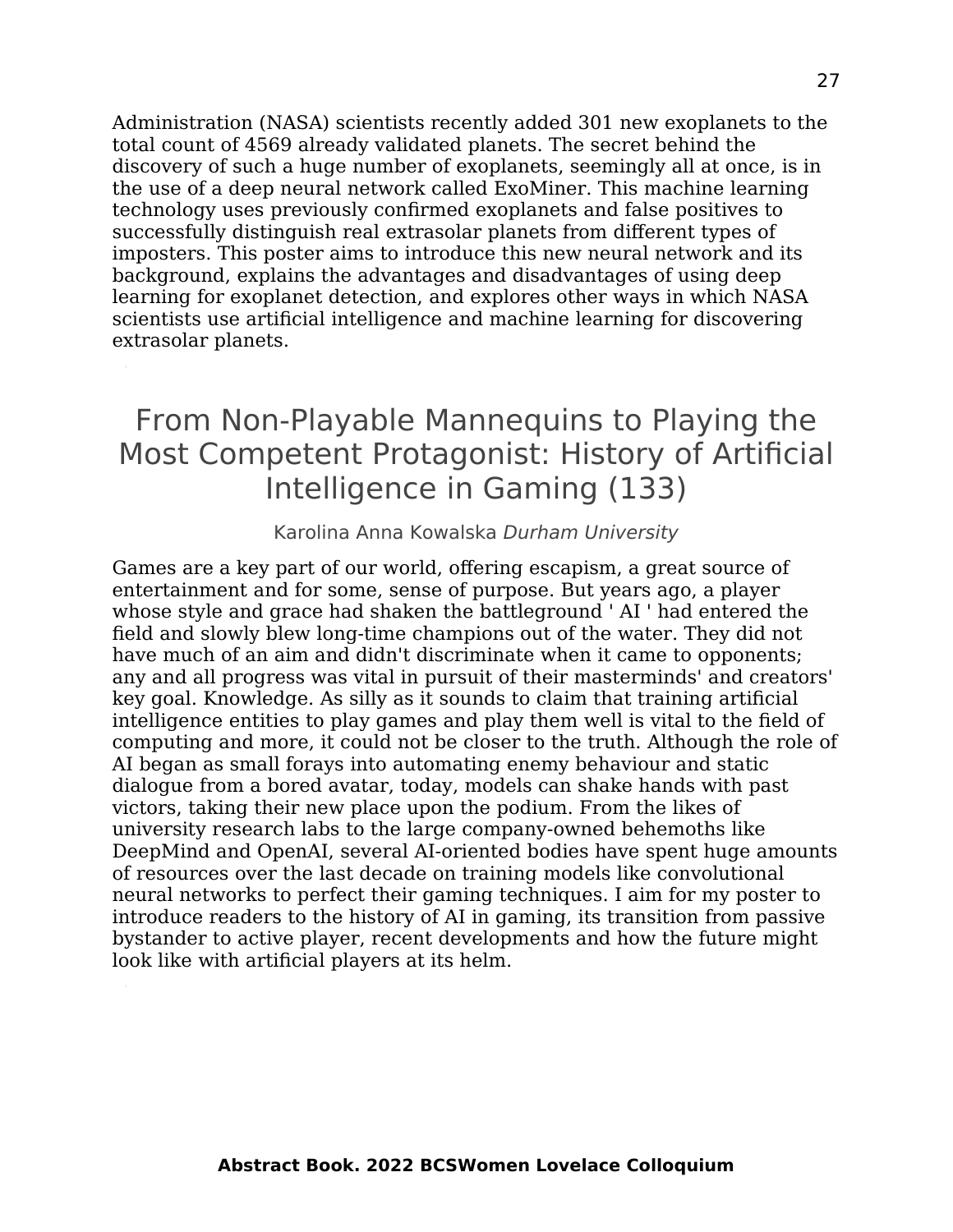Administration (NASA) scientists recently added 301 new exoplanets to the total count of 4569 already validated planets. The secret behind the discovery of such a huge number of exoplanets, seemingly all at once, is in the use of a deep neural network called ExoMiner. This machine learning technology uses previously confirmed exoplanets and false positives to successfully distinguish real extrasolar planets from different types of imposters. This poster aims to introduce this new neural network and its background, explains the advantages and disadvantages of using deep learning for exoplanet detection, and explores other ways in which NASA scientists use artificial intelligence and machine learning for discovering extrasolar planets.

## From Non-Playable Mannequins to Playing the Most Competent Protagonist: History of Artificial Intelligence in Gaming (133)

#### Karolina Anna Kowalska Durham University

Games are a key part of our world, offering escapism, a great source of entertainment and for some, sense of purpose. But years ago, a player whose style and grace had shaken the battleground ' AI ' had entered the field and slowly blew long-time champions out of the water. They did not have much of an aim and didn't discriminate when it came to opponents; any and all progress was vital in pursuit of their masterminds' and creators' key goal. Knowledge. As silly as it sounds to claim that training artificial intelligence entities to play games and play them well is vital to the field of computing and more, it could not be closer to the truth. Although the role of AI began as small forays into automating enemy behaviour and static dialogue from a bored avatar, today, models can shake hands with past victors, taking their new place upon the podium. From the likes of university research labs to the large company-owned behemoths like DeepMind and OpenAI, several AI-oriented bodies have spent huge amounts of resources over the last decade on training models like convolutional neural networks to perfect their gaming techniques. I aim for my poster to introduce readers to the history of AI in gaming, its transition from passive bystander to active player, recent developments and how the future might look like with artificial players at its helm.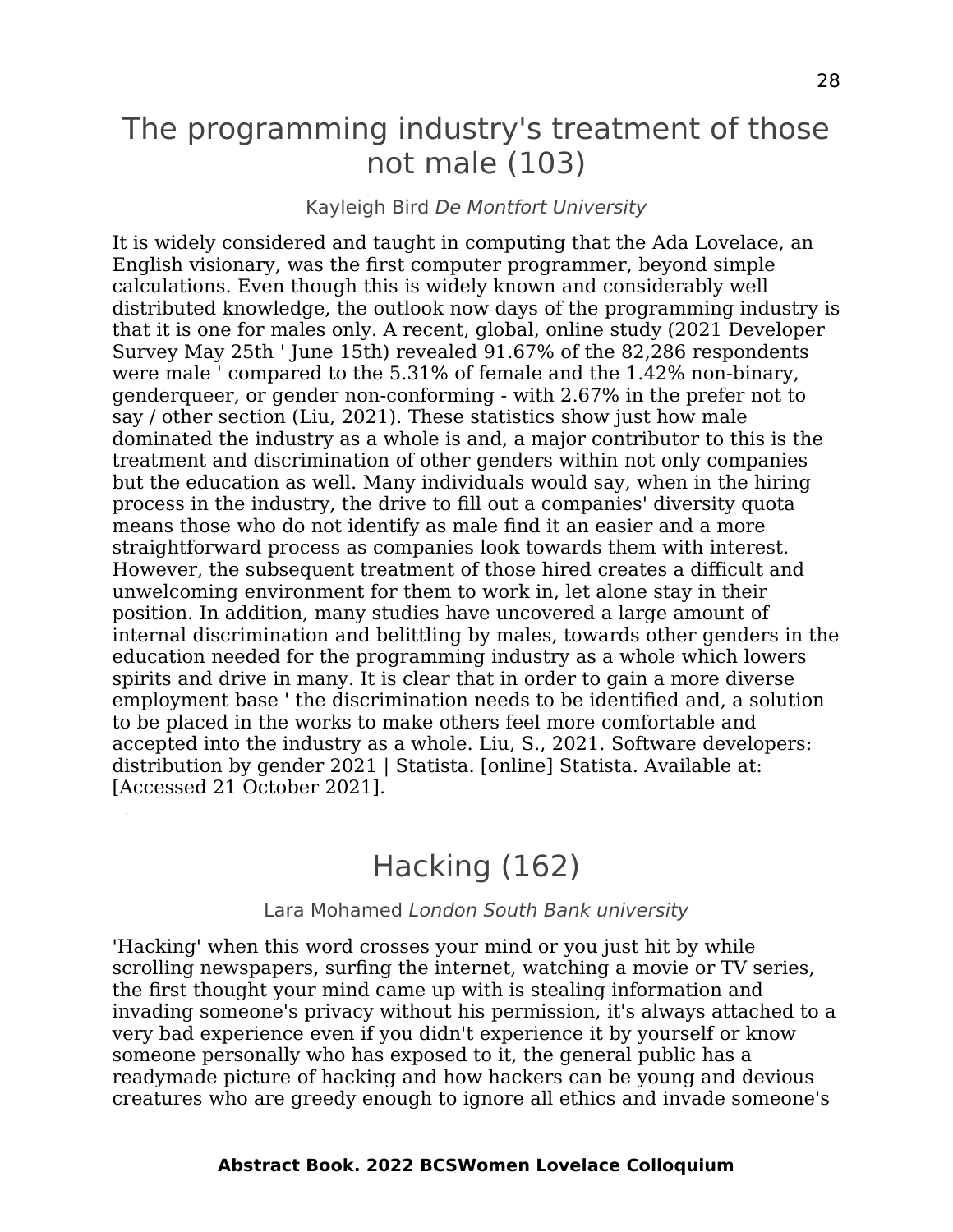### The programming industry's treatment of those not male (103)

#### Kayleigh Bird De Montfort University

It is widely considered and taught in computing that the Ada Lovelace, an English visionary, was the first computer programmer, beyond simple calculations. Even though this is widely known and considerably well distributed knowledge, the outlook now days of the programming industry is that it is one for males only. A recent, global, online study (2021 Developer Survey May 25th ' June 15th) revealed 91.67% of the 82,286 respondents were male ' compared to the 5.31% of female and the 1.42% non-binary, genderqueer, or gender non-conforming - with 2.67% in the prefer not to say / other section (Liu, 2021). These statistics show just how male dominated the industry as a whole is and, a major contributor to this is the treatment and discrimination of other genders within not only companies but the education as well. Many individuals would say, when in the hiring process in the industry, the drive to fill out a companies' diversity quota means those who do not identify as male find it an easier and a more straightforward process as companies look towards them with interest. However, the subsequent treatment of those hired creates a difficult and unwelcoming environment for them to work in, let alone stay in their position. In addition, many studies have uncovered a large amount of internal discrimination and belittling by males, towards other genders in the education needed for the programming industry as a whole which lowers spirits and drive in many. It is clear that in order to gain a more diverse employment base ' the discrimination needs to be identified and, a solution to be placed in the works to make others feel more comfortable and accepted into the industry as a whole. Liu, S., 2021. Software developers: distribution by gender 2021 | Statista. [online] Statista. Available at: [Accessed 21 October 2021].

### Hacking (162)

#### Lara Mohamed London South Bank university

'Hacking' when this word crosses your mind or you just hit by while scrolling newspapers, surfing the internet, watching a movie or TV series, the first thought your mind came up with is stealing information and invading someone's privacy without his permission, it's always attached to a very bad experience even if you didn't experience it by yourself or know someone personally who has exposed to it, the general public has a readymade picture of hacking and how hackers can be young and devious creatures who are greedy enough to ignore all ethics and invade someone's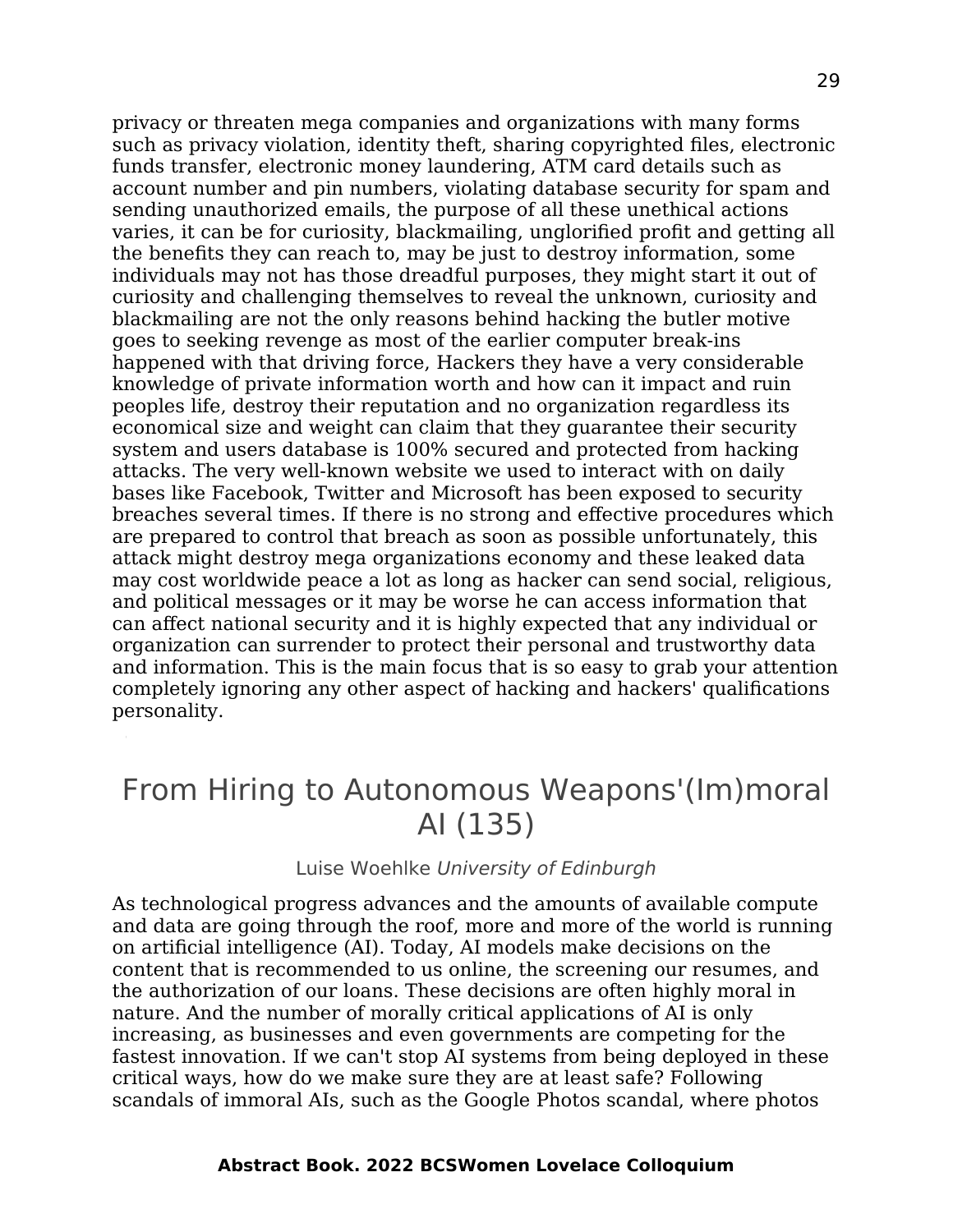privacy or threaten mega companies and organizations with many forms such as privacy violation, identity theft, sharing copyrighted files, electronic funds transfer, electronic money laundering, ATM card details such as account number and pin numbers, violating database security for spam and sending unauthorized emails, the purpose of all these unethical actions varies, it can be for curiosity, blackmailing, unglorified profit and getting all the benefits they can reach to, may be just to destroy information, some individuals may not has those dreadful purposes, they might start it out of curiosity and challenging themselves to reveal the unknown, curiosity and blackmailing are not the only reasons behind hacking the butler motive goes to seeking revenge as most of the earlier computer break-ins happened with that driving force, Hackers they have a very considerable knowledge of private information worth and how can it impact and ruin peoples life, destroy their reputation and no organization regardless its economical size and weight can claim that they guarantee their security system and users database is 100% secured and protected from hacking attacks. The very well-known website we used to interact with on daily bases like Facebook, Twitter and Microsoft has been exposed to security breaches several times. If there is no strong and effective procedures which are prepared to control that breach as soon as possible unfortunately, this attack might destroy mega organizations economy and these leaked data may cost worldwide peace a lot as long as hacker can send social, religious, and political messages or it may be worse he can access information that can affect national security and it is highly expected that any individual or organization can surrender to protect their personal and trustworthy data and information. This is the main focus that is so easy to grab your attention completely ignoring any other aspect of hacking and hackers' qualifications personality.

## From Hiring to Autonomous Weapons'(Im)moral AI (135)

#### Luise Woehlke University of Edinburgh

As technological progress advances and the amounts of available compute and data are going through the roof, more and more of the world is running on artificial intelligence (AI). Today, AI models make decisions on the content that is recommended to us online, the screening our resumes, and the authorization of our loans. These decisions are often highly moral in nature. And the number of morally critical applications of AI is only increasing, as businesses and even governments are competing for the fastest innovation. If we can't stop AI systems from being deployed in these critical ways, how do we make sure they are at least safe? Following scandals of immoral AIs, such as the Google Photos scandal, where photos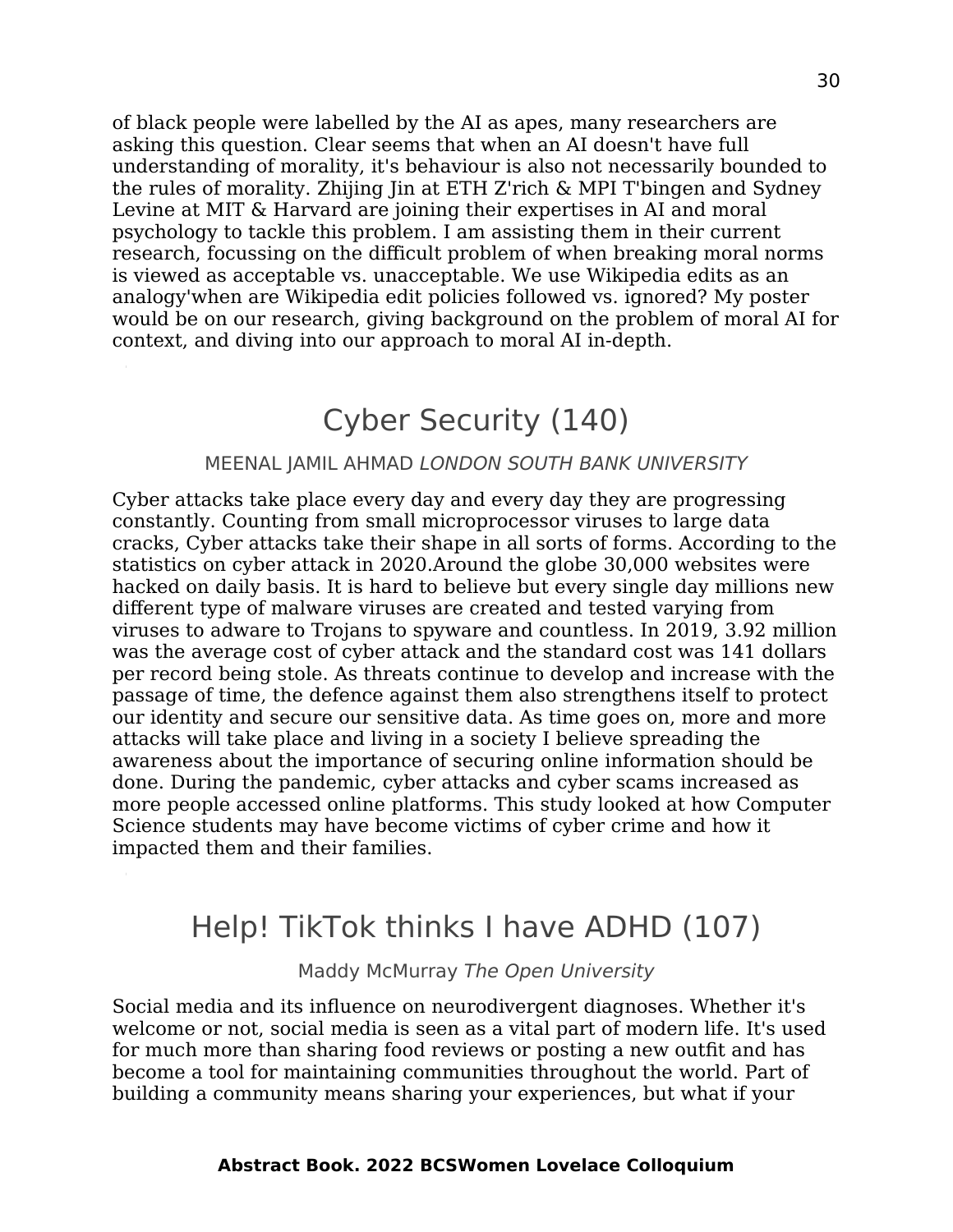of black people were labelled by the AI as apes, many researchers are asking this question. Clear seems that when an AI doesn't have full understanding of morality, it's behaviour is also not necessarily bounded to the rules of morality. Zhijing Jin at ETH Z'rich & MPI T'bingen and Sydney Levine at MIT & Harvard are joining their expertises in AI and moral psychology to tackle this problem. I am assisting them in their current research, focussing on the difficult problem of when breaking moral norms is viewed as acceptable vs. unacceptable. We use Wikipedia edits as an analogy'when are Wikipedia edit policies followed vs. ignored? My poster would be on our research, giving background on the problem of moral AI for context, and diving into our approach to moral AI in-depth.

### Cyber Security (140)

#### MEENAL JAMIL AHMAD LONDON SOUTH BANK UNIVERSITY

Cyber attacks take place every day and every day they are progressing constantly. Counting from small microprocessor viruses to large data cracks, Cyber attacks take their shape in all sorts of forms. According to the statistics on cyber attack in 2020.Around the globe 30,000 websites were hacked on daily basis. It is hard to believe but every single day millions new different type of malware viruses are created and tested varying from viruses to adware to Trojans to spyware and countless. In 2019, 3.92 million was the average cost of cyber attack and the standard cost was 141 dollars per record being stole. As threats continue to develop and increase with the passage of time, the defence against them also strengthens itself to protect our identity and secure our sensitive data. As time goes on, more and more attacks will take place and living in a society I believe spreading the awareness about the importance of securing online information should be done. During the pandemic, cyber attacks and cyber scams increased as more people accessed online platforms. This study looked at how Computer Science students may have become victims of cyber crime and how it impacted them and their families.

### Help! TikTok thinks I have ADHD (107)

Maddy McMurray The Open University

Social media and its influence on neurodivergent diagnoses. Whether it's welcome or not, social media is seen as a vital part of modern life. It's used for much more than sharing food reviews or posting a new outfit and has become a tool for maintaining communities throughout the world. Part of building a community means sharing your experiences, but what if your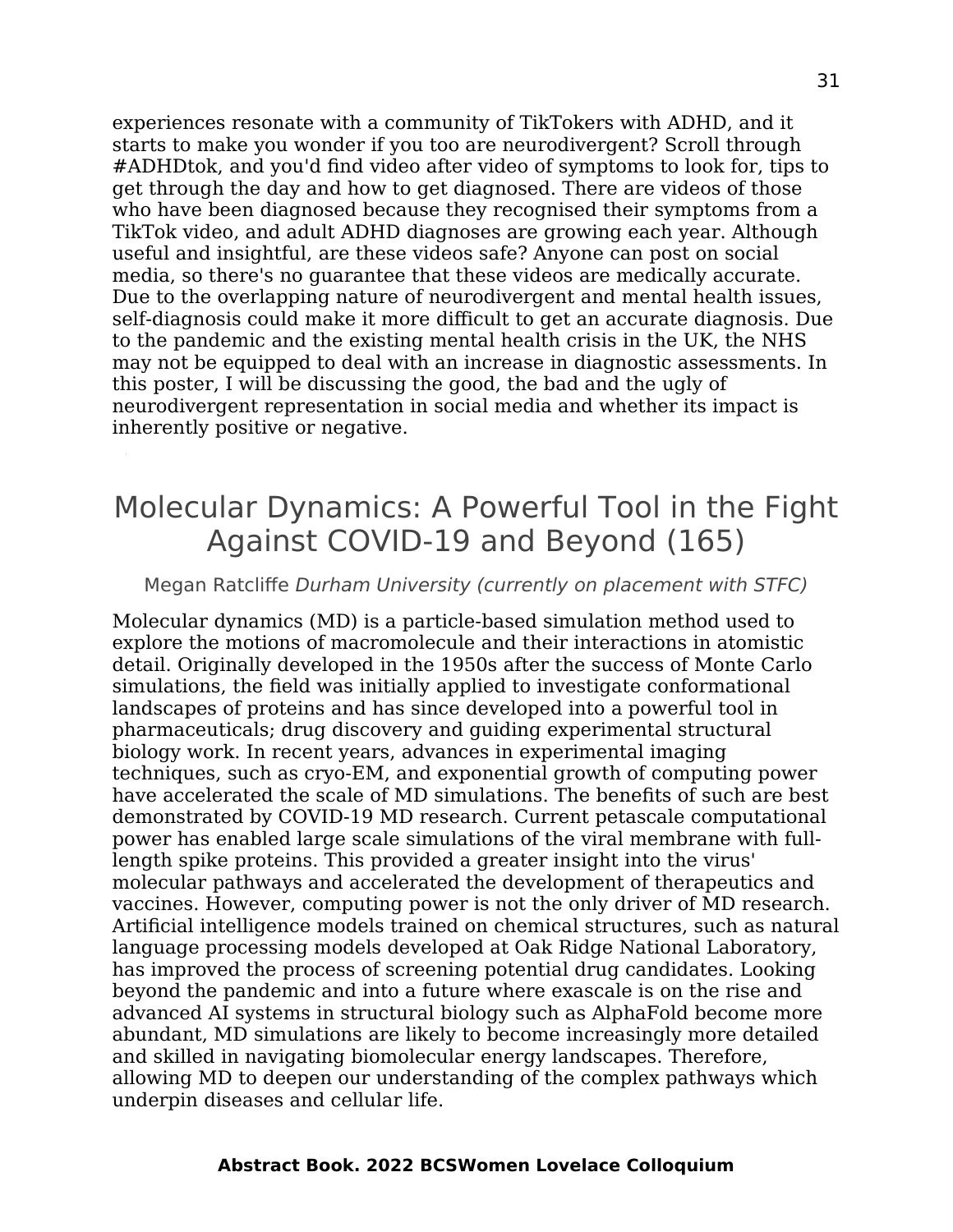experiences resonate with a community of TikTokers with ADHD, and it starts to make you wonder if you too are neurodivergent? Scroll through #ADHDtok, and you'd find video after video of symptoms to look for, tips to get through the day and how to get diagnosed. There are videos of those who have been diagnosed because they recognised their symptoms from a TikTok video, and adult ADHD diagnoses are growing each year. Although useful and insightful, are these videos safe? Anyone can post on social media, so there's no guarantee that these videos are medically accurate. Due to the overlapping nature of neurodivergent and mental health issues, self-diagnosis could make it more difficult to get an accurate diagnosis. Due to the pandemic and the existing mental health crisis in the UK, the NHS may not be equipped to deal with an increase in diagnostic assessments. In this poster, I will be discussing the good, the bad and the ugly of neurodivergent representation in social media and whether its impact is inherently positive or negative.

## Molecular Dynamics: A Powerful Tool in the Fight Against COVID-19 and Beyond (165)

#### Megan Ratcliffe Durham University (currently on placement with STFC)

Molecular dynamics (MD) is a particle-based simulation method used to explore the motions of macromolecule and their interactions in atomistic detail. Originally developed in the 1950s after the success of Monte Carlo simulations, the field was initially applied to investigate conformational landscapes of proteins and has since developed into a powerful tool in pharmaceuticals; drug discovery and guiding experimental structural biology work. In recent years, advances in experimental imaging techniques, such as cryo-EM, and exponential growth of computing power have accelerated the scale of MD simulations. The benefits of such are best demonstrated by COVID-19 MD research. Current petascale computational power has enabled large scale simulations of the viral membrane with fulllength spike proteins. This provided a greater insight into the virus' molecular pathways and accelerated the development of therapeutics and vaccines. However, computing power is not the only driver of MD research. Artificial intelligence models trained on chemical structures, such as natural language processing models developed at Oak Ridge National Laboratory, has improved the process of screening potential drug candidates. Looking beyond the pandemic and into a future where exascale is on the rise and advanced AI systems in structural biology such as AlphaFold become more abundant, MD simulations are likely to become increasingly more detailed and skilled in navigating biomolecular energy landscapes. Therefore, allowing MD to deepen our understanding of the complex pathways which underpin diseases and cellular life.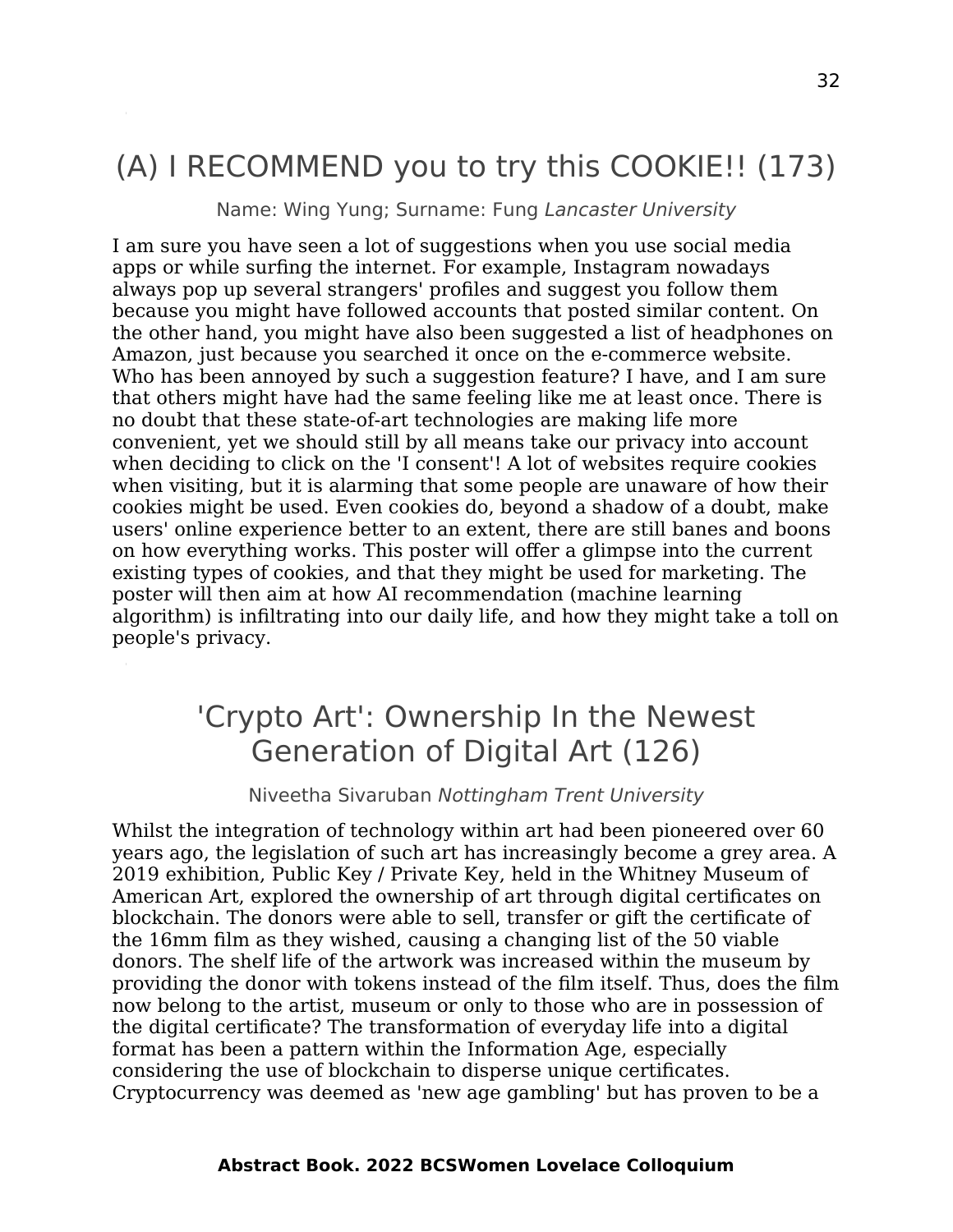## (A) I RECOMMEND you to try this COOKIE!! (173)

Name: Wing Yung; Surname: Fung Lancaster University

I am sure you have seen a lot of suggestions when you use social media apps or while surfing the internet. For example, Instagram nowadays always pop up several strangers' profiles and suggest you follow them because you might have followed accounts that posted similar content. On the other hand, you might have also been suggested a list of headphones on Amazon, just because you searched it once on the e-commerce website. Who has been annoyed by such a suggestion feature? I have, and I am sure that others might have had the same feeling like me at least once. There is no doubt that these state-of-art technologies are making life more convenient, yet we should still by all means take our privacy into account when deciding to click on the 'I consent'! A lot of websites require cookies when visiting, but it is alarming that some people are unaware of how their cookies might be used. Even cookies do, beyond a shadow of a doubt, make users' online experience better to an extent, there are still banes and boons on how everything works. This poster will offer a glimpse into the current existing types of cookies, and that they might be used for marketing. The poster will then aim at how AI recommendation (machine learning algorithm) is infiltrating into our daily life, and how they might take a toll on people's privacy.

## 'Crypto Art': Ownership In the Newest Generation of Digital Art (126)

#### Niveetha Sivaruban Nottingham Trent University

Whilst the integration of technology within art had been pioneered over 60 years ago, the legislation of such art has increasingly become a grey area. A 2019 exhibition, Public Key / Private Key, held in the Whitney Museum of American Art, explored the ownership of art through digital certificates on blockchain. The donors were able to sell, transfer or gift the certificate of the 16mm film as they wished, causing a changing list of the 50 viable donors. The shelf life of the artwork was increased within the museum by providing the donor with tokens instead of the film itself. Thus, does the film now belong to the artist, museum or only to those who are in possession of the digital certificate? The transformation of everyday life into a digital format has been a pattern within the Information Age, especially considering the use of blockchain to disperse unique certificates. Cryptocurrency was deemed as 'new age gambling' but has proven to be a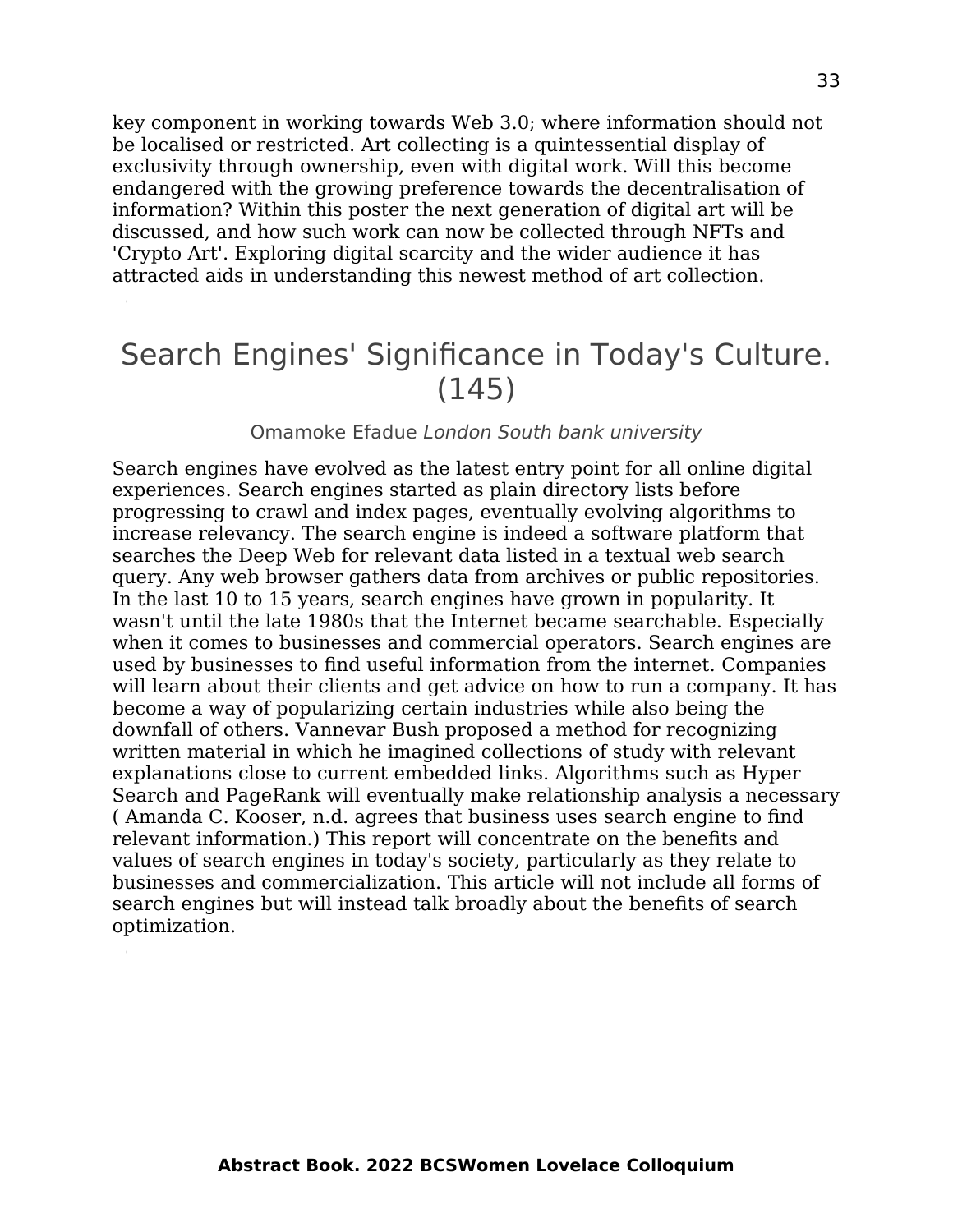key component in working towards Web 3.0; where information should not be localised or restricted. Art collecting is a quintessential display of exclusivity through ownership, even with digital work. Will this become endangered with the growing preference towards the decentralisation of information? Within this poster the next generation of digital art will be discussed, and how such work can now be collected through NFTs and 'Crypto Art'. Exploring digital scarcity and the wider audience it has attracted aids in understanding this newest method of art collection.

### Search Engines' Significance in Today's Culture. (145)

#### Omamoke Efadue London South bank university

Search engines have evolved as the latest entry point for all online digital experiences. Search engines started as plain directory lists before progressing to crawl and index pages, eventually evolving algorithms to increase relevancy. The search engine is indeed a software platform that searches the Deep Web for relevant data listed in a textual web search query. Any web browser gathers data from archives or public repositories. In the last 10 to 15 years, search engines have grown in popularity. It wasn't until the late 1980s that the Internet became searchable. Especially when it comes to businesses and commercial operators. Search engines are used by businesses to find useful information from the internet. Companies will learn about their clients and get advice on how to run a company. It has become a way of popularizing certain industries while also being the downfall of others. Vannevar Bush proposed a method for recognizing written material in which he imagined collections of study with relevant explanations close to current embedded links. Algorithms such as Hyper Search and PageRank will eventually make relationship analysis a necessary ( Amanda C. Kooser, n.d. agrees that business uses search engine to find relevant information.) This report will concentrate on the benefits and values of search engines in today's society, particularly as they relate to businesses and commercialization. This article will not include all forms of search engines but will instead talk broadly about the benefits of search optimization.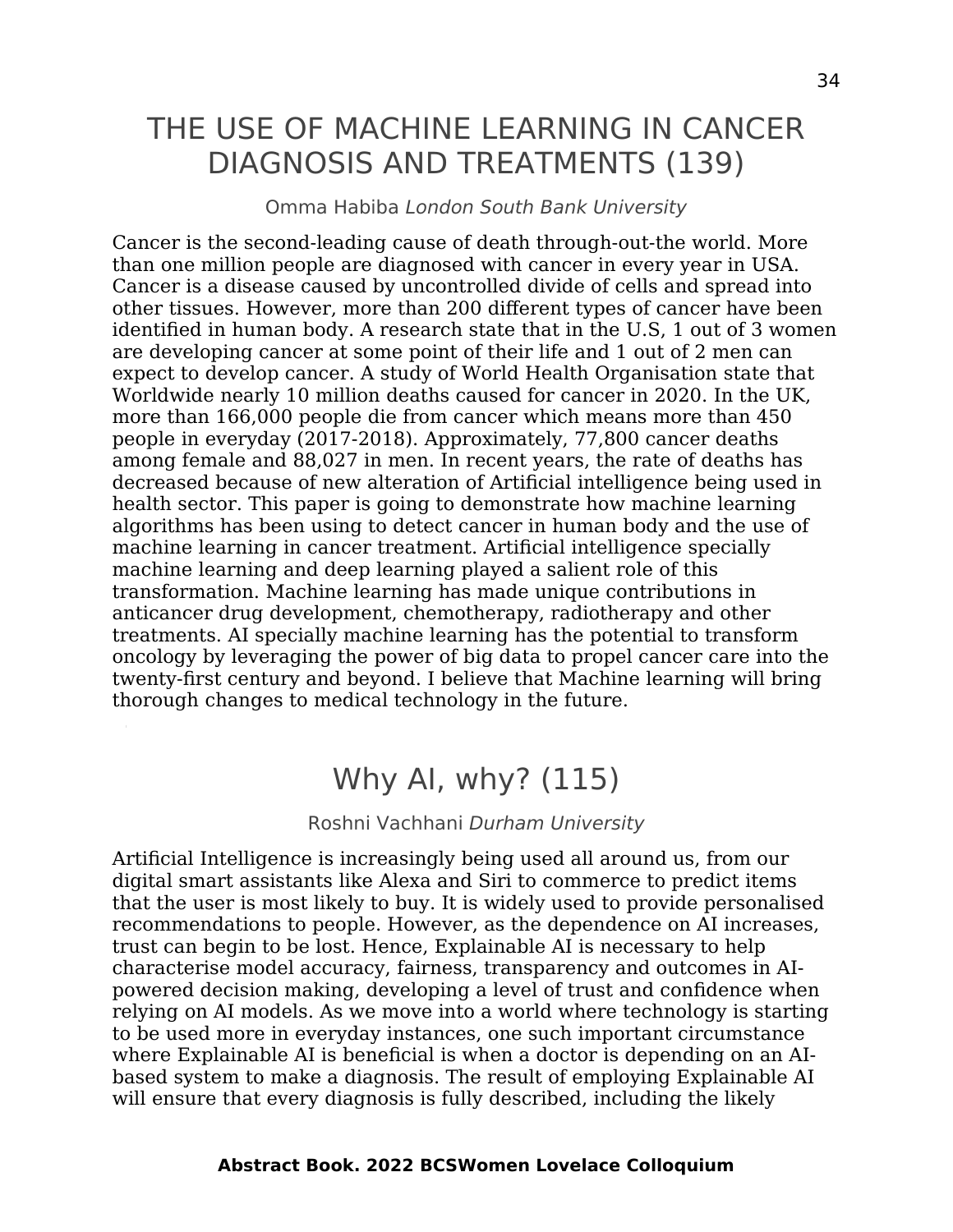## THE USE OF MACHINE LEARNING IN CANCER DIAGNOSIS AND TREATMENTS (139)

#### Omma Habiba London South Bank University

Cancer is the second-leading cause of death through-out-the world. More than one million people are diagnosed with cancer in every year in USA. Cancer is a disease caused by uncontrolled divide of cells and spread into other tissues. However, more than 200 different types of cancer have been identified in human body. A research state that in the U.S, 1 out of 3 women are developing cancer at some point of their life and 1 out of 2 men can expect to develop cancer. A study of World Health Organisation state that Worldwide nearly 10 million deaths caused for cancer in 2020. In the UK, more than 166,000 people die from cancer which means more than 450 people in everyday (2017-2018). Approximately, 77,800 cancer deaths among female and 88,027 in men. In recent years, the rate of deaths has decreased because of new alteration of Artificial intelligence being used in health sector. This paper is going to demonstrate how machine learning algorithms has been using to detect cancer in human body and the use of machine learning in cancer treatment. Artificial intelligence specially machine learning and deep learning played a salient role of this transformation. Machine learning has made unique contributions in anticancer drug development, chemotherapy, radiotherapy and other treatments. AI specially machine learning has the potential to transform oncology by leveraging the power of big data to propel cancer care into the twenty-first century and beyond. I believe that Machine learning will bring thorough changes to medical technology in the future.

### Why AI, why? (115)

#### Roshni Vachhani Durham University

Artificial Intelligence is increasingly being used all around us, from our digital smart assistants like Alexa and Siri to commerce to predict items that the user is most likely to buy. It is widely used to provide personalised recommendations to people. However, as the dependence on AI increases, trust can begin to be lost. Hence, Explainable AI is necessary to help characterise model accuracy, fairness, transparency and outcomes in AIpowered decision making, developing a level of trust and confidence when relying on AI models. As we move into a world where technology is starting to be used more in everyday instances, one such important circumstance where Explainable AI is beneficial is when a doctor is depending on an AIbased system to make a diagnosis. The result of employing Explainable AI will ensure that every diagnosis is fully described, including the likely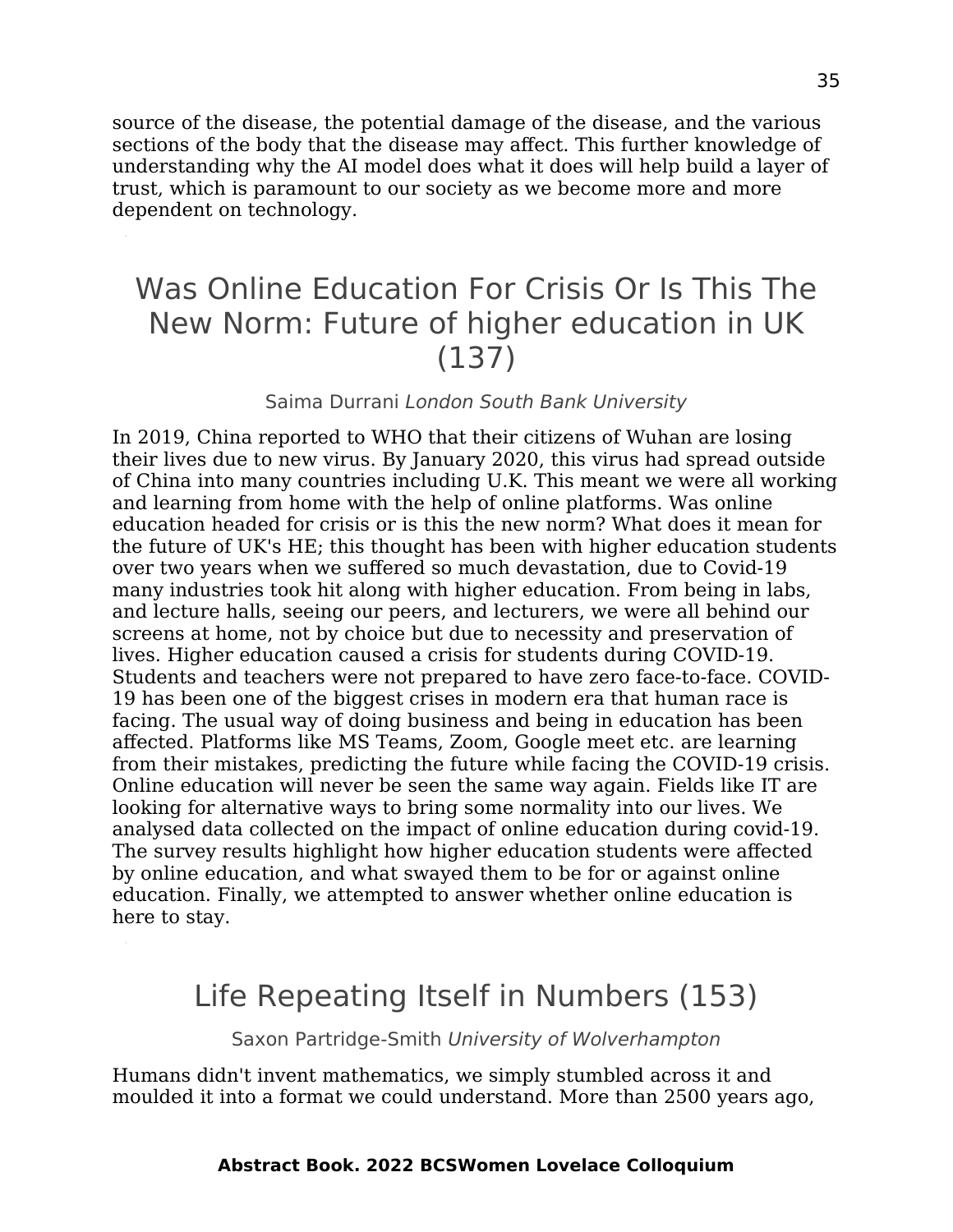source of the disease, the potential damage of the disease, and the various sections of the body that the disease may affect. This further knowledge of understanding why the AI model does what it does will help build a layer of trust, which is paramount to our society as we become more and more dependent on technology.

## Was Online Education For Crisis Or Is This The New Norm: Future of higher education in UK (137)

#### Saima Durrani London South Bank University

In 2019, China reported to WHO that their citizens of Wuhan are losing their lives due to new virus. By January 2020, this virus had spread outside of China into many countries including U.K. This meant we were all working and learning from home with the help of online platforms. Was online education headed for crisis or is this the new norm? What does it mean for the future of UK's HE; this thought has been with higher education students over two years when we suffered so much devastation, due to Covid-19 many industries took hit along with higher education. From being in labs, and lecture halls, seeing our peers, and lecturers, we were all behind our screens at home, not by choice but due to necessity and preservation of lives. Higher education caused a crisis for students during COVID-19. Students and teachers were not prepared to have zero face-to-face. COVID-19 has been one of the biggest crises in modern era that human race is facing. The usual way of doing business and being in education has been affected. Platforms like MS Teams, Zoom, Google meet etc. are learning from their mistakes, predicting the future while facing the COVID-19 crisis. Online education will never be seen the same way again. Fields like IT are looking for alternative ways to bring some normality into our lives. We analysed data collected on the impact of online education during covid-19. The survey results highlight how higher education students were affected by online education, and what swayed them to be for or against online education. Finally, we attempted to answer whether online education is here to stay.

### Life Repeating Itself in Numbers (153)

Saxon Partridge-Smith University of Wolverhampton

Humans didn't invent mathematics, we simply stumbled across it and moulded it into a format we could understand. More than 2500 years ago,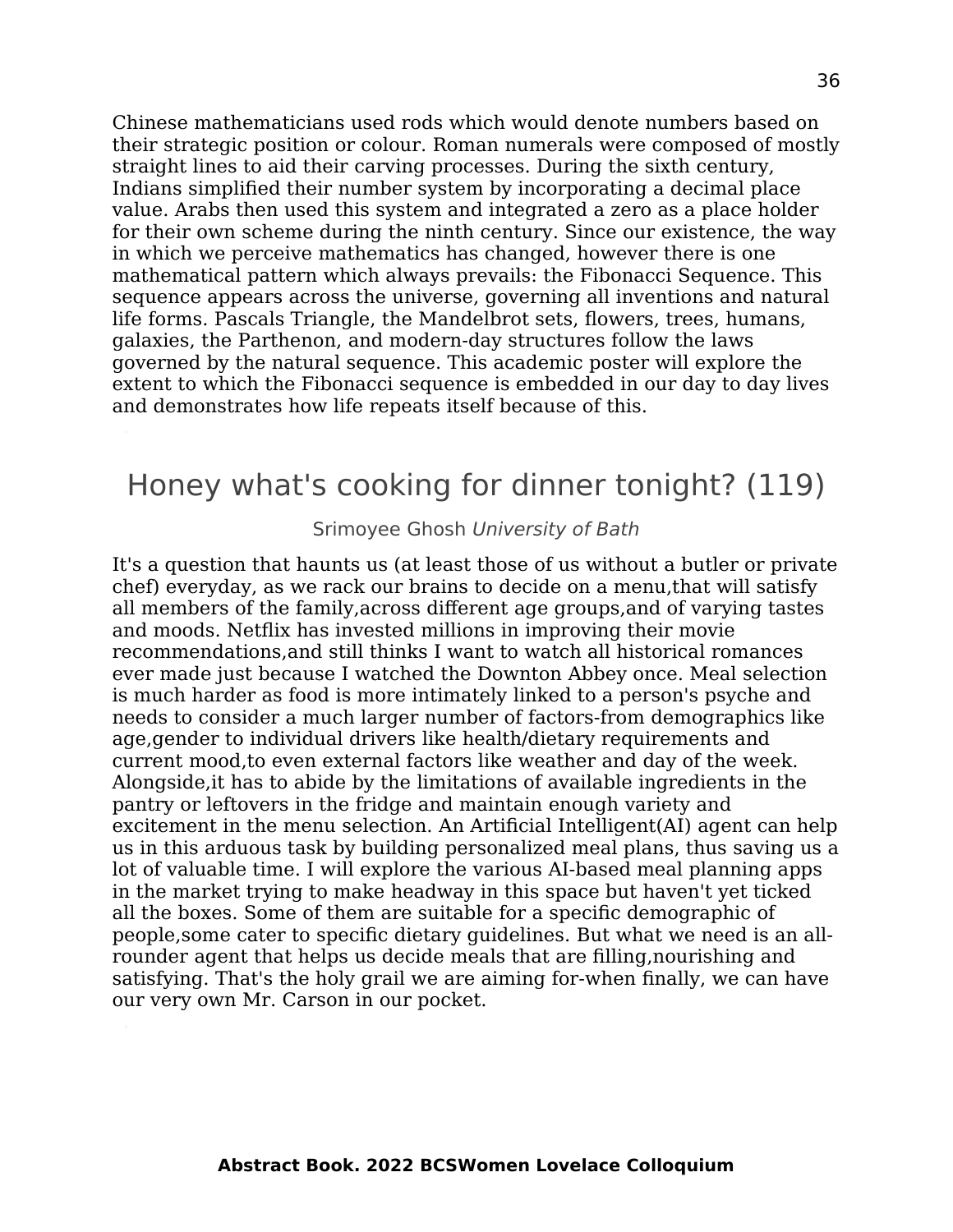Chinese mathematicians used rods which would denote numbers based on their strategic position or colour. Roman numerals were composed of mostly straight lines to aid their carving processes. During the sixth century, Indians simplified their number system by incorporating a decimal place value. Arabs then used this system and integrated a zero as a place holder for their own scheme during the ninth century. Since our existence, the way in which we perceive mathematics has changed, however there is one mathematical pattern which always prevails: the Fibonacci Sequence. This sequence appears across the universe, governing all inventions and natural life forms. Pascals Triangle, the Mandelbrot sets, flowers, trees, humans, galaxies, the Parthenon, and modern-day structures follow the laws governed by the natural sequence. This academic poster will explore the extent to which the Fibonacci sequence is embedded in our day to day lives and demonstrates how life repeats itself because of this.

### Honey what's cooking for dinner tonight? (119)

Srimoyee Ghosh University of Bath

It's a question that haunts us (at least those of us without a butler or private chef) everyday, as we rack our brains to decide on a menu,that will satisfy all members of the family,across different age groups,and of varying tastes and moods. Netflix has invested millions in improving their movie recommendations,and still thinks I want to watch all historical romances ever made just because I watched the Downton Abbey once. Meal selection is much harder as food is more intimately linked to a person's psyche and needs to consider a much larger number of factors-from demographics like age,gender to individual drivers like health/dietary requirements and current mood,to even external factors like weather and day of the week. Alongside,it has to abide by the limitations of available ingredients in the pantry or leftovers in the fridge and maintain enough variety and excitement in the menu selection. An Artificial Intelligent(AI) agent can help us in this arduous task by building personalized meal plans, thus saving us a lot of valuable time. I will explore the various AI-based meal planning apps in the market trying to make headway in this space but haven't yet ticked all the boxes. Some of them are suitable for a specific demographic of people,some cater to specific dietary guidelines. But what we need is an allrounder agent that helps us decide meals that are filling,nourishing and satisfying. That's the holy grail we are aiming for-when finally, we can have our very own Mr. Carson in our pocket.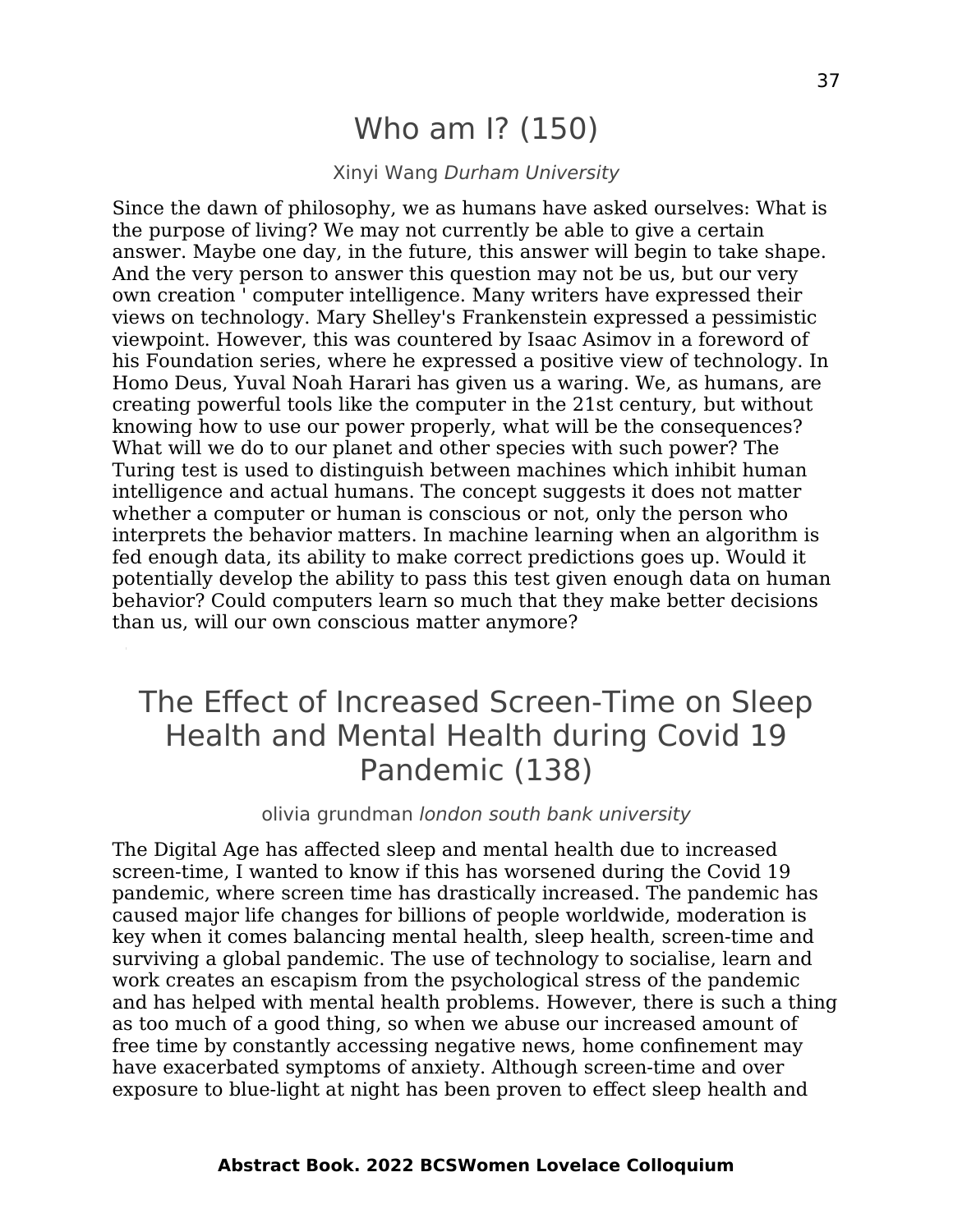### Who am I? (150)

#### Xinyi Wang Durham University

Since the dawn of philosophy, we as humans have asked ourselves: What is the purpose of living? We may not currently be able to give a certain answer. Maybe one day, in the future, this answer will begin to take shape. And the very person to answer this question may not be us, but our very own creation ' computer intelligence. Many writers have expressed their views on technology. Mary Shelley's Frankenstein expressed a pessimistic viewpoint. However, this was countered by Isaac Asimov in a foreword of his Foundation series, where he expressed a positive view of technology. In Homo Deus, Yuval Noah Harari has given us a waring. We, as humans, are creating powerful tools like the computer in the 21st century, but without knowing how to use our power properly, what will be the consequences? What will we do to our planet and other species with such power? The Turing test is used to distinguish between machines which inhibit human intelligence and actual humans. The concept suggests it does not matter whether a computer or human is conscious or not, only the person who interprets the behavior matters. In machine learning when an algorithm is fed enough data, its ability to make correct predictions goes up. Would it potentially develop the ability to pass this test given enough data on human behavior? Could computers learn so much that they make better decisions than us, will our own conscious matter anymore?

## The Effect of Increased Screen-Time on Sleep Health and Mental Health during Covid 19 Pandemic (138)

#### olivia grundman london south bank university

The Digital Age has affected sleep and mental health due to increased screen-time, I wanted to know if this has worsened during the Covid 19 pandemic, where screen time has drastically increased. The pandemic has caused major life changes for billions of people worldwide, moderation is key when it comes balancing mental health, sleep health, screen-time and surviving a global pandemic. The use of technology to socialise, learn and work creates an escapism from the psychological stress of the pandemic and has helped with mental health problems. However, there is such a thing as too much of a good thing, so when we abuse our increased amount of free time by constantly accessing negative news, home confinement may have exacerbated symptoms of anxiety. Although screen-time and over exposure to blue-light at night has been proven to effect sleep health and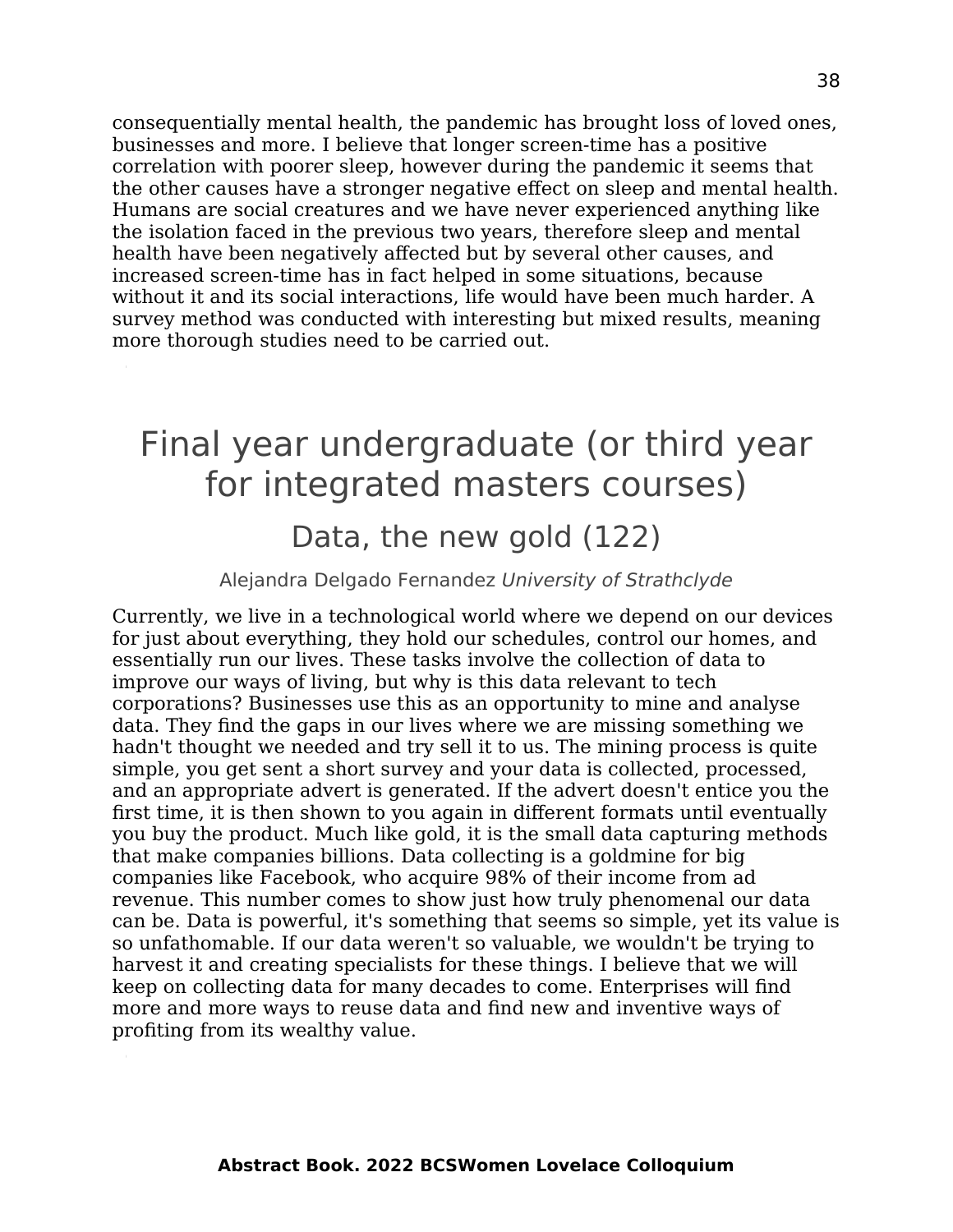consequentially mental health, the pandemic has brought loss of loved ones, businesses and more. I believe that longer screen-time has a positive correlation with poorer sleep, however during the pandemic it seems that the other causes have a stronger negative effect on sleep and mental health. Humans are social creatures and we have never experienced anything like the isolation faced in the previous two years, therefore sleep and mental health have been negatively affected but by several other causes, and increased screen-time has in fact helped in some situations, because without it and its social interactions, life would have been much harder. A survey method was conducted with interesting but mixed results, meaning more thorough studies need to be carried out.

## <span id="page-37-0"></span>Final year undergraduate (or third year for integrated masters courses)

#### Data, the new gold (122)

#### Alejandra Delgado Fernandez University of Strathclyde

Currently, we live in a technological world where we depend on our devices for just about everything, they hold our schedules, control our homes, and essentially run our lives. These tasks involve the collection of data to improve our ways of living, but why is this data relevant to tech corporations? Businesses use this as an opportunity to mine and analyse data. They find the gaps in our lives where we are missing something we hadn't thought we needed and try sell it to us. The mining process is quite simple, you get sent a short survey and your data is collected, processed, and an appropriate advert is generated. If the advert doesn't entice you the first time, it is then shown to you again in different formats until eventually you buy the product. Much like gold, it is the small data capturing methods that make companies billions. Data collecting is a goldmine for big companies like Facebook, who acquire 98% of their income from ad revenue. This number comes to show just how truly phenomenal our data can be. Data is powerful, it's something that seems so simple, yet its value is so unfathomable. If our data weren't so valuable, we wouldn't be trying to harvest it and creating specialists for these things. I believe that we will keep on collecting data for many decades to come. Enterprises will find more and more ways to reuse data and find new and inventive ways of profiting from its wealthy value.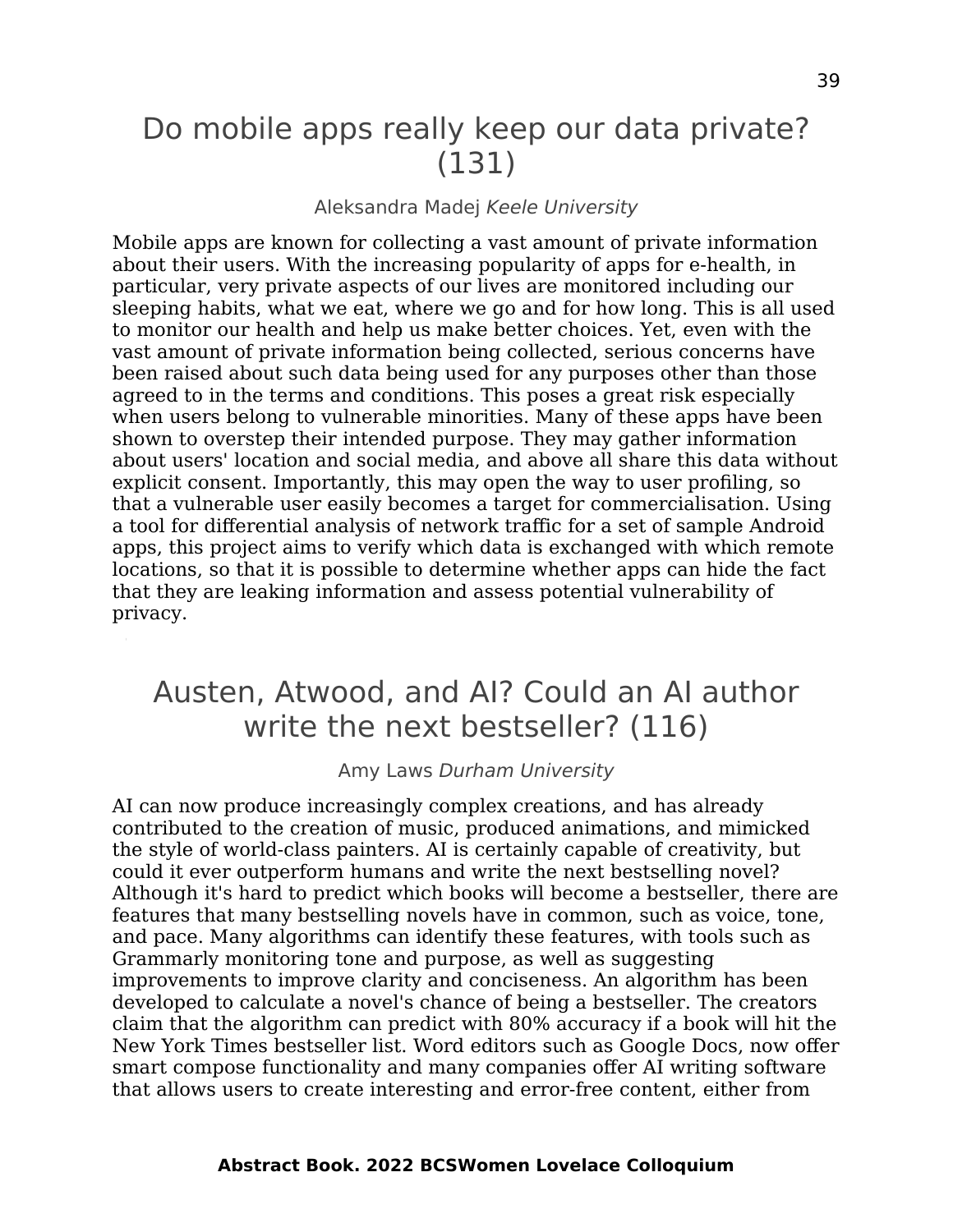### Do mobile apps really keep our data private? (131)

#### Aleksandra Madej Keele University

Mobile apps are known for collecting a vast amount of private information about their users. With the increasing popularity of apps for e-health, in particular, very private aspects of our lives are monitored including our sleeping habits, what we eat, where we go and for how long. This is all used to monitor our health and help us make better choices. Yet, even with the vast amount of private information being collected, serious concerns have been raised about such data being used for any purposes other than those agreed to in the terms and conditions. This poses a great risk especially when users belong to vulnerable minorities. Many of these apps have been shown to overstep their intended purpose. They may gather information about users' location and social media, and above all share this data without explicit consent. Importantly, this may open the way to user profiling, so that a vulnerable user easily becomes a target for commercialisation. Using a tool for differential analysis of network traffic for a set of sample Android apps, this project aims to verify which data is exchanged with which remote locations, so that it is possible to determine whether apps can hide the fact that they are leaking information and assess potential vulnerability of privacy.

### Austen, Atwood, and AI? Could an AI author write the next bestseller? (116)

#### Amy Laws Durham University

AI can now produce increasingly complex creations, and has already contributed to the creation of music, produced animations, and mimicked the style of world-class painters. AI is certainly capable of creativity, but could it ever outperform humans and write the next bestselling novel? Although it's hard to predict which books will become a bestseller, there are features that many bestselling novels have in common, such as voice, tone, and pace. Many algorithms can identify these features, with tools such as Grammarly monitoring tone and purpose, as well as suggesting improvements to improve clarity and conciseness. An algorithm has been developed to calculate a novel's chance of being a bestseller. The creators claim that the algorithm can predict with 80% accuracy if a book will hit the New York Times bestseller list. Word editors such as Google Docs, now offer smart compose functionality and many companies offer AI writing software that allows users to create interesting and error-free content, either from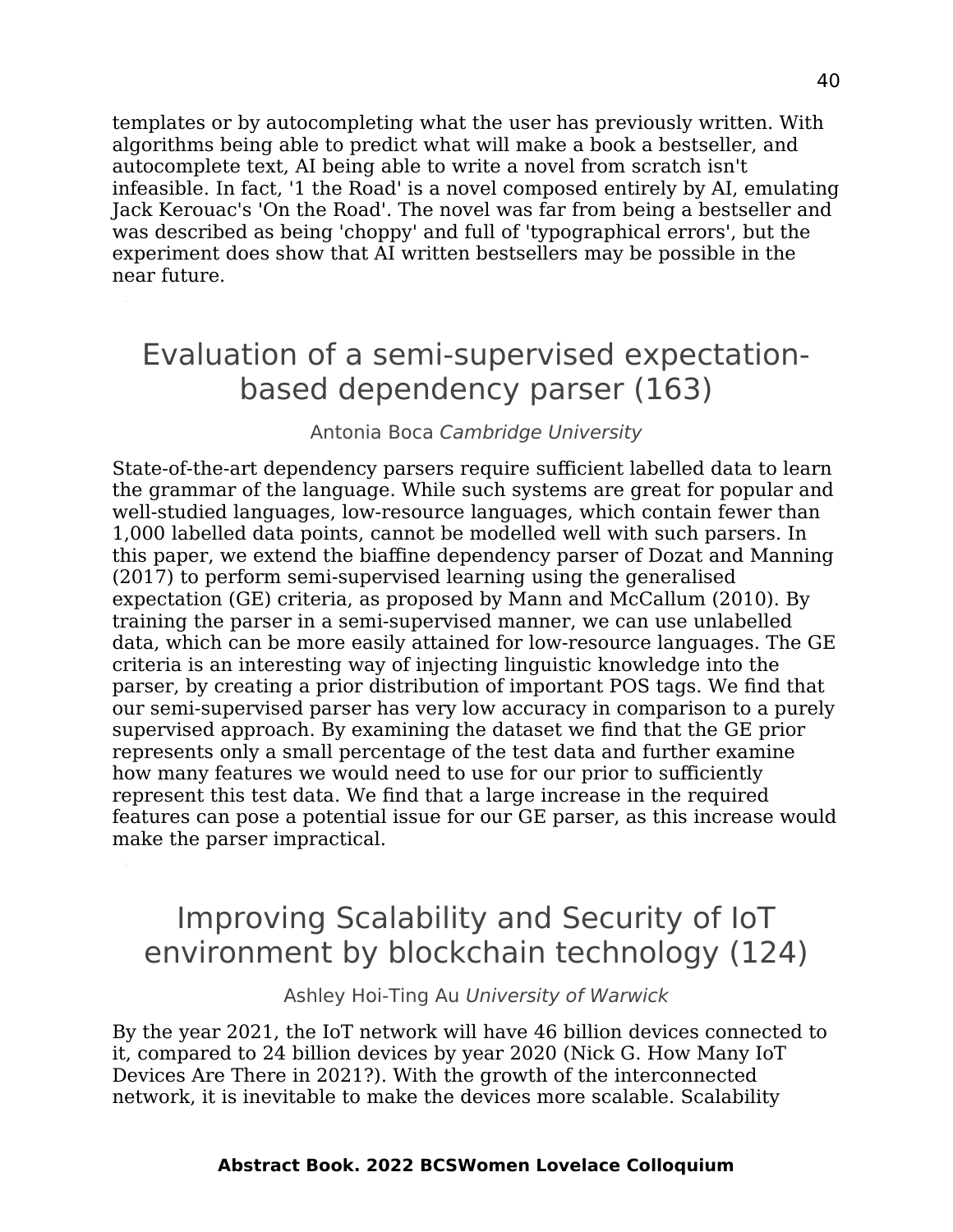templates or by autocompleting what the user has previously written. With algorithms being able to predict what will make a book a bestseller, and autocomplete text, AI being able to write a novel from scratch isn't infeasible. In fact, '1 the Road' is a novel composed entirely by AI, emulating Jack Kerouac's 'On the Road'. The novel was far from being a bestseller and was described as being 'choppy' and full of 'typographical errors', but the experiment does show that AI written bestsellers may be possible in the near future.

## Evaluation of a semi-supervised expectationbased dependency parser (163)

#### Antonia Boca Cambridge University

State-of-the-art dependency parsers require sufficient labelled data to learn the grammar of the language. While such systems are great for popular and well-studied languages, low-resource languages, which contain fewer than 1,000 labelled data points, cannot be modelled well with such parsers. In this paper, we extend the biaffine dependency parser of Dozat and Manning (2017) to perform semi-supervised learning using the generalised expectation (GE) criteria, as proposed by Mann and McCallum (2010). By training the parser in a semi-supervised manner, we can use unlabelled data, which can be more easily attained for low-resource languages. The GE criteria is an interesting way of injecting linguistic knowledge into the parser, by creating a prior distribution of important POS tags. We find that our semi-supervised parser has very low accuracy in comparison to a purely supervised approach. By examining the dataset we find that the GE prior represents only a small percentage of the test data and further examine how many features we would need to use for our prior to sufficiently represent this test data. We find that a large increase in the required features can pose a potential issue for our GE parser, as this increase would make the parser impractical.

### Improving Scalability and Security of IoT environment by blockchain technology (124)

Ashley Hoi-Ting Au University of Warwick

By the year 2021, the IoT network will have 46 billion devices connected to it, compared to 24 billion devices by year 2020 (Nick G. How Many IoT Devices Are There in 2021?). With the growth of the interconnected network, it is inevitable to make the devices more scalable. Scalability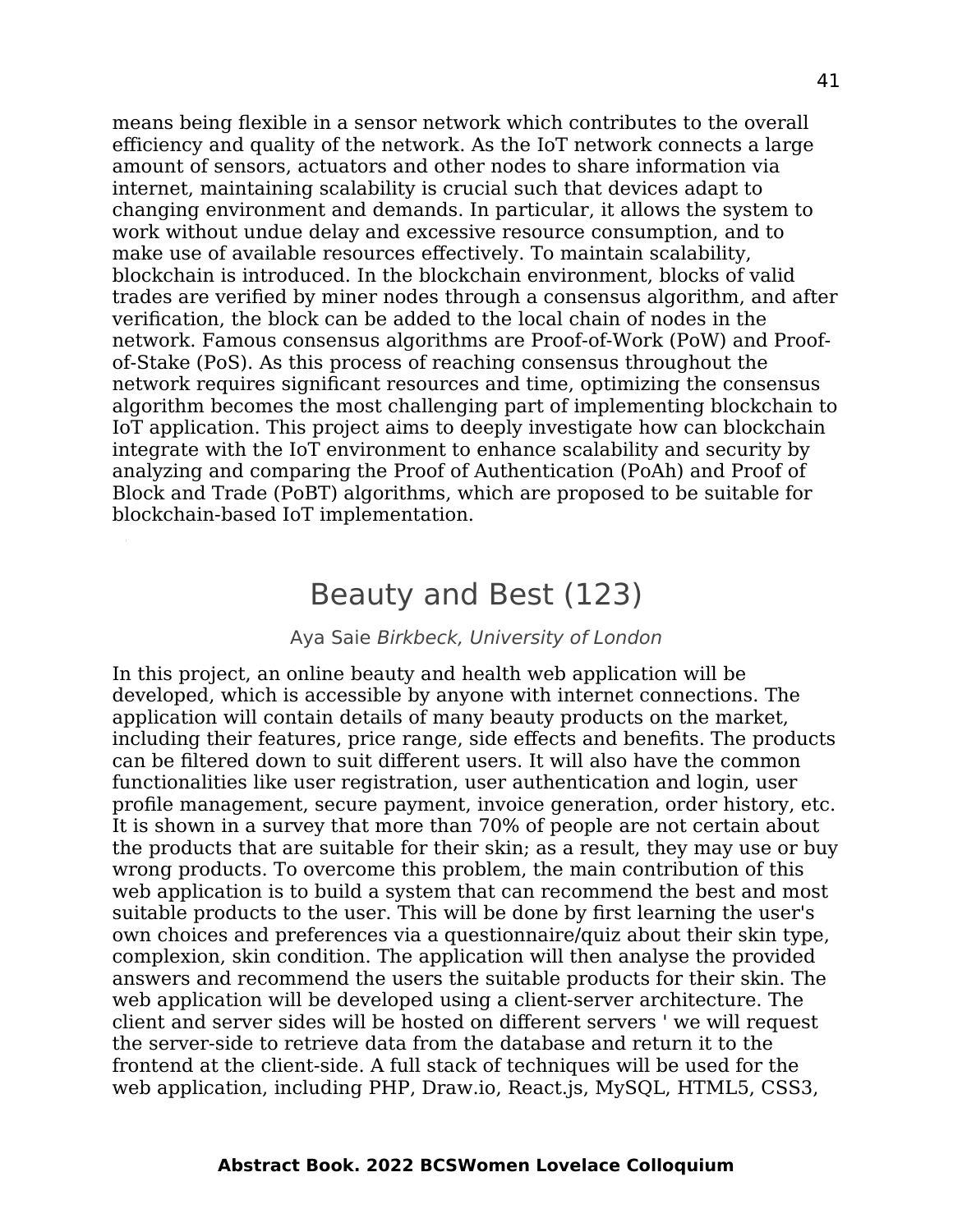means being flexible in a sensor network which contributes to the overall efficiency and quality of the network. As the IoT network connects a large amount of sensors, actuators and other nodes to share information via internet, maintaining scalability is crucial such that devices adapt to changing environment and demands. In particular, it allows the system to work without undue delay and excessive resource consumption, and to make use of available resources effectively. To maintain scalability, blockchain is introduced. In the blockchain environment, blocks of valid trades are verified by miner nodes through a consensus algorithm, and after verification, the block can be added to the local chain of nodes in the network. Famous consensus algorithms are Proof-of-Work (PoW) and Proofof-Stake (PoS). As this process of reaching consensus throughout the network requires significant resources and time, optimizing the consensus algorithm becomes the most challenging part of implementing blockchain to IoT application. This project aims to deeply investigate how can blockchain integrate with the IoT environment to enhance scalability and security by analyzing and comparing the Proof of Authentication (PoAh) and Proof of Block and Trade (PoBT) algorithms, which are proposed to be suitable for blockchain-based IoT implementation.

### Beauty and Best (123)

#### Aya Saie Birkbeck, University of London

In this project, an online beauty and health web application will be developed, which is accessible by anyone with internet connections. The application will contain details of many beauty products on the market, including their features, price range, side effects and benefits. The products can be filtered down to suit different users. It will also have the common functionalities like user registration, user authentication and login, user profile management, secure payment, invoice generation, order history, etc. It is shown in a survey that more than 70% of people are not certain about the products that are suitable for their skin; as a result, they may use or buy wrong products. To overcome this problem, the main contribution of this web application is to build a system that can recommend the best and most suitable products to the user. This will be done by first learning the user's own choices and preferences via a questionnaire/quiz about their skin type, complexion, skin condition. The application will then analyse the provided answers and recommend the users the suitable products for their skin. The web application will be developed using a client-server architecture. The client and server sides will be hosted on different servers ' we will request the server-side to retrieve data from the database and return it to the frontend at the client-side. A full stack of techniques will be used for the web application, including PHP, Draw.io, React.js, MySQL, HTML5, CSS3,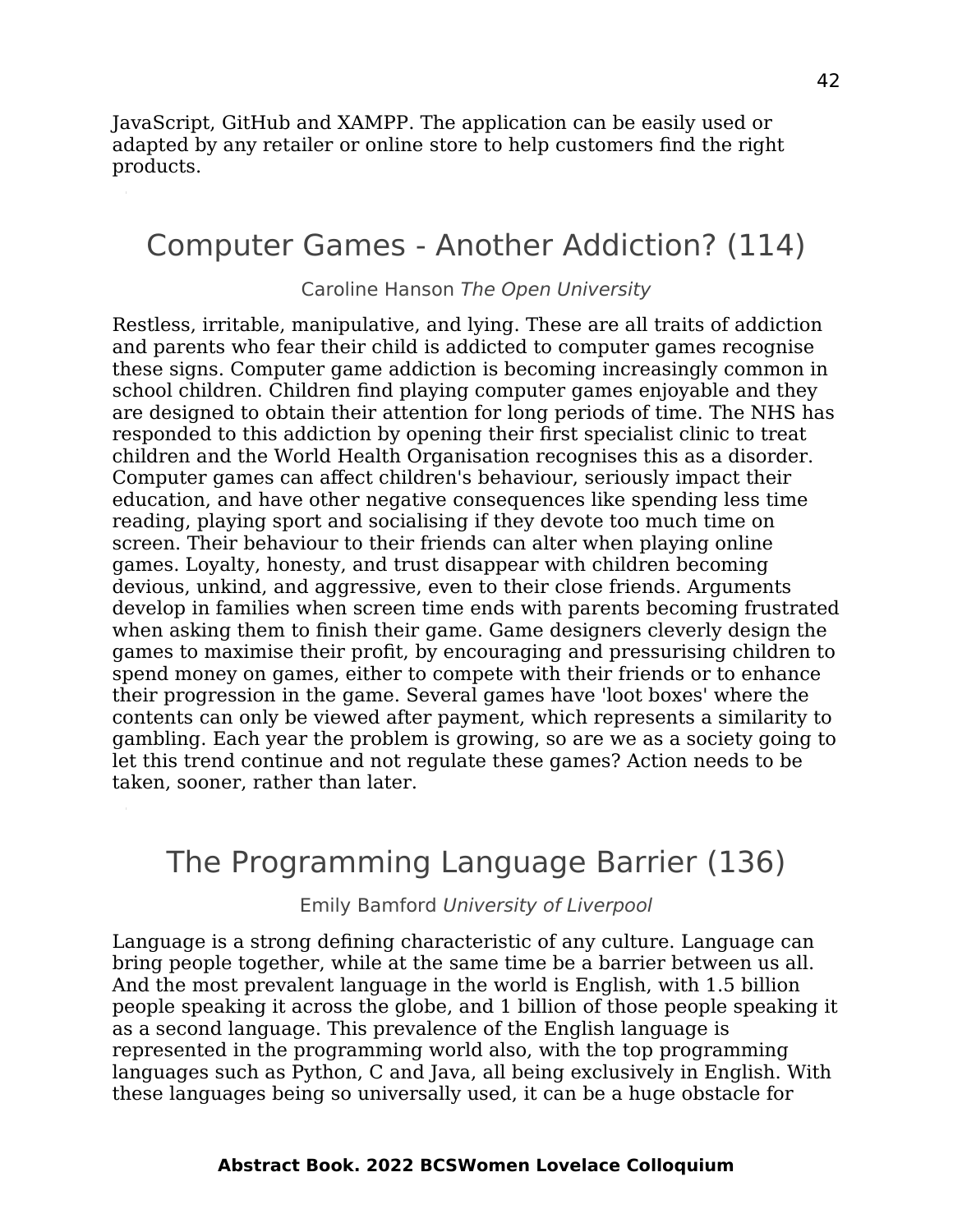JavaScript, GitHub and XAMPP. The application can be easily used or adapted by any retailer or online store to help customers find the right products.

### Computer Games - Another Addiction? (114)

#### Caroline Hanson The Open University

Restless, irritable, manipulative, and lying. These are all traits of addiction and parents who fear their child is addicted to computer games recognise these signs. Computer game addiction is becoming increasingly common in school children. Children find playing computer games enjoyable and they are designed to obtain their attention for long periods of time. The NHS has responded to this addiction by opening their first specialist clinic to treat children and the World Health Organisation recognises this as a disorder. Computer games can affect children's behaviour, seriously impact their education, and have other negative consequences like spending less time reading, playing sport and socialising if they devote too much time on screen. Their behaviour to their friends can alter when playing online games. Loyalty, honesty, and trust disappear with children becoming devious, unkind, and aggressive, even to their close friends. Arguments develop in families when screen time ends with parents becoming frustrated when asking them to finish their game. Game designers cleverly design the games to maximise their profit, by encouraging and pressurising children to spend money on games, either to compete with their friends or to enhance their progression in the game. Several games have 'loot boxes' where the contents can only be viewed after payment, which represents a similarity to gambling. Each year the problem is growing, so are we as a society going to let this trend continue and not regulate these games? Action needs to be taken, sooner, rather than later.

### The Programming Language Barrier (136)

Emily Bamford University of Liverpool

Language is a strong defining characteristic of any culture. Language can bring people together, while at the same time be a barrier between us all. And the most prevalent language in the world is English, with 1.5 billion people speaking it across the globe, and 1 billion of those people speaking it as a second language. This prevalence of the English language is represented in the programming world also, with the top programming languages such as Python, C and Java, all being exclusively in English. With these languages being so universally used, it can be a huge obstacle for

#### **Abstract Book. 2022 BCSWomen Lovelace Colloquium**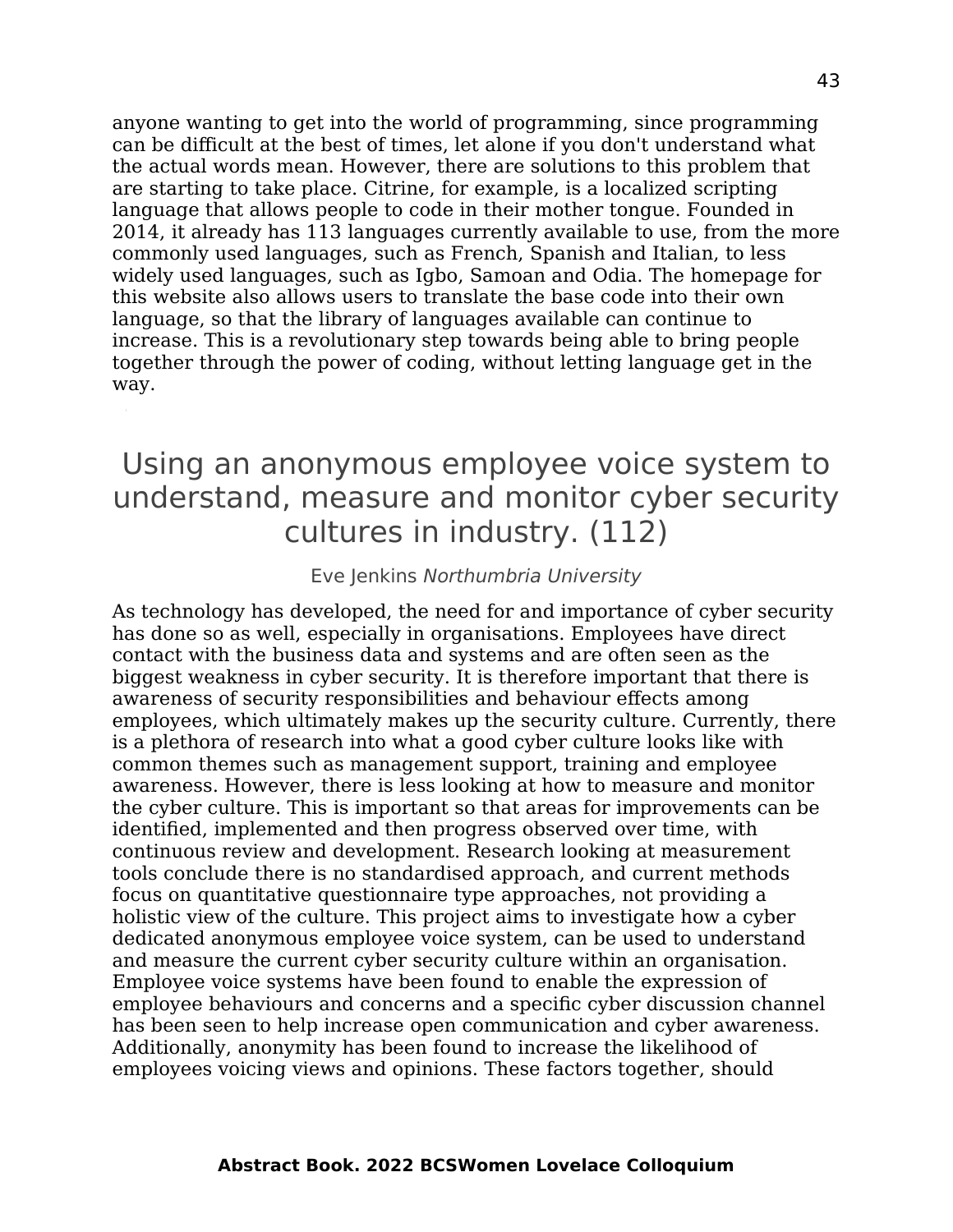anyone wanting to get into the world of programming, since programming can be difficult at the best of times, let alone if you don't understand what the actual words mean. However, there are solutions to this problem that are starting to take place. Citrine, for example, is a localized scripting language that allows people to code in their mother tongue. Founded in 2014, it already has 113 languages currently available to use, from the more commonly used languages, such as French, Spanish and Italian, to less widely used languages, such as Igbo, Samoan and Odia. The homepage for this website also allows users to translate the base code into their own language, so that the library of languages available can continue to increase. This is a revolutionary step towards being able to bring people together through the power of coding, without letting language get in the way.

## Using an anonymous employee voice system to understand, measure and monitor cyber security cultures in industry. (112)

#### Eve Jenkins Northumbria University

As technology has developed, the need for and importance of cyber security has done so as well, especially in organisations. Employees have direct contact with the business data and systems and are often seen as the biggest weakness in cyber security. It is therefore important that there is awareness of security responsibilities and behaviour effects among employees, which ultimately makes up the security culture. Currently, there is a plethora of research into what a good cyber culture looks like with common themes such as management support, training and employee awareness. However, there is less looking at how to measure and monitor the cyber culture. This is important so that areas for improvements can be identified, implemented and then progress observed over time, with continuous review and development. Research looking at measurement tools conclude there is no standardised approach, and current methods focus on quantitative questionnaire type approaches, not providing a holistic view of the culture. This project aims to investigate how a cyber dedicated anonymous employee voice system, can be used to understand and measure the current cyber security culture within an organisation. Employee voice systems have been found to enable the expression of employee behaviours and concerns and a specific cyber discussion channel has been seen to help increase open communication and cyber awareness. Additionally, anonymity has been found to increase the likelihood of employees voicing views and opinions. These factors together, should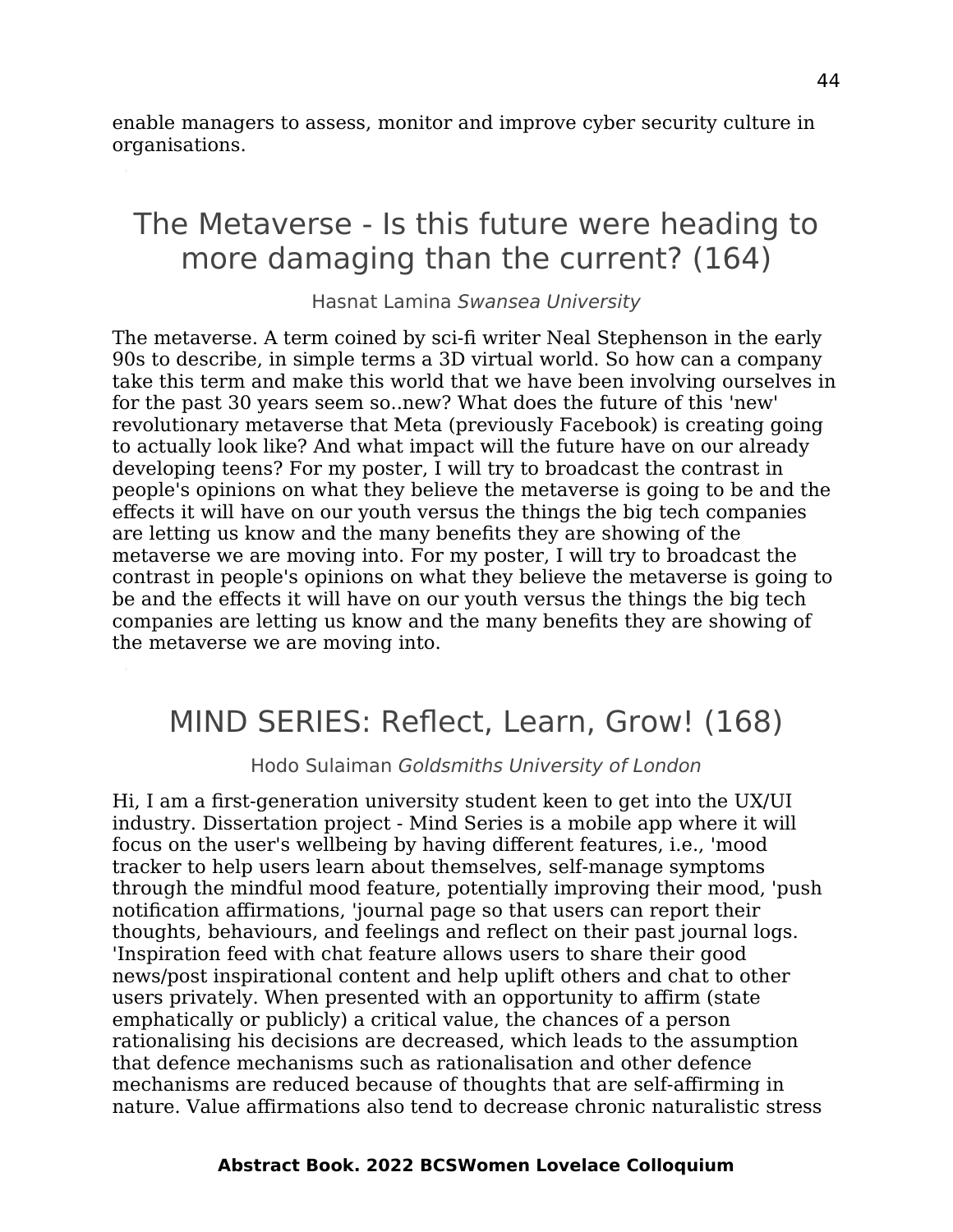enable managers to assess, monitor and improve cyber security culture in organisations.

## The Metaverse - Is this future were heading to more damaging than the current? (164)

Hasnat Lamina Swansea University

The metaverse. A term coined by sci-fi writer Neal Stephenson in the early 90s to describe, in simple terms a 3D virtual world. So how can a company take this term and make this world that we have been involving ourselves in for the past 30 years seem so..new? What does the future of this 'new' revolutionary metaverse that Meta (previously Facebook) is creating going to actually look like? And what impact will the future have on our already developing teens? For my poster, I will try to broadcast the contrast in people's opinions on what they believe the metaverse is going to be and the effects it will have on our youth versus the things the big tech companies are letting us know and the many benefits they are showing of the metaverse we are moving into. For my poster, I will try to broadcast the contrast in people's opinions on what they believe the metaverse is going to be and the effects it will have on our youth versus the things the big tech companies are letting us know and the many benefits they are showing of the metaverse we are moving into.

## MIND SERIES: Reflect, Learn, Grow! (168)

Hodo Sulaiman Goldsmiths University of London

Hi, I am a first-generation university student keen to get into the UX/UI industry. Dissertation project - Mind Series is a mobile app where it will focus on the user's wellbeing by having different features, i.e., 'mood tracker to help users learn about themselves, self-manage symptoms through the mindful mood feature, potentially improving their mood, 'push notification affirmations, 'journal page so that users can report their thoughts, behaviours, and feelings and reflect on their past journal logs. 'Inspiration feed with chat feature allows users to share their good news/post inspirational content and help uplift others and chat to other users privately. When presented with an opportunity to affirm (state emphatically or publicly) a critical value, the chances of a person rationalising his decisions are decreased, which leads to the assumption that defence mechanisms such as rationalisation and other defence mechanisms are reduced because of thoughts that are self-affirming in nature. Value affirmations also tend to decrease chronic naturalistic stress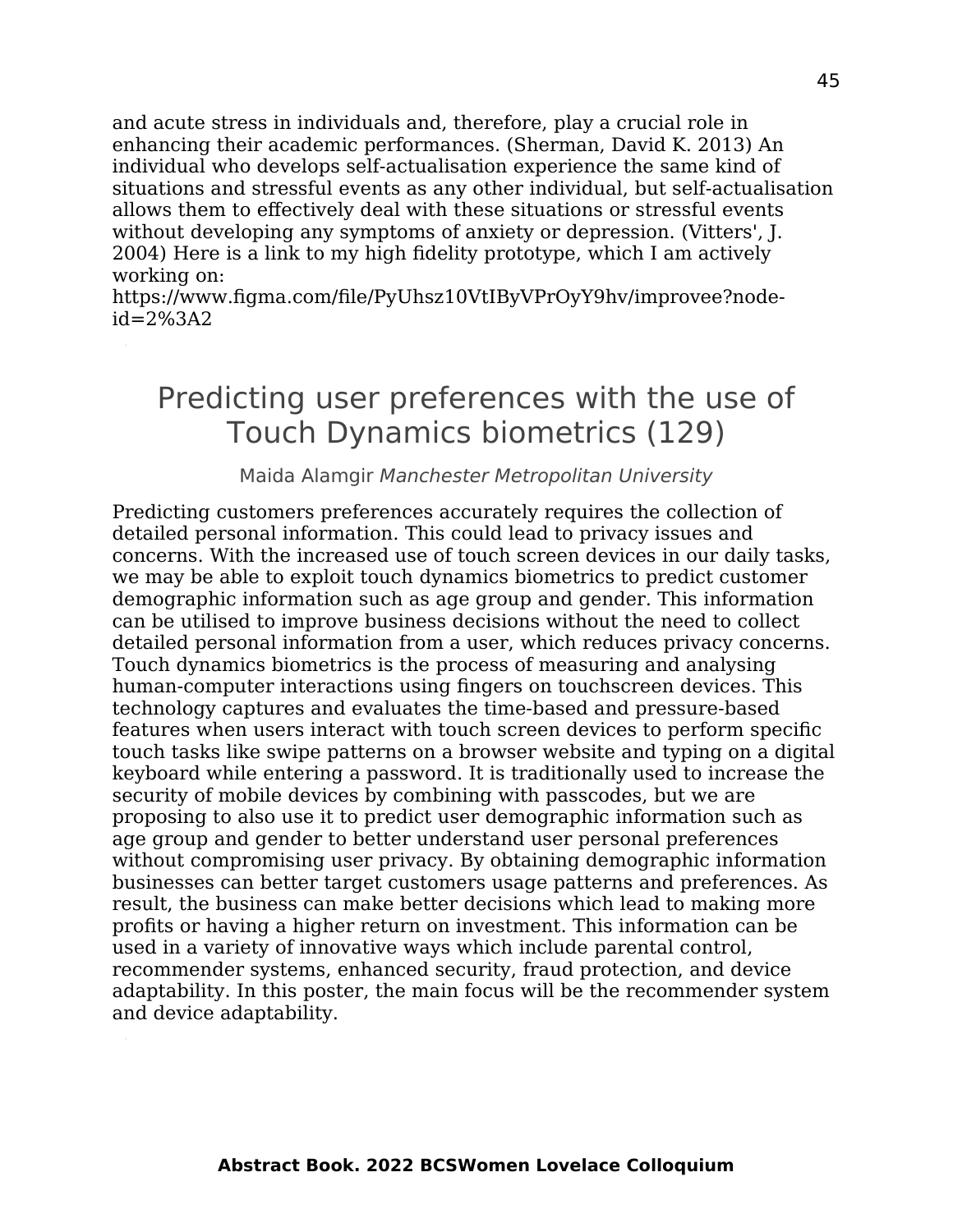and acute stress in individuals and, therefore, play a crucial role in enhancing their academic performances. (Sherman, David K. 2013) An individual who develops self-actualisation experience the same kind of situations and stressful events as any other individual, but self-actualisation allows them to effectively deal with these situations or stressful events without developing any symptoms of anxiety or depression. (Vitters', J. 2004) Here is a link to my high fidelity prototype, which I am actively working on:

https://www.figma.com/file/PyUhsz10VtIByVPrOyY9hv/improvee?node $id = 2\%3A2$ 

## Predicting user preferences with the use of Touch Dynamics biometrics (129)

#### Maida Alamgir Manchester Metropolitan University

Predicting customers preferences accurately requires the collection of detailed personal information. This could lead to privacy issues and concerns. With the increased use of touch screen devices in our daily tasks, we may be able to exploit touch dynamics biometrics to predict customer demographic information such as age group and gender. This information can be utilised to improve business decisions without the need to collect detailed personal information from a user, which reduces privacy concerns. Touch dynamics biometrics is the process of measuring and analysing human-computer interactions using fingers on touchscreen devices. This technology captures and evaluates the time-based and pressure-based features when users interact with touch screen devices to perform specific touch tasks like swipe patterns on a browser website and typing on a digital keyboard while entering a password. It is traditionally used to increase the security of mobile devices by combining with passcodes, but we are proposing to also use it to predict user demographic information such as age group and gender to better understand user personal preferences without compromising user privacy. By obtaining demographic information businesses can better target customers usage patterns and preferences. As result, the business can make better decisions which lead to making more profits or having a higher return on investment. This information can be used in a variety of innovative ways which include parental control, recommender systems, enhanced security, fraud protection, and device adaptability. In this poster, the main focus will be the recommender system and device adaptability.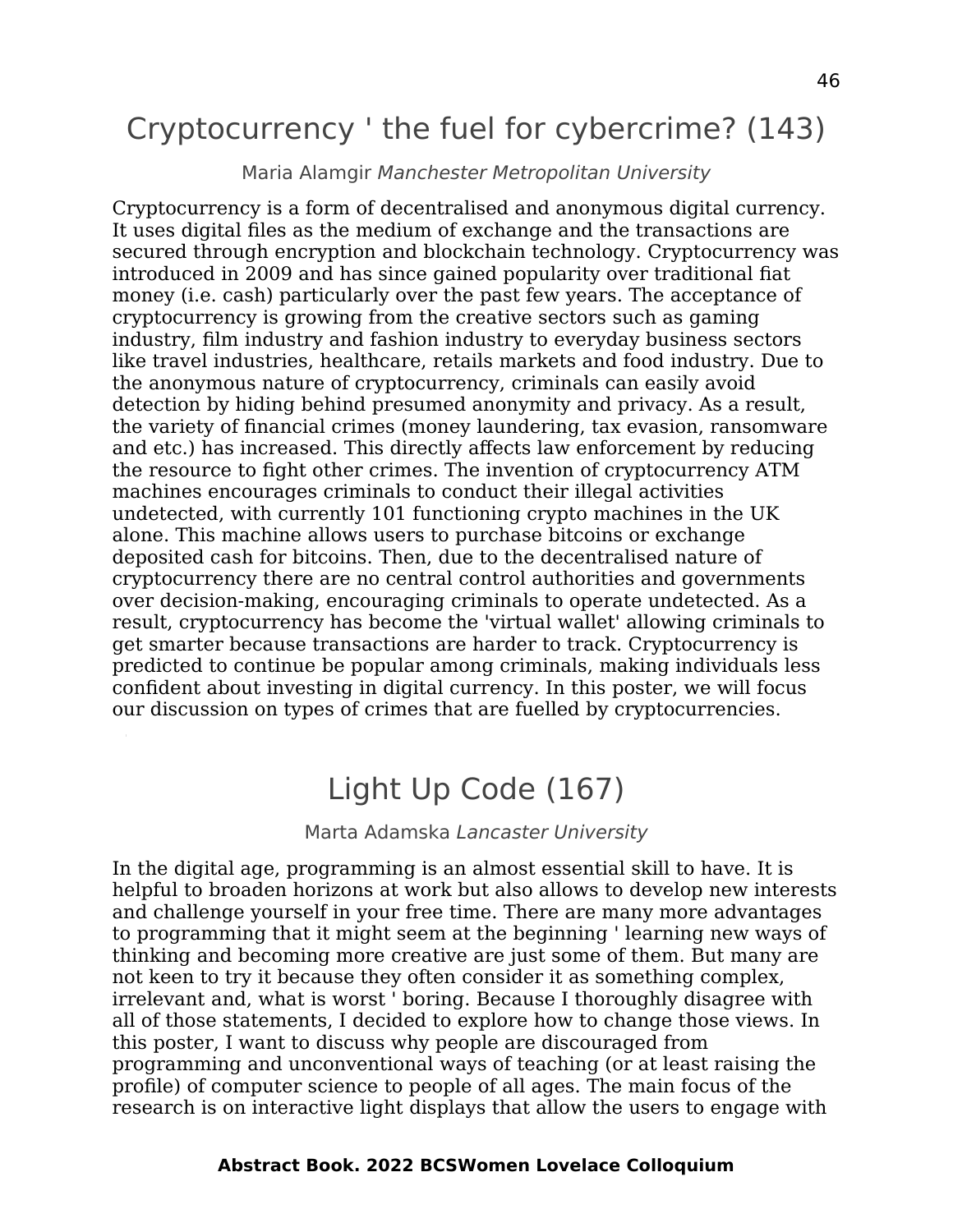## Cryptocurrency ' the fuel for cybercrime? (143)

#### Maria Alamgir Manchester Metropolitan University

Cryptocurrency is a form of decentralised and anonymous digital currency. It uses digital files as the medium of exchange and the transactions are secured through encryption and blockchain technology. Cryptocurrency was introduced in 2009 and has since gained popularity over traditional fiat money (i.e. cash) particularly over the past few years. The acceptance of cryptocurrency is growing from the creative sectors such as gaming industry, film industry and fashion industry to everyday business sectors like travel industries, healthcare, retails markets and food industry. Due to the anonymous nature of cryptocurrency, criminals can easily avoid detection by hiding behind presumed anonymity and privacy. As a result, the variety of financial crimes (money laundering, tax evasion, ransomware and etc.) has increased. This directly affects law enforcement by reducing the resource to fight other crimes. The invention of cryptocurrency ATM machines encourages criminals to conduct their illegal activities undetected, with currently 101 functioning crypto machines in the UK alone. This machine allows users to purchase bitcoins or exchange deposited cash for bitcoins. Then, due to the decentralised nature of cryptocurrency there are no central control authorities and governments over decision-making, encouraging criminals to operate undetected. As a result, cryptocurrency has become the 'virtual wallet' allowing criminals to get smarter because transactions are harder to track. Cryptocurrency is predicted to continue be popular among criminals, making individuals less confident about investing in digital currency. In this poster, we will focus our discussion on types of crimes that are fuelled by cryptocurrencies.

### Light Up Code (167)

#### Marta Adamska Lancaster University

In the digital age, programming is an almost essential skill to have. It is helpful to broaden horizons at work but also allows to develop new interests and challenge yourself in your free time. There are many more advantages to programming that it might seem at the beginning ' learning new ways of thinking and becoming more creative are just some of them. But many are not keen to try it because they often consider it as something complex, irrelevant and, what is worst ' boring. Because I thoroughly disagree with all of those statements, I decided to explore how to change those views. In this poster, I want to discuss why people are discouraged from programming and unconventional ways of teaching (or at least raising the profile) of computer science to people of all ages. The main focus of the research is on interactive light displays that allow the users to engage with

#### **Abstract Book. 2022 BCSWomen Lovelace Colloquium**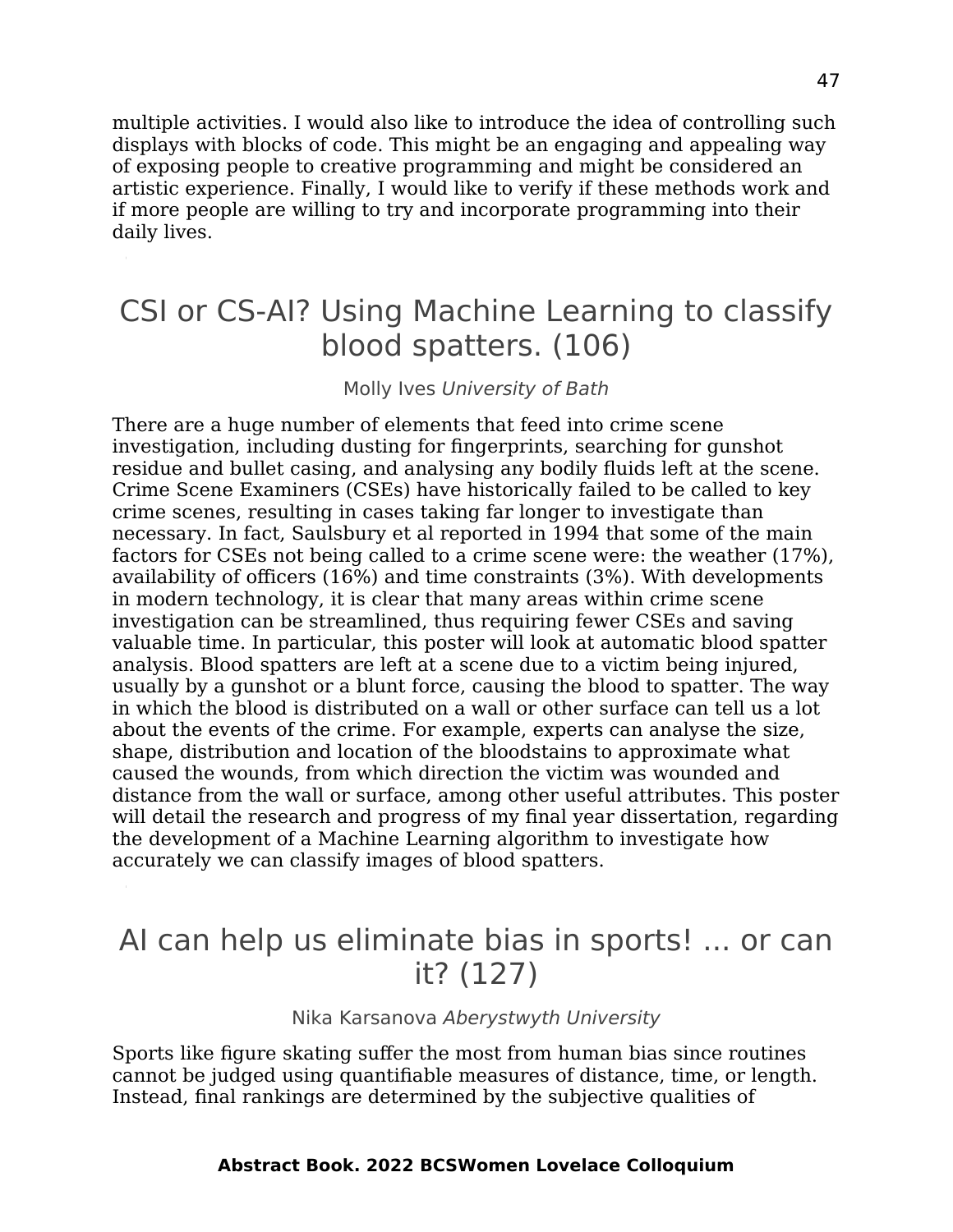multiple activities. I would also like to introduce the idea of controlling such displays with blocks of code. This might be an engaging and appealing way of exposing people to creative programming and might be considered an artistic experience. Finally, I would like to verify if these methods work and if more people are willing to try and incorporate programming into their daily lives.

## CSI or CS-AI? Using Machine Learning to classify blood spatters. (106)

#### Molly Ives University of Bath

There are a huge number of elements that feed into crime scene investigation, including dusting for fingerprints, searching for gunshot residue and bullet casing, and analysing any bodily fluids left at the scene. Crime Scene Examiners (CSEs) have historically failed to be called to key crime scenes, resulting in cases taking far longer to investigate than necessary. In fact, Saulsbury et al reported in 1994 that some of the main factors for CSEs not being called to a crime scene were: the weather (17%), availability of officers (16%) and time constraints (3%). With developments in modern technology, it is clear that many areas within crime scene investigation can be streamlined, thus requiring fewer CSEs and saving valuable time. In particular, this poster will look at automatic blood spatter analysis. Blood spatters are left at a scene due to a victim being injured, usually by a gunshot or a blunt force, causing the blood to spatter. The way in which the blood is distributed on a wall or other surface can tell us a lot about the events of the crime. For example, experts can analyse the size, shape, distribution and location of the bloodstains to approximate what caused the wounds, from which direction the victim was wounded and distance from the wall or surface, among other useful attributes. This poster will detail the research and progress of my final year dissertation, regarding the development of a Machine Learning algorithm to investigate how accurately we can classify images of blood spatters.

### AI can help us eliminate bias in sports! ... or can it? (127)

Nika Karsanova Aberystwyth University

Sports like figure skating suffer the most from human bias since routines cannot be judged using quantifiable measures of distance, time, or length. Instead, final rankings are determined by the subjective qualities of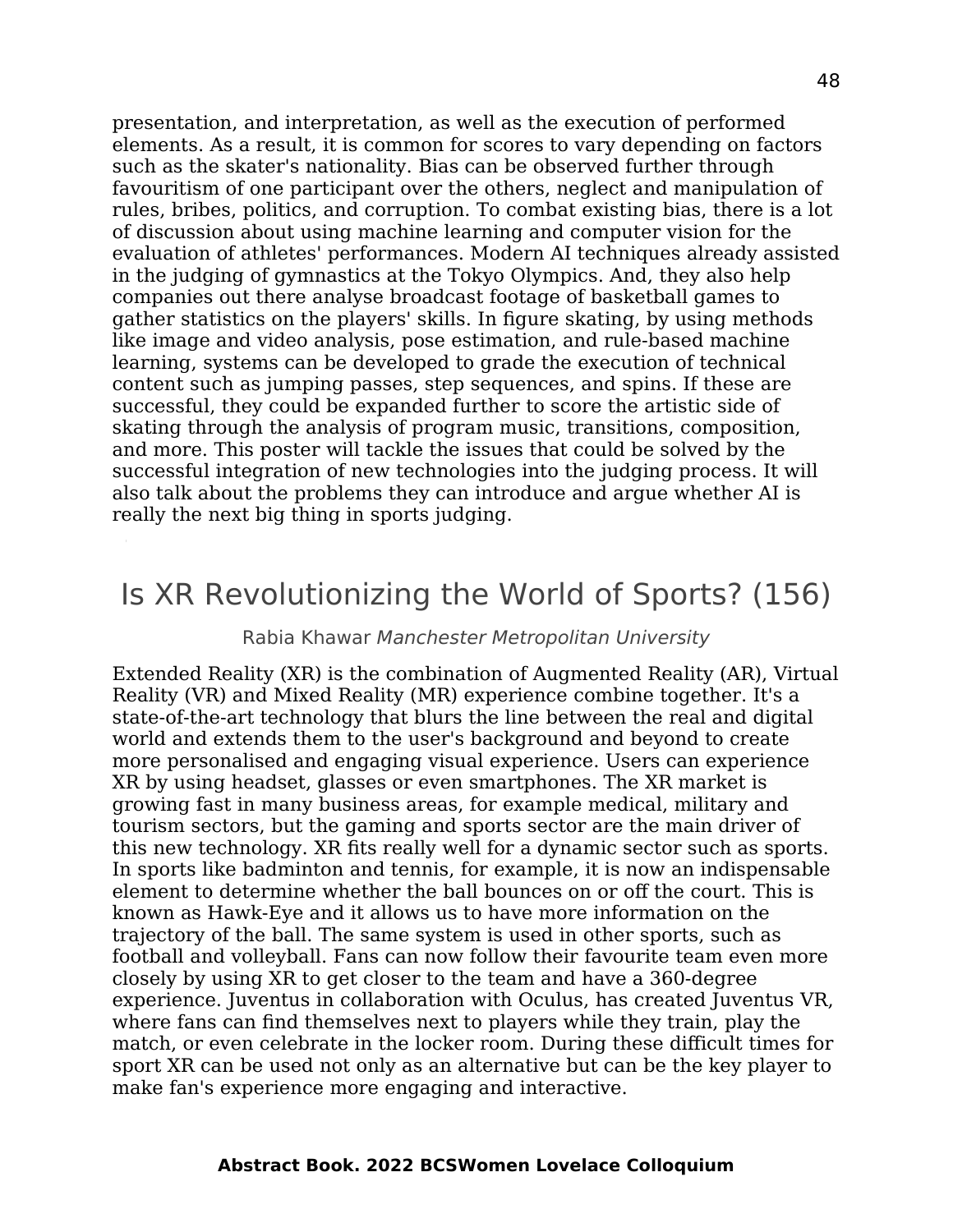presentation, and interpretation, as well as the execution of performed elements. As a result, it is common for scores to vary depending on factors such as the skater's nationality. Bias can be observed further through favouritism of one participant over the others, neglect and manipulation of rules, bribes, politics, and corruption. To combat existing bias, there is a lot of discussion about using machine learning and computer vision for the evaluation of athletes' performances. Modern AI techniques already assisted in the judging of gymnastics at the Tokyo Olympics. And, they also help companies out there analyse broadcast footage of basketball games to gather statistics on the players' skills. In figure skating, by using methods like image and video analysis, pose estimation, and rule-based machine learning, systems can be developed to grade the execution of technical content such as jumping passes, step sequences, and spins. If these are successful, they could be expanded further to score the artistic side of skating through the analysis of program music, transitions, composition, and more. This poster will tackle the issues that could be solved by the successful integration of new technologies into the judging process. It will also talk about the problems they can introduce and argue whether AI is really the next big thing in sports judging.

### Is XR Revolutionizing the World of Sports? (156)

#### Rabia Khawar Manchester Metropolitan University

Extended Reality (XR) is the combination of Augmented Reality (AR), Virtual Reality (VR) and Mixed Reality (MR) experience combine together. It's a state-of-the-art technology that blurs the line between the real and digital world and extends them to the user's background and beyond to create more personalised and engaging visual experience. Users can experience XR by using headset, glasses or even smartphones. The XR market is growing fast in many business areas, for example medical, military and tourism sectors, but the gaming and sports sector are the main driver of this new technology. XR fits really well for a dynamic sector such as sports. In sports like badminton and tennis, for example, it is now an indispensable element to determine whether the ball bounces on or off the court. This is known as Hawk-Eye and it allows us to have more information on the trajectory of the ball. The same system is used in other sports, such as football and volleyball. Fans can now follow their favourite team even more closely by using XR to get closer to the team and have a 360-degree experience. Juventus in collaboration with Oculus, has created Juventus VR, where fans can find themselves next to players while they train, play the match, or even celebrate in the locker room. During these difficult times for sport XR can be used not only as an alternative but can be the key player to make fan's experience more engaging and interactive.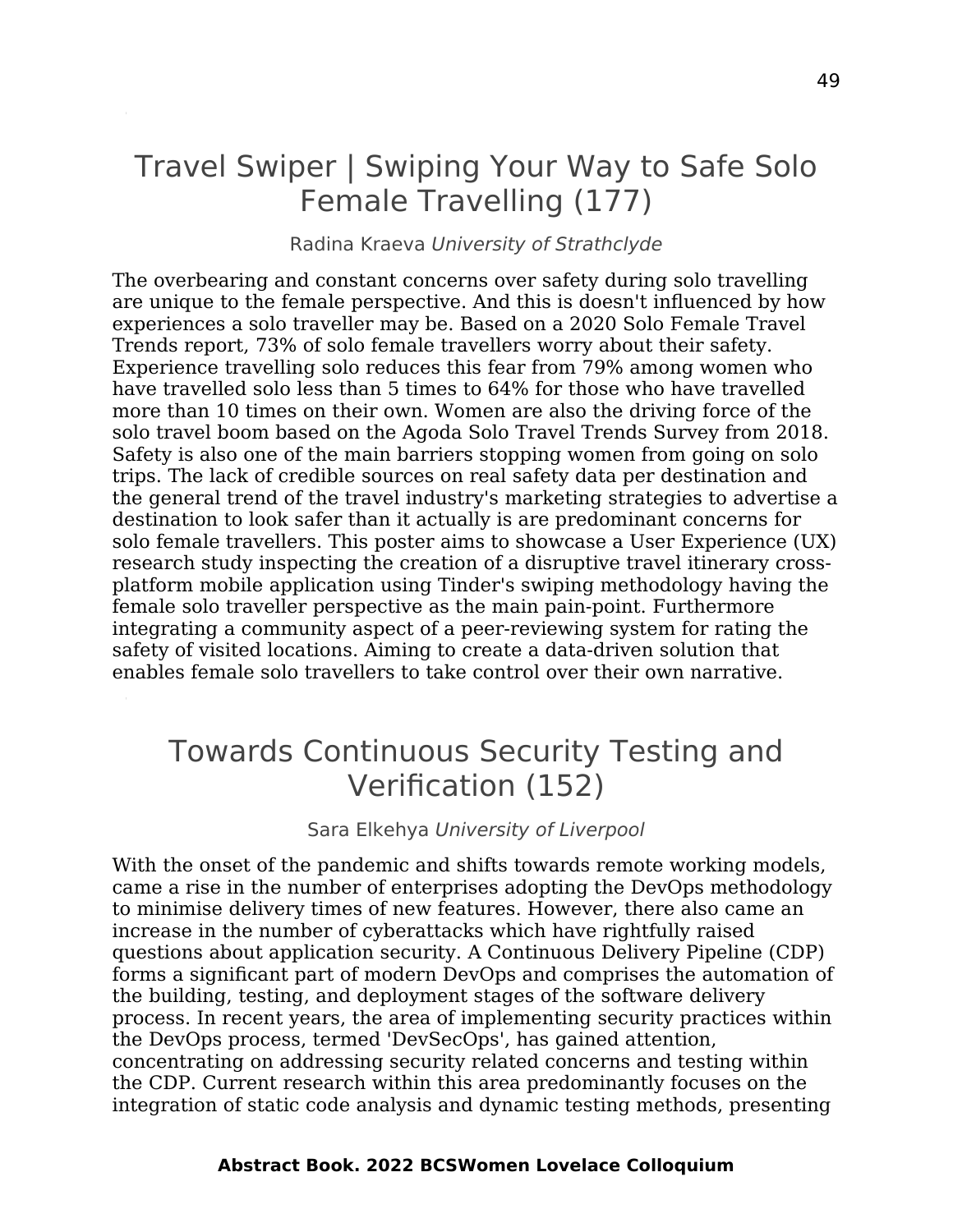### Travel Swiper | Swiping Your Way to Safe Solo Female Travelling (177)

#### Radina Kraeva University of Strathclyde

The overbearing and constant concerns over safety during solo travelling are unique to the female perspective. And this is doesn't influenced by how experiences a solo traveller may be. Based on a 2020 Solo Female Travel Trends report, 73% of solo female travellers worry about their safety. Experience travelling solo reduces this fear from 79% among women who have travelled solo less than 5 times to 64% for those who have travelled more than 10 times on their own. Women are also the driving force of the solo travel boom based on the Agoda Solo Travel Trends Survey from 2018. Safety is also one of the main barriers stopping women from going on solo trips. The lack of credible sources on real safety data per destination and the general trend of the travel industry's marketing strategies to advertise a destination to look safer than it actually is are predominant concerns for solo female travellers. This poster aims to showcase a User Experience (UX) research study inspecting the creation of a disruptive travel itinerary crossplatform mobile application using Tinder's swiping methodology having the female solo traveller perspective as the main pain-point. Furthermore integrating a community aspect of a peer-reviewing system for rating the safety of visited locations. Aiming to create a data-driven solution that enables female solo travellers to take control over their own narrative.

## Towards Continuous Security Testing and Verification (152)

Sara Elkehya University of Liverpool

With the onset of the pandemic and shifts towards remote working models, came a rise in the number of enterprises adopting the DevOps methodology to minimise delivery times of new features. However, there also came an increase in the number of cyberattacks which have rightfully raised questions about application security. A Continuous Delivery Pipeline (CDP) forms a significant part of modern DevOps and comprises the automation of the building, testing, and deployment stages of the software delivery process. In recent years, the area of implementing security practices within the DevOps process, termed 'DevSecOps', has gained attention, concentrating on addressing security related concerns and testing within the CDP. Current research within this area predominantly focuses on the integration of static code analysis and dynamic testing methods, presenting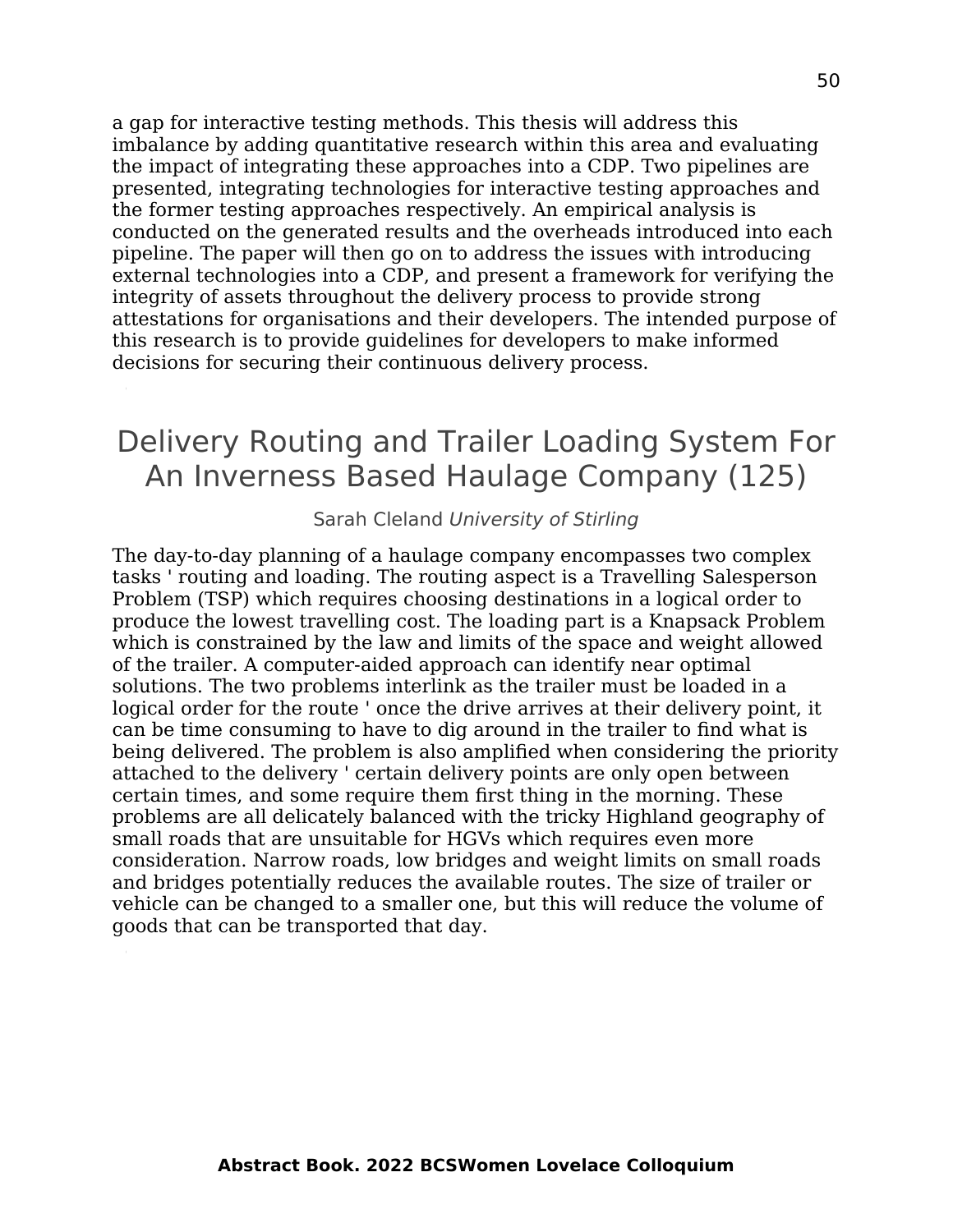a gap for interactive testing methods. This thesis will address this imbalance by adding quantitative research within this area and evaluating the impact of integrating these approaches into a CDP. Two pipelines are presented, integrating technologies for interactive testing approaches and the former testing approaches respectively. An empirical analysis is conducted on the generated results and the overheads introduced into each pipeline. The paper will then go on to address the issues with introducing external technologies into a CDP, and present a framework for verifying the integrity of assets throughout the delivery process to provide strong attestations for organisations and their developers. The intended purpose of this research is to provide guidelines for developers to make informed decisions for securing their continuous delivery process.

### Delivery Routing and Trailer Loading System For An Inverness Based Haulage Company (125)

#### Sarah Cleland University of Stirling

The day-to-day planning of a haulage company encompasses two complex tasks ' routing and loading. The routing aspect is a Travelling Salesperson Problem (TSP) which requires choosing destinations in a logical order to produce the lowest travelling cost. The loading part is a Knapsack Problem which is constrained by the law and limits of the space and weight allowed of the trailer. A computer-aided approach can identify near optimal solutions. The two problems interlink as the trailer must be loaded in a logical order for the route ' once the drive arrives at their delivery point, it can be time consuming to have to dig around in the trailer to find what is being delivered. The problem is also amplified when considering the priority attached to the delivery ' certain delivery points are only open between certain times, and some require them first thing in the morning. These problems are all delicately balanced with the tricky Highland geography of small roads that are unsuitable for HGVs which requires even more consideration. Narrow roads, low bridges and weight limits on small roads and bridges potentially reduces the available routes. The size of trailer or vehicle can be changed to a smaller one, but this will reduce the volume of goods that can be transported that day.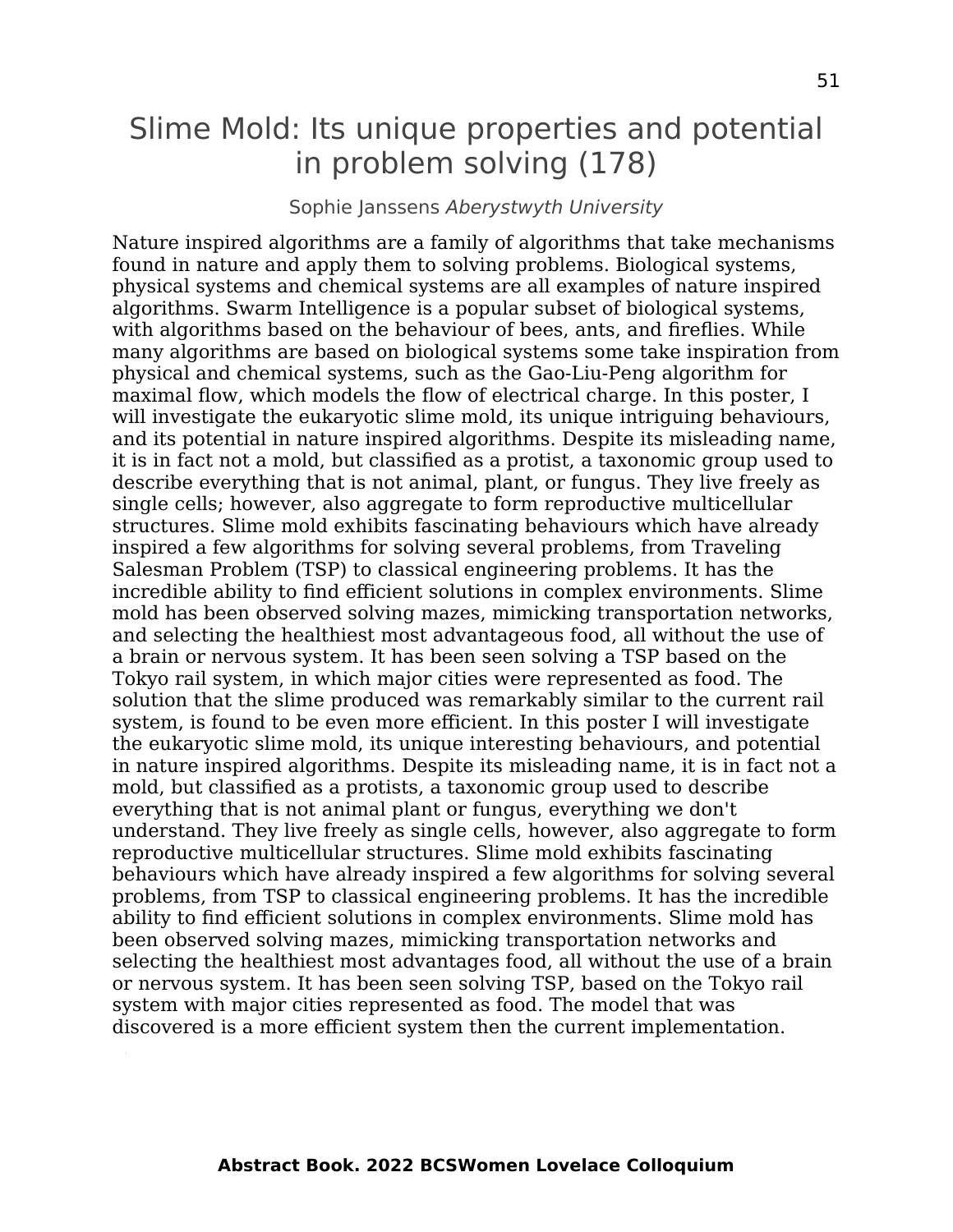### Slime Mold: Its unique properties and potential in problem solving (178)

#### Sophie Janssens Aberystwyth University

Nature inspired algorithms are a family of algorithms that take mechanisms found in nature and apply them to solving problems. Biological systems, physical systems and chemical systems are all examples of nature inspired algorithms. Swarm Intelligence is a popular subset of biological systems, with algorithms based on the behaviour of bees, ants, and fireflies. While many algorithms are based on biological systems some take inspiration from physical and chemical systems, such as the Gao-Liu-Peng algorithm for maximal flow, which models the flow of electrical charge. In this poster, I will investigate the eukaryotic slime mold, its unique intriguing behaviours, and its potential in nature inspired algorithms. Despite its misleading name, it is in fact not a mold, but classified as a protist, a taxonomic group used to describe everything that is not animal, plant, or fungus. They live freely as single cells; however, also aggregate to form reproductive multicellular structures. Slime mold exhibits fascinating behaviours which have already inspired a few algorithms for solving several problems, from Traveling Salesman Problem (TSP) to classical engineering problems. It has the incredible ability to find efficient solutions in complex environments. Slime mold has been observed solving mazes, mimicking transportation networks, and selecting the healthiest most advantageous food, all without the use of a brain or nervous system. It has been seen solving a TSP based on the Tokyo rail system, in which major cities were represented as food. The solution that the slime produced was remarkably similar to the current rail system, is found to be even more efficient. In this poster I will investigate the eukaryotic slime mold, its unique interesting behaviours, and potential in nature inspired algorithms. Despite its misleading name, it is in fact not a mold, but classified as a protists, a taxonomic group used to describe everything that is not animal plant or fungus, everything we don't understand. They live freely as single cells, however, also aggregate to form reproductive multicellular structures. Slime mold exhibits fascinating behaviours which have already inspired a few algorithms for solving several problems, from TSP to classical engineering problems. It has the incredible ability to find efficient solutions in complex environments. Slime mold has been observed solving mazes, mimicking transportation networks and selecting the healthiest most advantages food, all without the use of a brain or nervous system. It has been seen solving TSP, based on the Tokyo rail system with major cities represented as food. The model that was discovered is a more efficient system then the current implementation.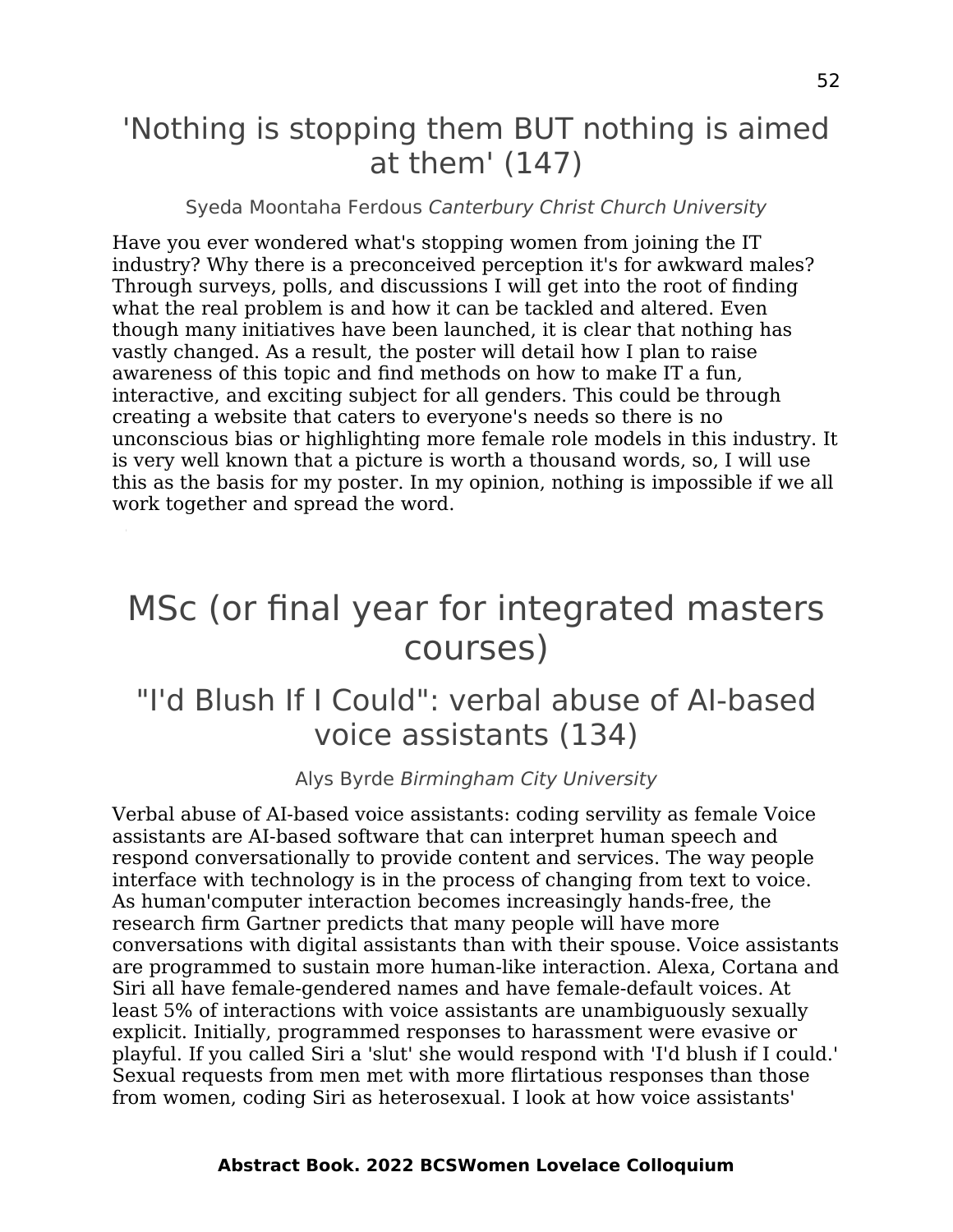## 'Nothing is stopping them BUT nothing is aimed at them' (147)

#### Syeda Moontaha Ferdous Canterbury Christ Church University

Have you ever wondered what's stopping women from joining the IT industry? Why there is a preconceived perception it's for awkward males? Through surveys, polls, and discussions I will get into the root of finding what the real problem is and how it can be tackled and altered. Even though many initiatives have been launched, it is clear that nothing has vastly changed. As a result, the poster will detail how I plan to raise awareness of this topic and find methods on how to make IT a fun, interactive, and exciting subject for all genders. This could be through creating a website that caters to everyone's needs so there is no unconscious bias or highlighting more female role models in this industry. It is very well known that a picture is worth a thousand words, so, I will use this as the basis for my poster. In my opinion, nothing is impossible if we all work together and spread the word.

## <span id="page-51-0"></span>MSc (or final year for integrated masters courses)

## "I'd Blush If I Could": verbal abuse of AI-based voice assistants (134)

Alys Byrde Birmingham City University

Verbal abuse of AI-based voice assistants: coding servility as female Voice assistants are AI-based software that can interpret human speech and respond conversationally to provide content and services. The way people interface with technology is in the process of changing from text to voice. As human'computer interaction becomes increasingly hands-free, the research firm Gartner predicts that many people will have more conversations with digital assistants than with their spouse. Voice assistants are programmed to sustain more human-like interaction. Alexa, Cortana and Siri all have female-gendered names and have female-default voices. At least 5% of interactions with voice assistants are unambiguously sexually explicit. Initially, programmed responses to harassment were evasive or playful. If you called Siri a 'slut' she would respond with 'I'd blush if I could.' Sexual requests from men met with more flirtatious responses than those from women, coding Siri as heterosexual. I look at how voice assistants'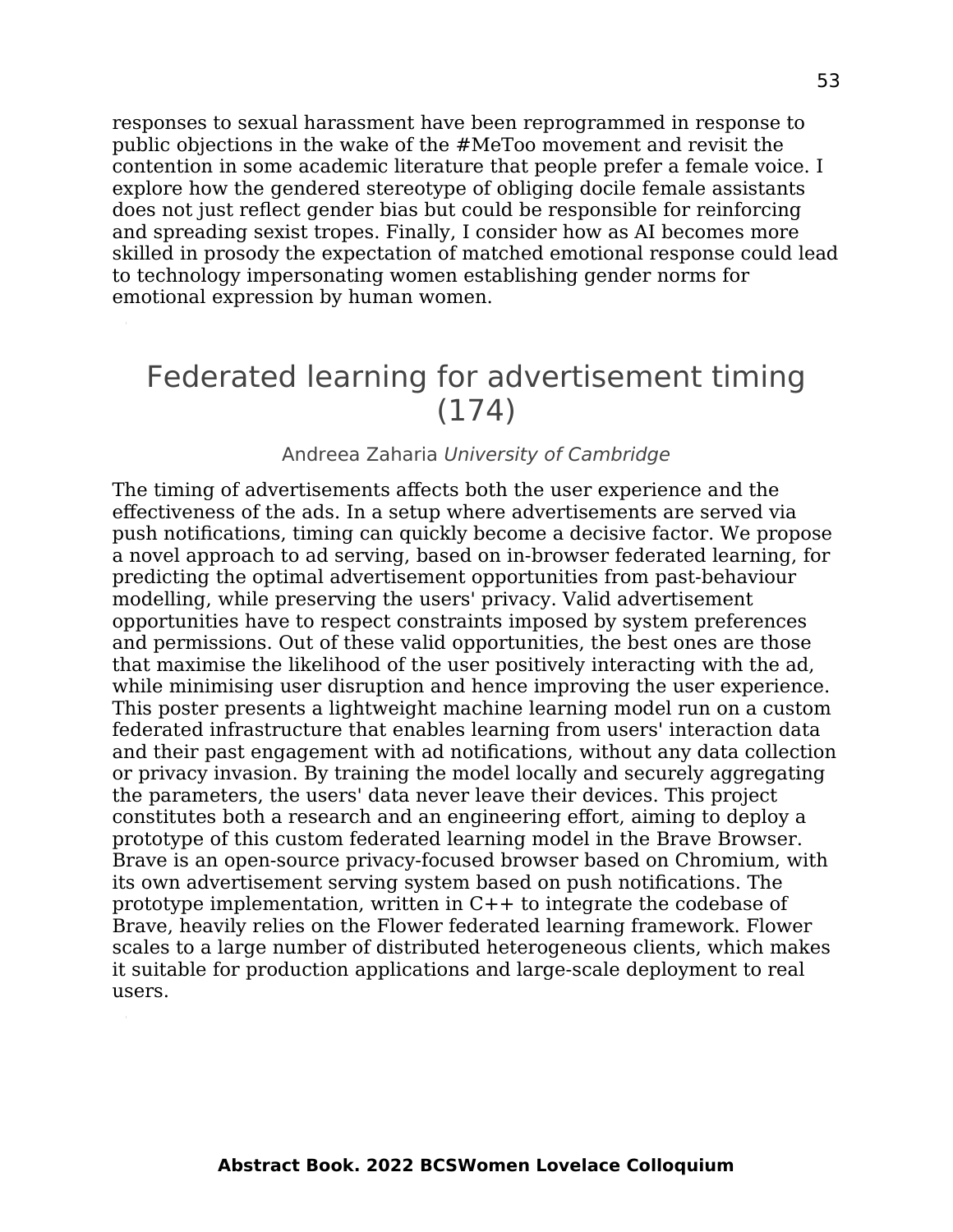responses to sexual harassment have been reprogrammed in response to public objections in the wake of the #MeToo movement and revisit the contention in some academic literature that people prefer a female voice. I explore how the gendered stereotype of obliging docile female assistants does not just reflect gender bias but could be responsible for reinforcing and spreading sexist tropes. Finally, I consider how as AI becomes more skilled in prosody the expectation of matched emotional response could lead to technology impersonating women establishing gender norms for emotional expression by human women.

### Federated learning for advertisement timing (174)

#### Andreea Zaharia University of Cambridge

The timing of advertisements affects both the user experience and the effectiveness of the ads. In a setup where advertisements are served via push notifications, timing can quickly become a decisive factor. We propose a novel approach to ad serving, based on in-browser federated learning, for predicting the optimal advertisement opportunities from past-behaviour modelling, while preserving the users' privacy. Valid advertisement opportunities have to respect constraints imposed by system preferences and permissions. Out of these valid opportunities, the best ones are those that maximise the likelihood of the user positively interacting with the ad, while minimising user disruption and hence improving the user experience. This poster presents a lightweight machine learning model run on a custom federated infrastructure that enables learning from users' interaction data and their past engagement with ad notifications, without any data collection or privacy invasion. By training the model locally and securely aggregating the parameters, the users' data never leave their devices. This project constitutes both a research and an engineering effort, aiming to deploy a prototype of this custom federated learning model in the Brave Browser. Brave is an open-source privacy-focused browser based on Chromium, with its own advertisement serving system based on push notifications. The prototype implementation, written in C++ to integrate the codebase of Brave, heavily relies on the Flower federated learning framework. Flower scales to a large number of distributed heterogeneous clients, which makes it suitable for production applications and large-scale deployment to real users.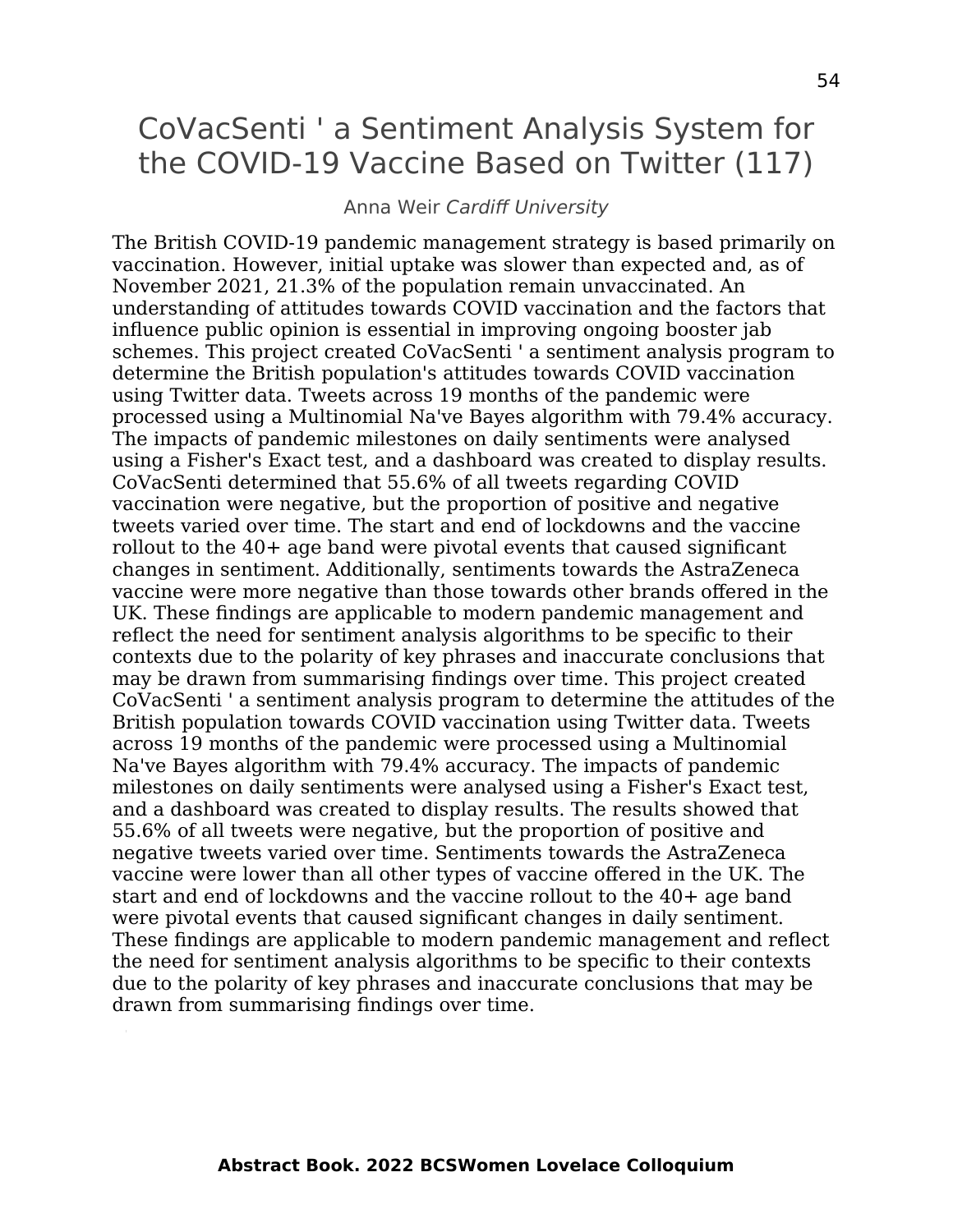### CoVacSenti ' a Sentiment Analysis System for the COVID-19 Vaccine Based on Twitter (117)

#### Anna Weir Cardiff University

The British COVID-19 pandemic management strategy is based primarily on vaccination. However, initial uptake was slower than expected and, as of November 2021, 21.3% of the population remain unvaccinated. An understanding of attitudes towards COVID vaccination and the factors that influence public opinion is essential in improving ongoing booster jab schemes. This project created CoVacSenti ' a sentiment analysis program to determine the British population's attitudes towards COVID vaccination using Twitter data. Tweets across 19 months of the pandemic were processed using a Multinomial Na've Bayes algorithm with 79.4% accuracy. The impacts of pandemic milestones on daily sentiments were analysed using a Fisher's Exact test, and a dashboard was created to display results. CoVacSenti determined that 55.6% of all tweets regarding COVID vaccination were negative, but the proportion of positive and negative tweets varied over time. The start and end of lockdowns and the vaccine rollout to the 40+ age band were pivotal events that caused significant changes in sentiment. Additionally, sentiments towards the AstraZeneca vaccine were more negative than those towards other brands offered in the UK. These findings are applicable to modern pandemic management and reflect the need for sentiment analysis algorithms to be specific to their contexts due to the polarity of key phrases and inaccurate conclusions that may be drawn from summarising findings over time. This project created CoVacSenti ' a sentiment analysis program to determine the attitudes of the British population towards COVID vaccination using Twitter data. Tweets across 19 months of the pandemic were processed using a Multinomial Na've Bayes algorithm with 79.4% accuracy. The impacts of pandemic milestones on daily sentiments were analysed using a Fisher's Exact test, and a dashboard was created to display results. The results showed that 55.6% of all tweets were negative, but the proportion of positive and negative tweets varied over time. Sentiments towards the AstraZeneca vaccine were lower than all other types of vaccine offered in the UK. The start and end of lockdowns and the vaccine rollout to the 40+ age band were pivotal events that caused significant changes in daily sentiment. These findings are applicable to modern pandemic management and reflect the need for sentiment analysis algorithms to be specific to their contexts due to the polarity of key phrases and inaccurate conclusions that may be drawn from summarising findings over time.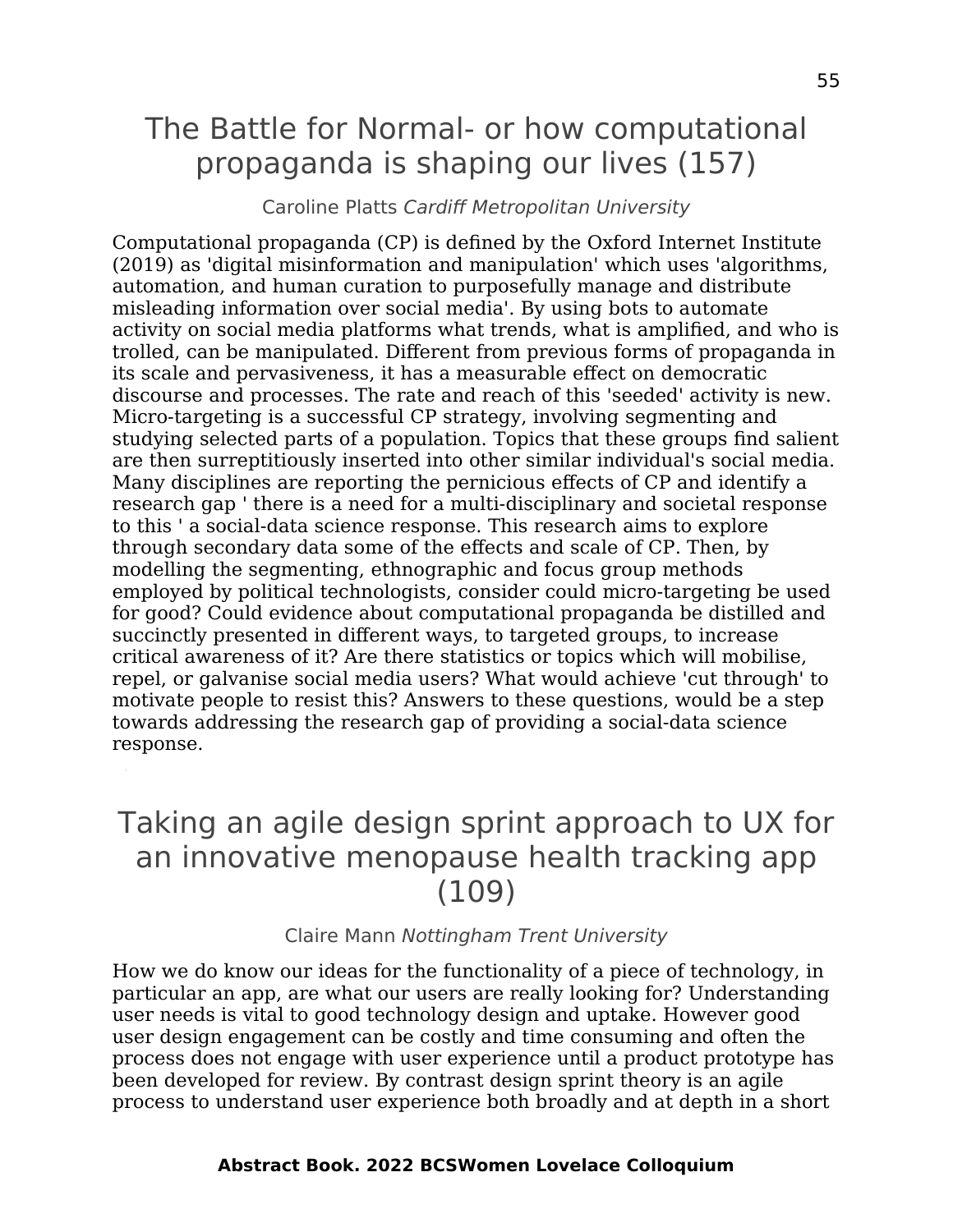## The Battle for Normal- or how computational propaganda is shaping our lives (157)

Caroline Platts Cardiff Metropolitan University

Computational propaganda (CP) is defined by the Oxford Internet Institute (2019) as 'digital misinformation and manipulation' which uses 'algorithms, automation, and human curation to purposefully manage and distribute misleading information over social media'. By using bots to automate activity on social media platforms what trends, what is amplified, and who is trolled, can be manipulated. Different from previous forms of propaganda in its scale and pervasiveness, it has a measurable effect on democratic discourse and processes. The rate and reach of this 'seeded' activity is new. Micro-targeting is a successful CP strategy, involving segmenting and studying selected parts of a population. Topics that these groups find salient are then surreptitiously inserted into other similar individual's social media. Many disciplines are reporting the pernicious effects of CP and identify a research gap ' there is a need for a multi-disciplinary and societal response to this ' a social-data science response. This research aims to explore through secondary data some of the effects and scale of CP. Then, by modelling the segmenting, ethnographic and focus group methods employed by political technologists, consider could micro-targeting be used for good? Could evidence about computational propaganda be distilled and succinctly presented in different ways, to targeted groups, to increase critical awareness of it? Are there statistics or topics which will mobilise, repel, or galvanise social media users? What would achieve 'cut through' to motivate people to resist this? Answers to these questions, would be a step towards addressing the research gap of providing a social-data science response.

### Taking an agile design sprint approach to UX for an innovative menopause health tracking app (109)

Claire Mann Nottingham Trent University

How we do know our ideas for the functionality of a piece of technology, in particular an app, are what our users are really looking for? Understanding user needs is vital to good technology design and uptake. However good user design engagement can be costly and time consuming and often the process does not engage with user experience until a product prototype has been developed for review. By contrast design sprint theory is an agile process to understand user experience both broadly and at depth in a short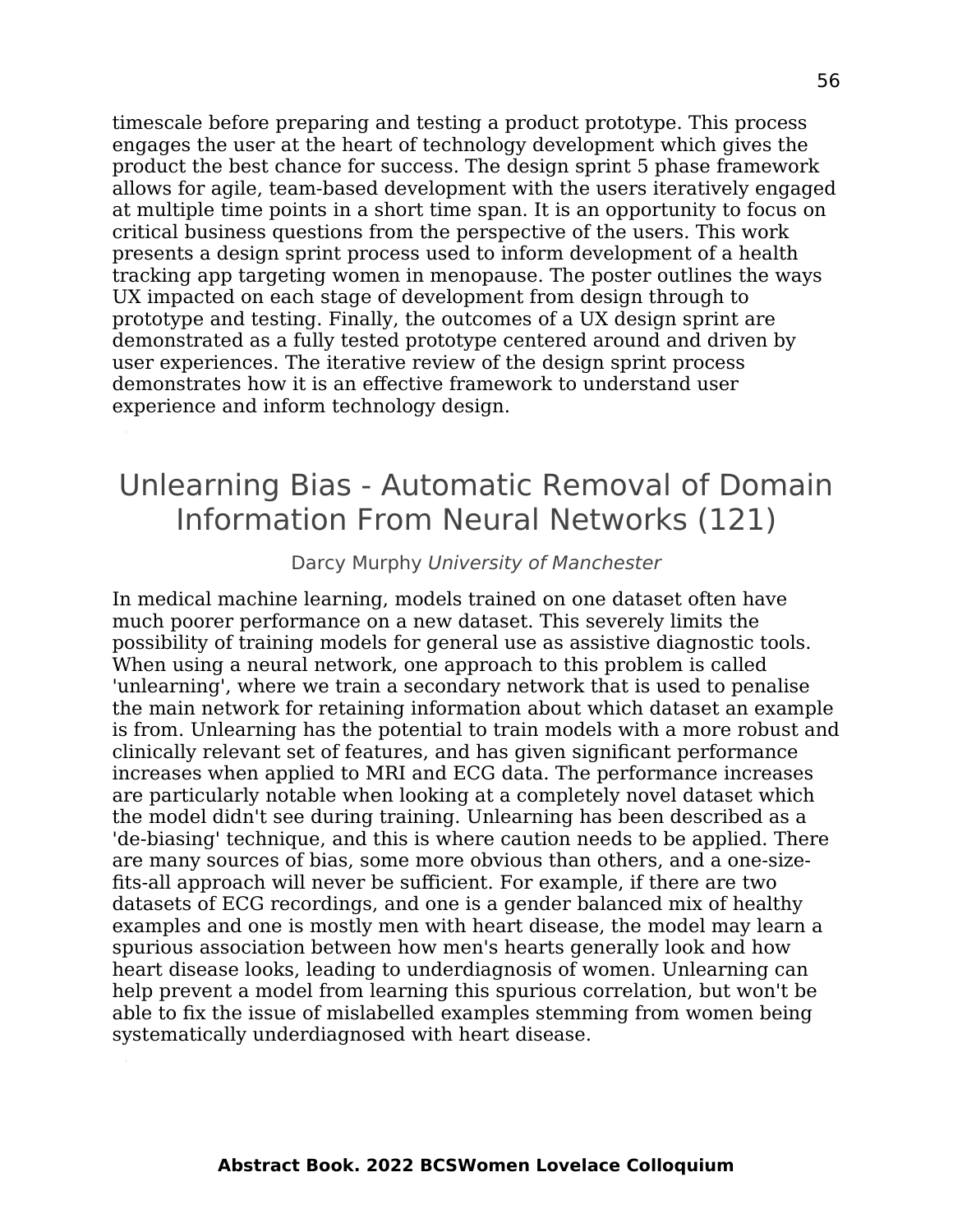timescale before preparing and testing a product prototype. This process engages the user at the heart of technology development which gives the product the best chance for success. The design sprint 5 phase framework allows for agile, team-based development with the users iteratively engaged at multiple time points in a short time span. It is an opportunity to focus on critical business questions from the perspective of the users. This work presents a design sprint process used to inform development of a health tracking app targeting women in menopause. The poster outlines the ways UX impacted on each stage of development from design through to prototype and testing. Finally, the outcomes of a UX design sprint are demonstrated as a fully tested prototype centered around and driven by user experiences. The iterative review of the design sprint process demonstrates how it is an effective framework to understand user experience and inform technology design.

### Unlearning Bias - Automatic Removal of Domain Information From Neural Networks (121)

#### Darcy Murphy University of Manchester

In medical machine learning, models trained on one dataset often have much poorer performance on a new dataset. This severely limits the possibility of training models for general use as assistive diagnostic tools. When using a neural network, one approach to this problem is called 'unlearning', where we train a secondary network that is used to penalise the main network for retaining information about which dataset an example is from. Unlearning has the potential to train models with a more robust and clinically relevant set of features, and has given significant performance increases when applied to MRI and ECG data. The performance increases are particularly notable when looking at a completely novel dataset which the model didn't see during training. Unlearning has been described as a 'de-biasing' technique, and this is where caution needs to be applied. There are many sources of bias, some more obvious than others, and a one-sizefits-all approach will never be sufficient. For example, if there are two datasets of ECG recordings, and one is a gender balanced mix of healthy examples and one is mostly men with heart disease, the model may learn a spurious association between how men's hearts generally look and how heart disease looks, leading to underdiagnosis of women. Unlearning can help prevent a model from learning this spurious correlation, but won't be able to fix the issue of mislabelled examples stemming from women being systematically underdiagnosed with heart disease.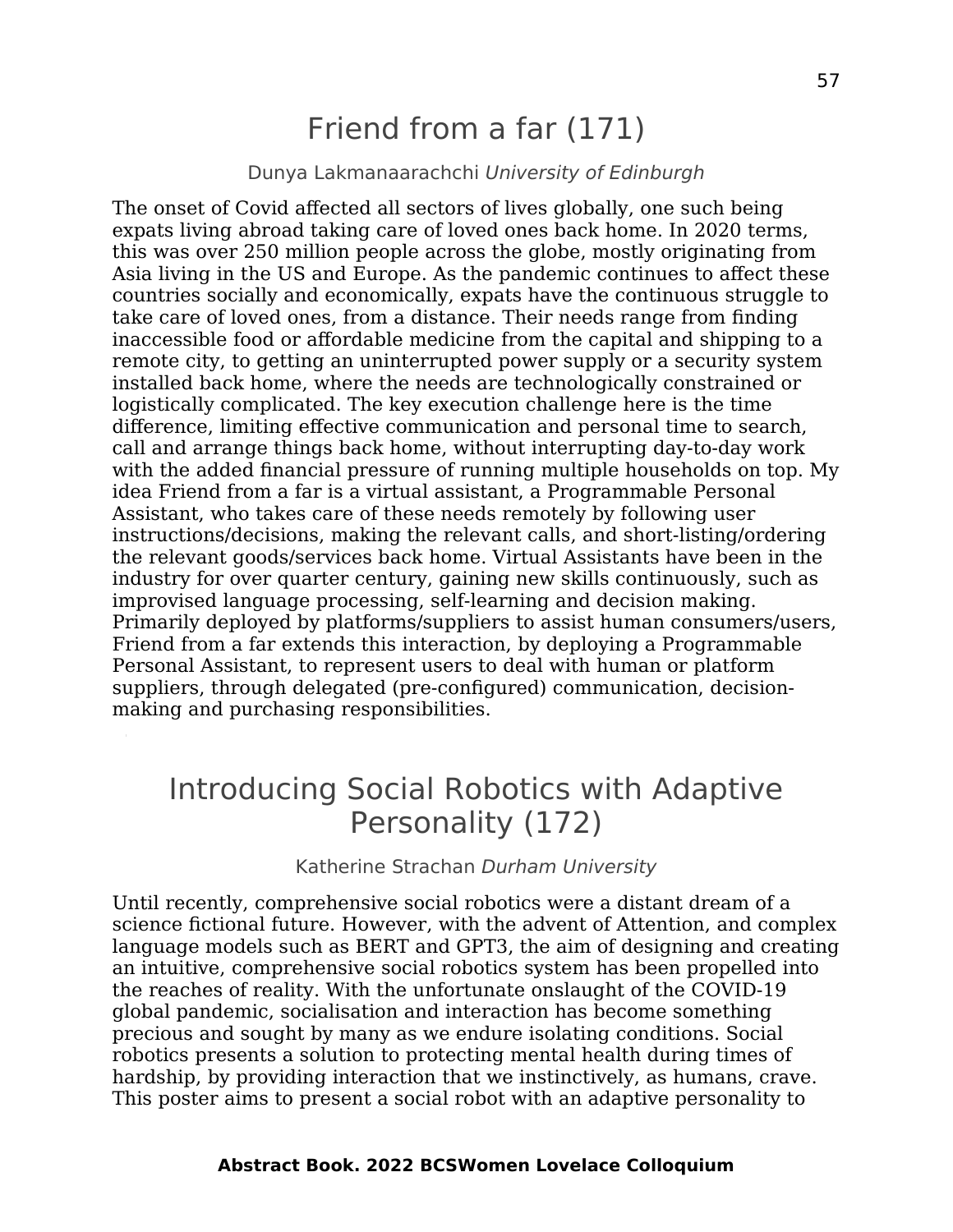## Friend from a far (171)

#### Dunya Lakmanaarachchi University of Edinburgh

The onset of Covid affected all sectors of lives globally, one such being expats living abroad taking care of loved ones back home. In 2020 terms, this was over 250 million people across the globe, mostly originating from Asia living in the US and Europe. As the pandemic continues to affect these countries socially and economically, expats have the continuous struggle to take care of loved ones, from a distance. Their needs range from finding inaccessible food or affordable medicine from the capital and shipping to a remote city, to getting an uninterrupted power supply or a security system installed back home, where the needs are technologically constrained or logistically complicated. The key execution challenge here is the time difference, limiting effective communication and personal time to search, call and arrange things back home, without interrupting day-to-day work with the added financial pressure of running multiple households on top. My idea Friend from a far is a virtual assistant, a Programmable Personal Assistant, who takes care of these needs remotely by following user instructions/decisions, making the relevant calls, and short-listing/ordering the relevant goods/services back home. Virtual Assistants have been in the industry for over quarter century, gaining new skills continuously, such as improvised language processing, self-learning and decision making. Primarily deployed by platforms/suppliers to assist human consumers/users, Friend from a far extends this interaction, by deploying a Programmable Personal Assistant, to represent users to deal with human or platform suppliers, through delegated (pre-configured) communication, decisionmaking and purchasing responsibilities.

## Introducing Social Robotics with Adaptive Personality (172)

#### Katherine Strachan Durham University

Until recently, comprehensive social robotics were a distant dream of a science fictional future. However, with the advent of Attention, and complex language models such as BERT and GPT3, the aim of designing and creating an intuitive, comprehensive social robotics system has been propelled into the reaches of reality. With the unfortunate onslaught of the COVID-19 global pandemic, socialisation and interaction has become something precious and sought by many as we endure isolating conditions. Social robotics presents a solution to protecting mental health during times of hardship, by providing interaction that we instinctively, as humans, crave. This poster aims to present a social robot with an adaptive personality to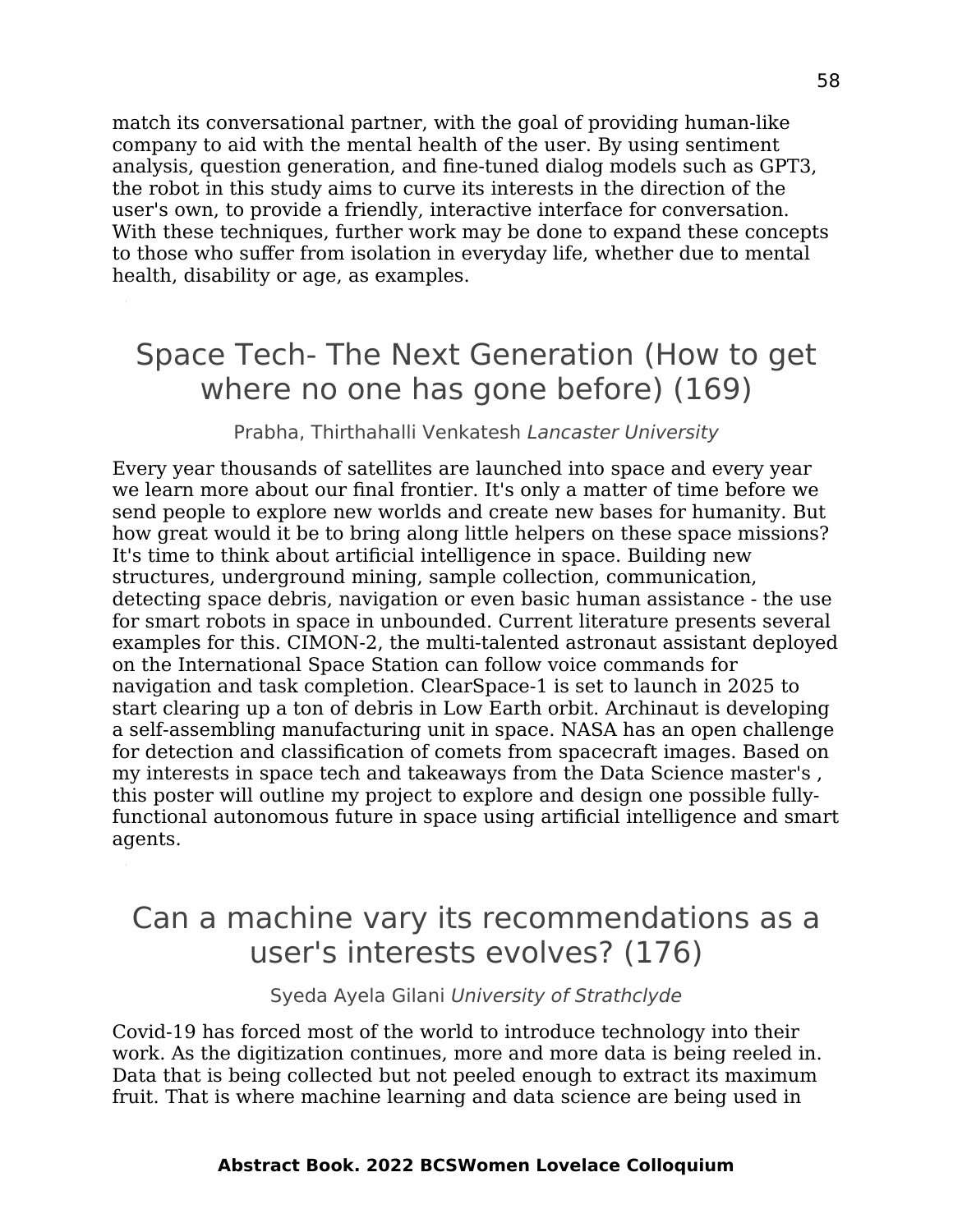match its conversational partner, with the goal of providing human-like company to aid with the mental health of the user. By using sentiment analysis, question generation, and fine-tuned dialog models such as GPT3, the robot in this study aims to curve its interests in the direction of the user's own, to provide a friendly, interactive interface for conversation. With these techniques, further work may be done to expand these concepts to those who suffer from isolation in everyday life, whether due to mental health, disability or age, as examples.

### Space Tech- The Next Generation (How to get where no one has gone before) (169)

#### Prabha, Thirthahalli Venkatesh Lancaster University

Every year thousands of satellites are launched into space and every year we learn more about our final frontier. It's only a matter of time before we send people to explore new worlds and create new bases for humanity. But how great would it be to bring along little helpers on these space missions? It's time to think about artificial intelligence in space. Building new structures, underground mining, sample collection, communication, detecting space debris, navigation or even basic human assistance - the use for smart robots in space in unbounded. Current literature presents several examples for this. CIMON-2, the multi-talented astronaut assistant deployed on the International Space Station can follow voice commands for navigation and task completion. ClearSpace-1 is set to launch in 2025 to start clearing up a ton of debris in Low Earth orbit. Archinaut is developing a self-assembling manufacturing unit in space. NASA has an open challenge for detection and classification of comets from spacecraft images. Based on my interests in space tech and takeaways from the Data Science master's , this poster will outline my project to explore and design one possible fullyfunctional autonomous future in space using artificial intelligence and smart agents.

### Can a machine vary its recommendations as a user's interests evolves? (176)

Syeda Ayela Gilani University of Strathclyde

Covid-19 has forced most of the world to introduce technology into their work. As the digitization continues, more and more data is being reeled in. Data that is being collected but not peeled enough to extract its maximum fruit. That is where machine learning and data science are being used in

#### **Abstract Book. 2022 BCSWomen Lovelace Colloquium**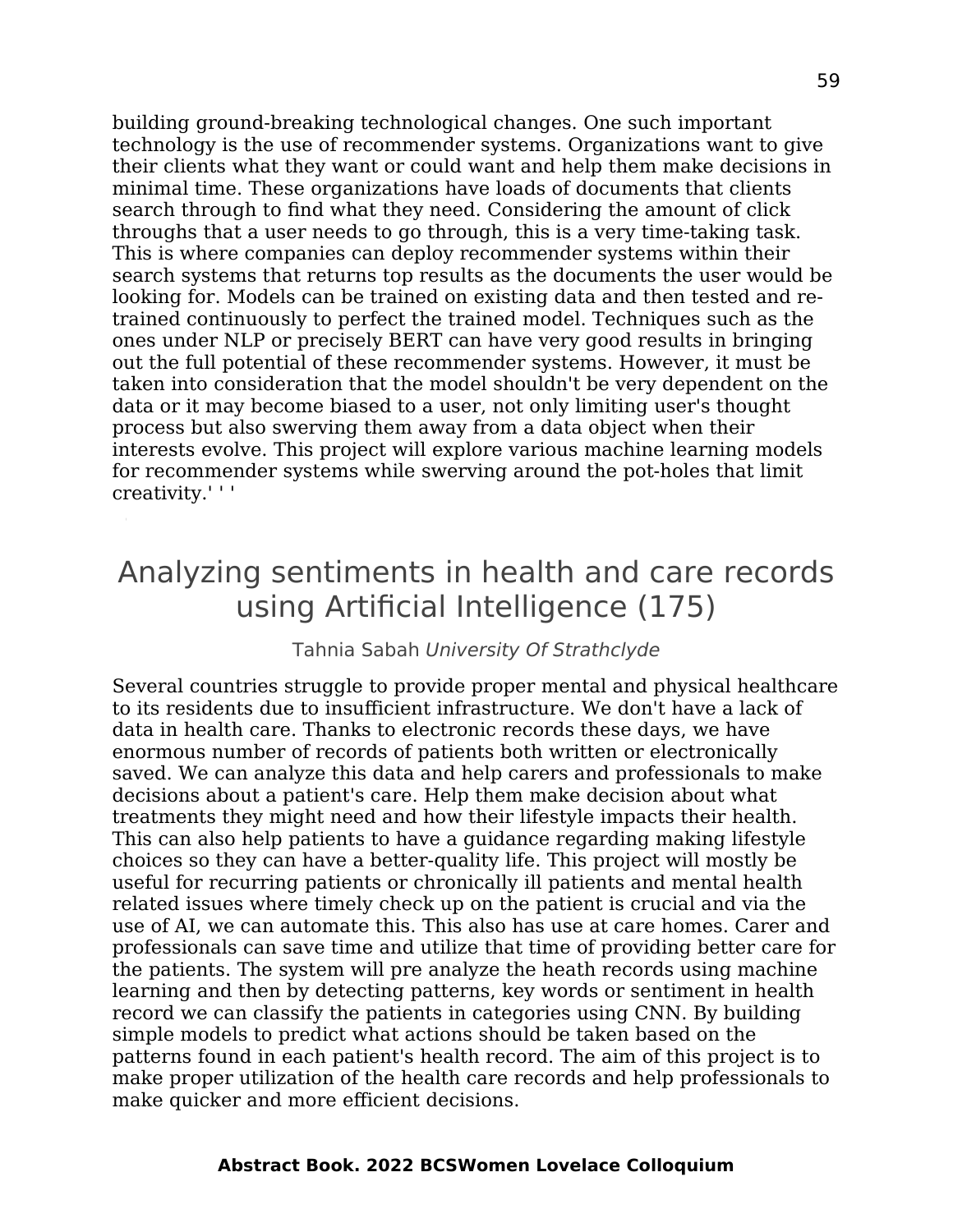building ground-breaking technological changes. One such important technology is the use of recommender systems. Organizations want to give their clients what they want or could want and help them make decisions in minimal time. These organizations have loads of documents that clients search through to find what they need. Considering the amount of click throughs that a user needs to go through, this is a very time-taking task. This is where companies can deploy recommender systems within their search systems that returns top results as the documents the user would be looking for. Models can be trained on existing data and then tested and retrained continuously to perfect the trained model. Techniques such as the ones under NLP or precisely BERT can have very good results in bringing out the full potential of these recommender systems. However, it must be taken into consideration that the model shouldn't be very dependent on the data or it may become biased to a user, not only limiting user's thought process but also swerving them away from a data object when their interests evolve. This project will explore various machine learning models for recommender systems while swerving around the pot-holes that limit creativity.' ' '

### Analyzing sentiments in health and care records using Artificial Intelligence (175)

#### Tahnia Sabah University Of Strathclyde

Several countries struggle to provide proper mental and physical healthcare to its residents due to insufficient infrastructure. We don't have a lack of data in health care. Thanks to electronic records these days, we have enormous number of records of patients both written or electronically saved. We can analyze this data and help carers and professionals to make decisions about a patient's care. Help them make decision about what treatments they might need and how their lifestyle impacts their health. This can also help patients to have a guidance regarding making lifestyle choices so they can have a better-quality life. This project will mostly be useful for recurring patients or chronically ill patients and mental health related issues where timely check up on the patient is crucial and via the use of AI, we can automate this. This also has use at care homes. Carer and professionals can save time and utilize that time of providing better care for the patients. The system will pre analyze the heath records using machine learning and then by detecting patterns, key words or sentiment in health record we can classify the patients in categories using CNN. By building simple models to predict what actions should be taken based on the patterns found in each patient's health record. The aim of this project is to make proper utilization of the health care records and help professionals to make quicker and more efficient decisions.